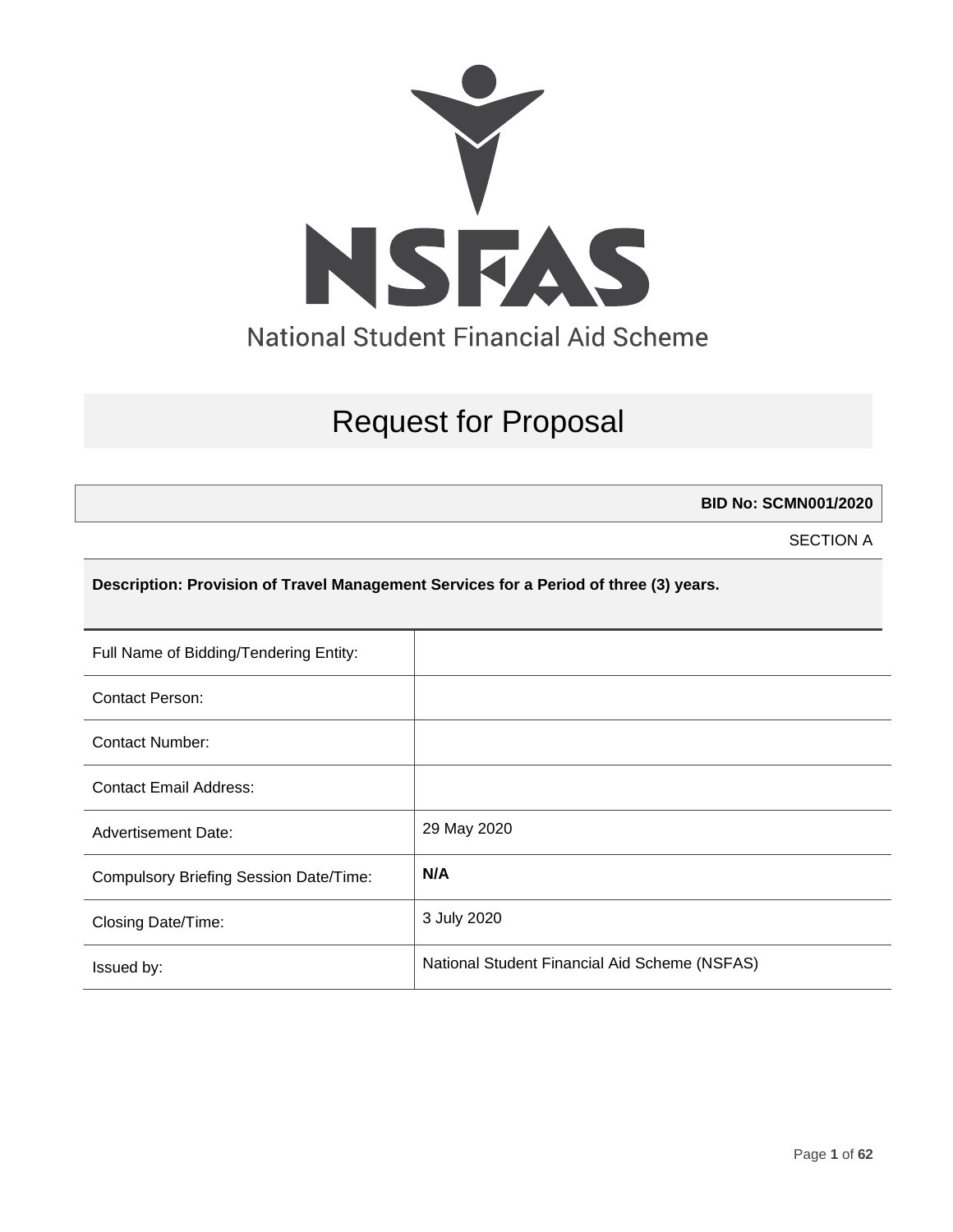

# Request for Proposal

**BID No: SCMN001/2020**

SECTION A

**Description: Provision of Travel Management Services for a Period of three (3) years.**

| Full Name of Bidding/Tendering Entity:        |                                               |
|-----------------------------------------------|-----------------------------------------------|
| Contact Person:                               |                                               |
| Contact Number:                               |                                               |
| <b>Contact Email Address:</b>                 |                                               |
| <b>Advertisement Date:</b>                    | 29 May 2020                                   |
| <b>Compulsory Briefing Session Date/Time:</b> | N/A                                           |
| Closing Date/Time:                            | 3 July 2020                                   |
| Issued by:                                    | National Student Financial Aid Scheme (NSFAS) |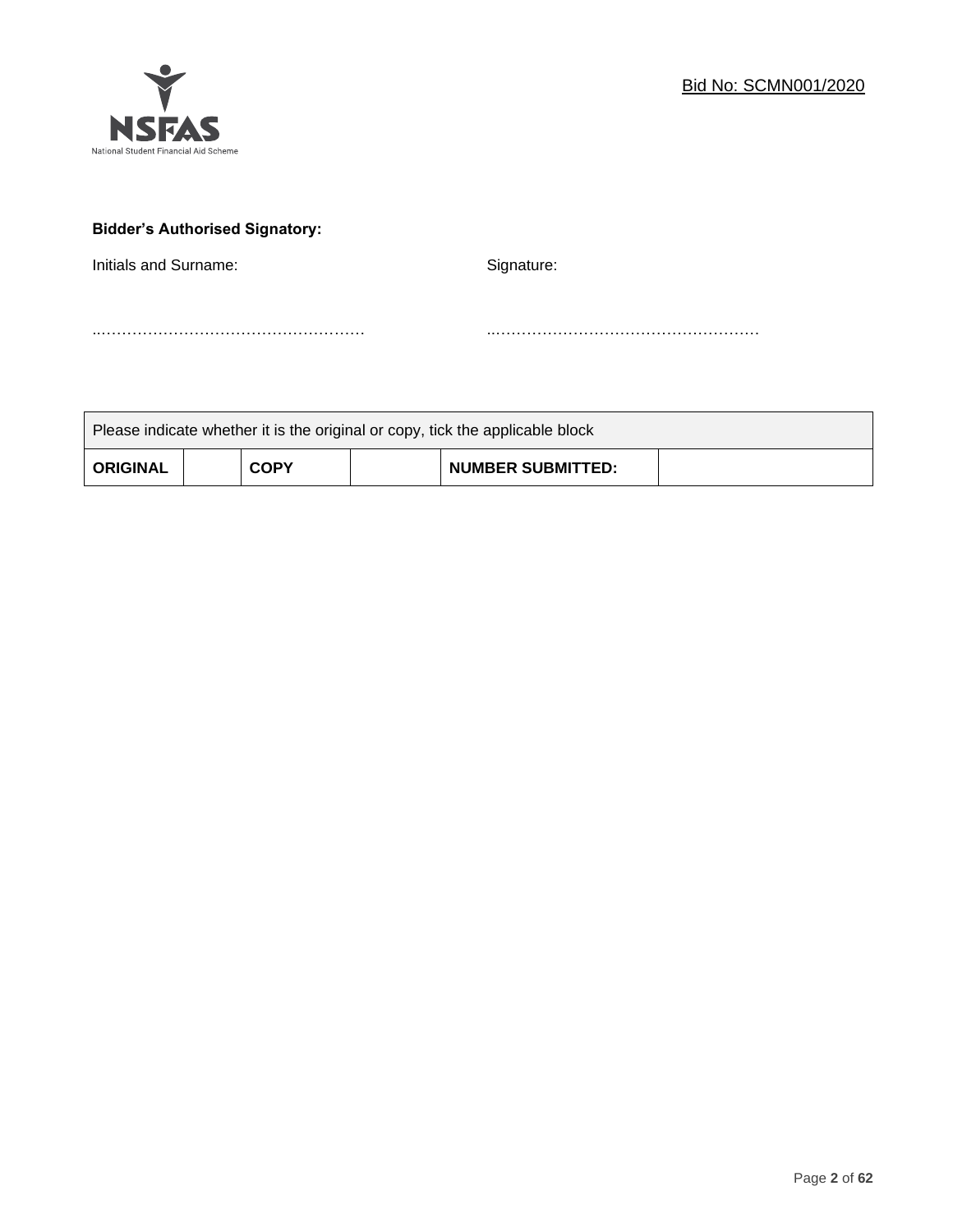

# **Bidder's Authorised Signatory:**

Initials and Surname: Signature: Signature:

..…………………………………………… ..……………………………………………

| Please indicate whether it is the original or copy, tick the applicable block |  |             |  |                   |  |
|-------------------------------------------------------------------------------|--|-------------|--|-------------------|--|
| <b>ORIGINAL</b>                                                               |  | <b>COPY</b> |  | NUMBER SUBMITTED: |  |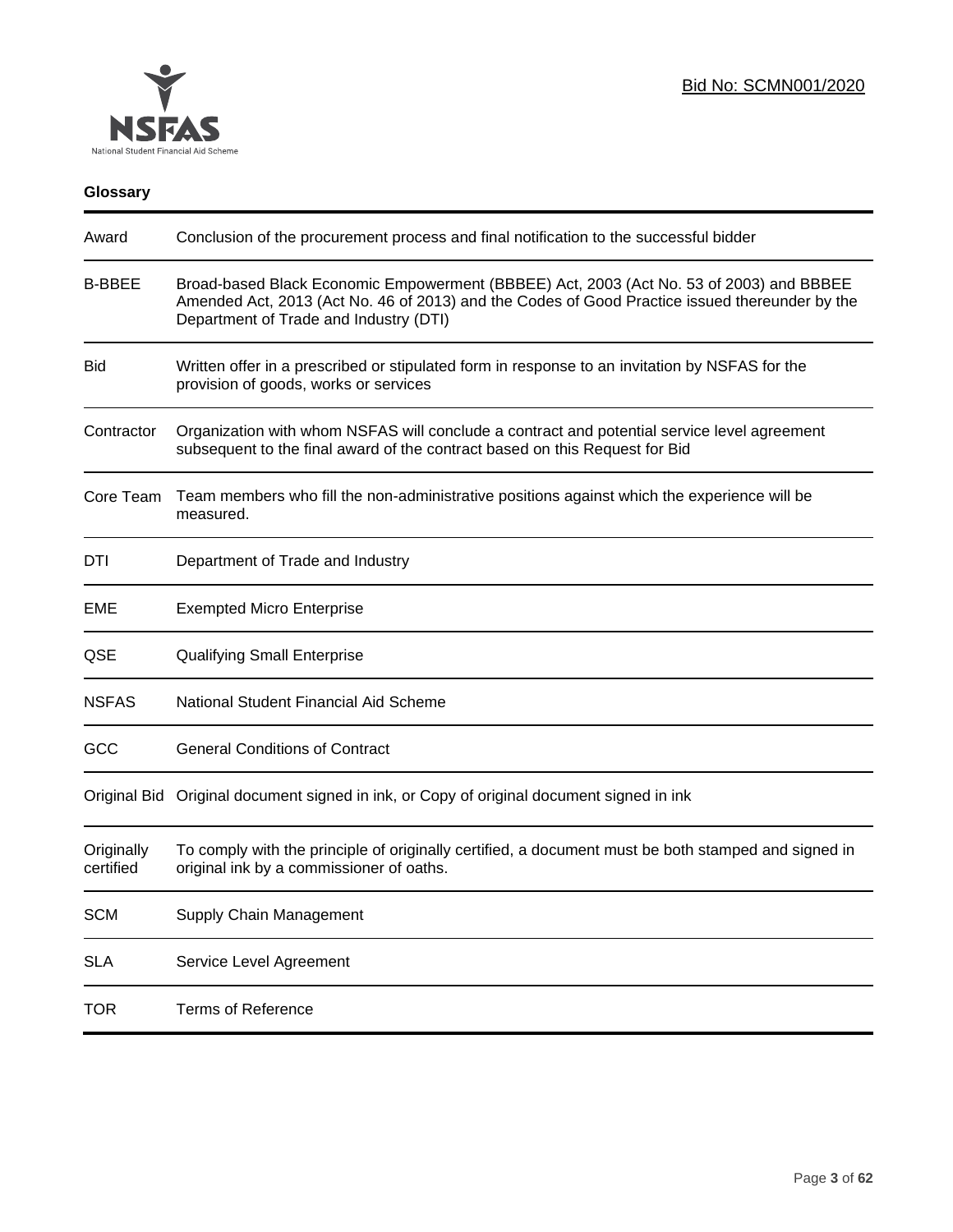

# **Glossary**

| Award                   | Conclusion of the procurement process and final notification to the successful bidder                                                                                                                                               |
|-------------------------|-------------------------------------------------------------------------------------------------------------------------------------------------------------------------------------------------------------------------------------|
| <b>B-BBEE</b>           | Broad-based Black Economic Empowerment (BBBEE) Act, 2003 (Act No. 53 of 2003) and BBBEE<br>Amended Act, 2013 (Act No. 46 of 2013) and the Codes of Good Practice issued thereunder by the<br>Department of Trade and Industry (DTI) |
| <b>Bid</b>              | Written offer in a prescribed or stipulated form in response to an invitation by NSFAS for the<br>provision of goods, works or services                                                                                             |
| Contractor              | Organization with whom NSFAS will conclude a contract and potential service level agreement<br>subsequent to the final award of the contract based on this Request for Bid                                                          |
| Core Team               | Team members who fill the non-administrative positions against which the experience will be<br>measured.                                                                                                                            |
| DTI                     | Department of Trade and Industry                                                                                                                                                                                                    |
| EME                     | <b>Exempted Micro Enterprise</b>                                                                                                                                                                                                    |
| QSE                     | <b>Qualifying Small Enterprise</b>                                                                                                                                                                                                  |
| <b>NSFAS</b>            | National Student Financial Aid Scheme                                                                                                                                                                                               |
| GCC                     | <b>General Conditions of Contract</b>                                                                                                                                                                                               |
|                         | Original Bid Original document signed in ink, or Copy of original document signed in ink                                                                                                                                            |
| Originally<br>certified | To comply with the principle of originally certified, a document must be both stamped and signed in<br>original ink by a commissioner of oaths.                                                                                     |
| <b>SCM</b>              | Supply Chain Management                                                                                                                                                                                                             |
| <b>SLA</b>              | Service Level Agreement                                                                                                                                                                                                             |
| <b>TOR</b>              | <b>Terms of Reference</b>                                                                                                                                                                                                           |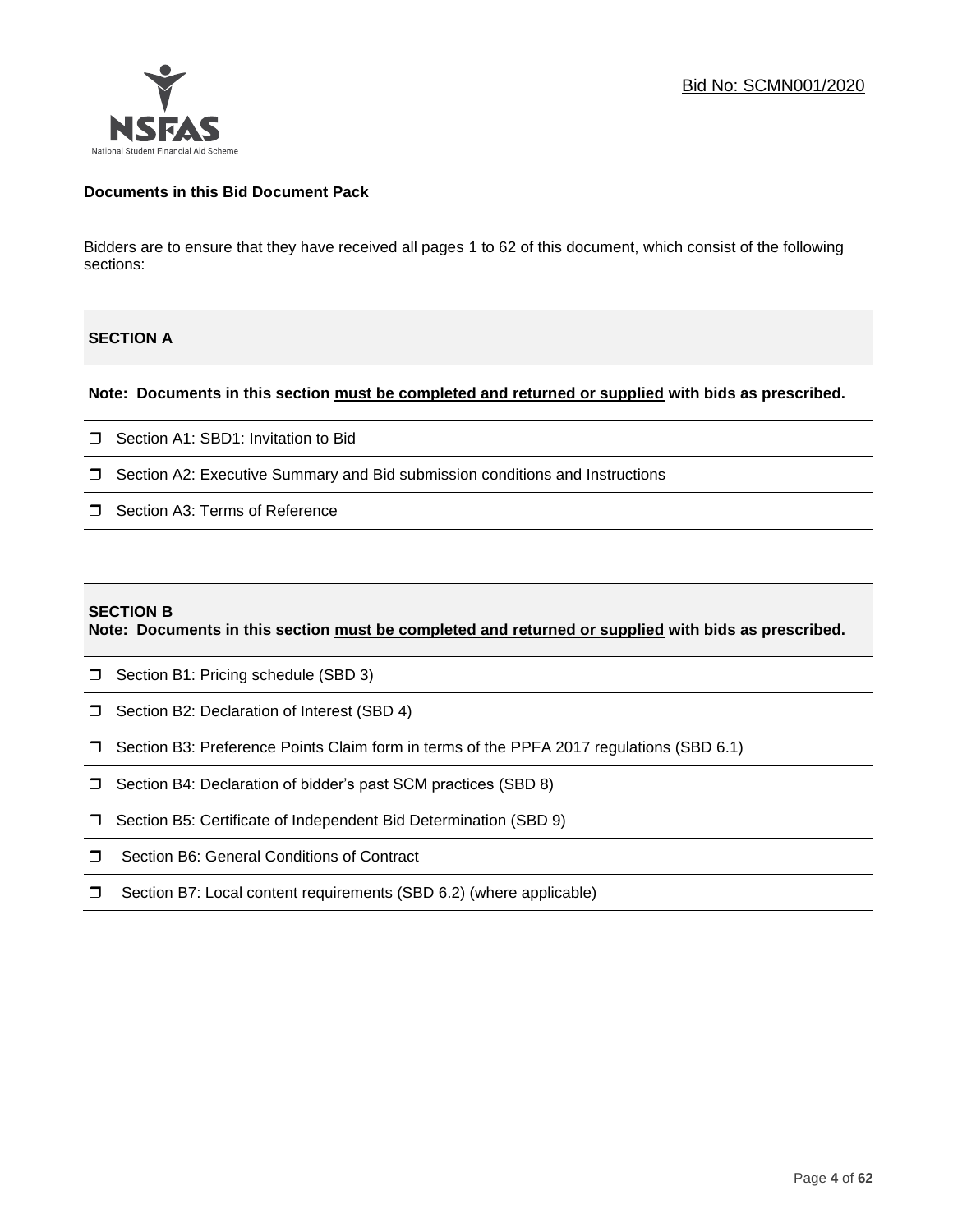

## **Documents in this Bid Document Pack**

Bidders are to ensure that they have received all pages 1 to 62 of this document, which consist of the following sections:

## **SECTION A**

#### **Note: Documents in this section must be completed and returned or supplied with bids as prescribed.**

- □ Section A1: SBD1: Invitation to Bid
- □ Section A2: Executive Summary and Bid submission conditions and Instructions
- □ Section A3: Terms of Reference

#### **SECTION B**

**Note: Documents in this section must be completed and returned or supplied with bids as prescribed.**

- □ Section B1: Pricing schedule (SBD 3)
- □ Section B2: Declaration of Interest (SBD 4)
- Section B3: Preference Points Claim form in terms of the PPFA 2017 regulations (SBD 6.1)
- □ Section B4: Declaration of bidder's past SCM practices (SBD 8)
- □ Section B5: Certificate of Independent Bid Determination (SBD 9)
- **I** Section B6: General Conditions of Contract
- □ Section B7: Local content requirements (SBD 6.2) (where applicable)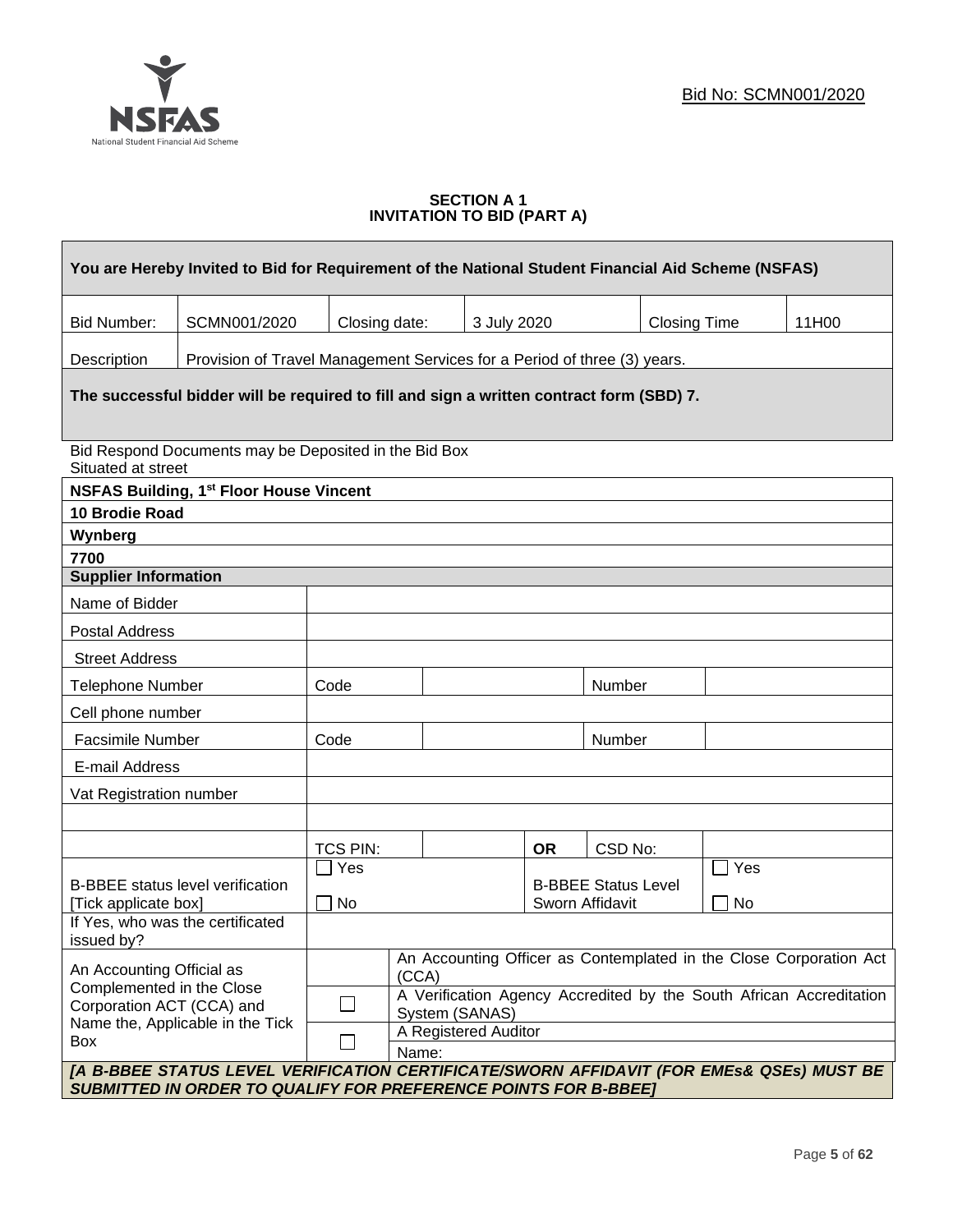

## **SECTION A 1 INVITATION TO BID (PART A)**

| You are Hereby Invited to Bid for Requirement of the National Student Financial Aid Scheme (NSFAS)                                                                                            |                                                                             |               |       |             |                                          |                 |                     |    |       |
|-----------------------------------------------------------------------------------------------------------------------------------------------------------------------------------------------|-----------------------------------------------------------------------------|---------------|-------|-------------|------------------------------------------|-----------------|---------------------|----|-------|
| <b>Bid Number:</b>                                                                                                                                                                            | SCMN001/2020                                                                | Closing date: |       | 3 July 2020 |                                          |                 | <b>Closing Time</b> |    | 11H00 |
| Description                                                                                                                                                                                   | Provision of Travel Management Services for a Period of three (3) years.    |               |       |             |                                          |                 |                     |    |       |
| The successful bidder will be required to fill and sign a written contract form (SBD) 7.                                                                                                      |                                                                             |               |       |             |                                          |                 |                     |    |       |
| Situated at street                                                                                                                                                                            | Bid Respond Documents may be Deposited in the Bid Box                       |               |       |             |                                          |                 |                     |    |       |
|                                                                                                                                                                                               | <b>NSFAS Building, 1st Floor House Vincent</b>                              |               |       |             |                                          |                 |                     |    |       |
| 10 Brodie Road                                                                                                                                                                                |                                                                             |               |       |             |                                          |                 |                     |    |       |
| Wynberg<br>7700                                                                                                                                                                               |                                                                             |               |       |             |                                          |                 |                     |    |       |
| <b>Supplier Information</b>                                                                                                                                                                   |                                                                             |               |       |             |                                          |                 |                     |    |       |
| Name of Bidder                                                                                                                                                                                |                                                                             |               |       |             |                                          |                 |                     |    |       |
| Postal Address                                                                                                                                                                                |                                                                             |               |       |             |                                          |                 |                     |    |       |
| <b>Street Address</b>                                                                                                                                                                         |                                                                             |               |       |             |                                          |                 |                     |    |       |
| <b>Telephone Number</b>                                                                                                                                                                       |                                                                             | Code          |       |             |                                          | Number          |                     |    |       |
| Cell phone number                                                                                                                                                                             |                                                                             |               |       |             |                                          |                 |                     |    |       |
| <b>Facsimile Number</b>                                                                                                                                                                       |                                                                             | Code          |       |             |                                          | Number          |                     |    |       |
| E-mail Address                                                                                                                                                                                |                                                                             |               |       |             |                                          |                 |                     |    |       |
| Vat Registration number                                                                                                                                                                       |                                                                             |               |       |             |                                          |                 |                     |    |       |
|                                                                                                                                                                                               |                                                                             |               |       |             |                                          |                 |                     |    |       |
|                                                                                                                                                                                               |                                                                             | TCS PIN:      |       |             | <b>OR</b>                                | CSD No:         |                     |    |       |
|                                                                                                                                                                                               | <b>B-BBEE</b> status level verification                                     | $\Box$ Yes    |       |             | $\Box$ Yes<br><b>B-BBEE Status Level</b> |                 |                     |    |       |
| [Tick applicate box]                                                                                                                                                                          |                                                                             | No            |       |             |                                          | Sworn Affidavit |                     | No |       |
| issued by?                                                                                                                                                                                    | If Yes, who was the certificated                                            |               |       |             |                                          |                 |                     |    |       |
| An Accounting Official as                                                                                                                                                                     | An Accounting Officer as Contemplated in the Close Corporation Act<br>(CCA) |               |       |             |                                          |                 |                     |    |       |
| Complemented in the Close<br>A Verification Agency Accredited by the South African Accreditation<br>$\Box$<br>Corporation ACT (CCA) and<br>System (SANAS)<br>Name the, Applicable in the Tick |                                                                             |               |       |             |                                          |                 |                     |    |       |
| A Registered Auditor<br>$\Box$<br>Box                                                                                                                                                         |                                                                             |               |       |             |                                          |                 |                     |    |       |
|                                                                                                                                                                                               |                                                                             |               | Name: |             |                                          |                 |                     |    |       |
| [A B-BBEE STATUS LEVEL VERIFICATION CERTIFICATE/SWORN AFFIDAVIT (FOR EMEs& QSEs) MUST BE<br><b>SUBMITTED IN ORDER TO QUALIFY FOR PREFERENCE POINTS FOR B-BBEET</b>                            |                                                                             |               |       |             |                                          |                 |                     |    |       |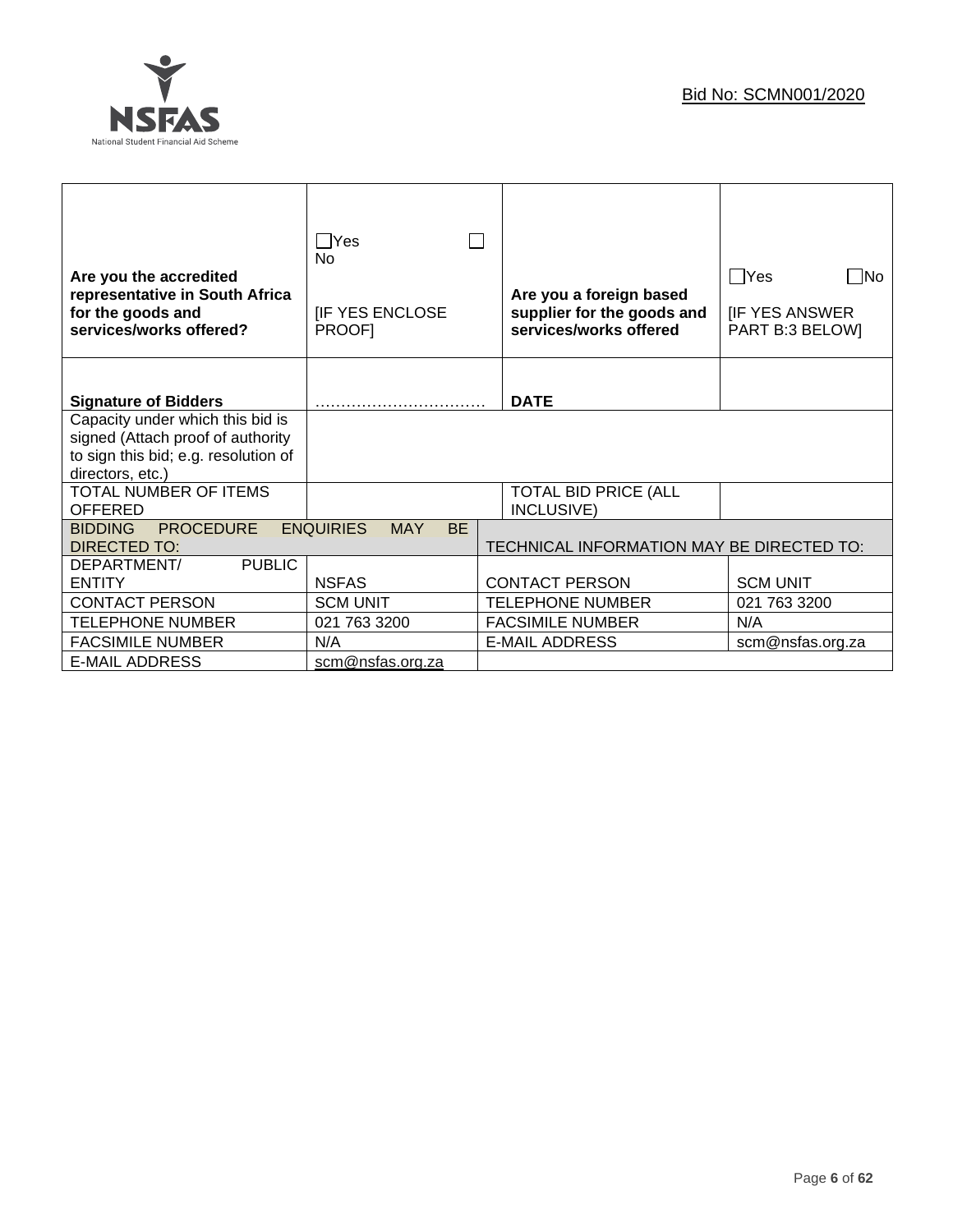

| Are you the accredited<br>representative in South Africa<br>for the goods and<br>services/works offered?                          | $\Box$ Yes<br>N <sub>0</sub><br><b>IF YES ENCLOSE</b><br><b>PROOFI</b> | Are you a foreign based<br>supplier for the goods and<br>services/works offered | $\Box$ Yes<br>$\Box$ No<br><b>IF YES ANSWER</b><br>PART B:3 BELOW] |
|-----------------------------------------------------------------------------------------------------------------------------------|------------------------------------------------------------------------|---------------------------------------------------------------------------------|--------------------------------------------------------------------|
| <b>Signature of Bidders</b>                                                                                                       |                                                                        | <b>DATE</b>                                                                     |                                                                    |
| Capacity under which this bid is<br>signed (Attach proof of authority<br>to sign this bid; e.g. resolution of<br>directors, etc.) |                                                                        |                                                                                 |                                                                    |
| TOTAL NUMBER OF ITEMS<br><b>OFFERED</b>                                                                                           |                                                                        | <b>TOTAL BID PRICE (ALL</b><br>INCLUSIVE)                                       |                                                                    |
| <b>PROCEDURE</b><br><b>BIDDING</b><br><b>DIRECTED TO:</b>                                                                         | <b>ENQUIRIES</b><br><b>BE</b><br><b>MAY</b>                            | TECHNICAL INFORMATION MAY BE DIRECTED TO:                                       |                                                                    |
| DEPARTMENT/<br><b>PUBLIC</b>                                                                                                      |                                                                        |                                                                                 |                                                                    |
| <b>ENTITY</b>                                                                                                                     | <b>NSFAS</b>                                                           | <b>CONTACT PERSON</b>                                                           | <b>SCM UNIT</b>                                                    |
| <b>CONTACT PERSON</b>                                                                                                             | <b>SCM UNIT</b>                                                        | <b>TELEPHONE NUMBER</b>                                                         | 021 763 3200                                                       |
| <b>TELEPHONE NUMBER</b>                                                                                                           | 021 763 3200                                                           | <b>FACSIMILE NUMBER</b>                                                         | N/A                                                                |
| <b>FACSIMILE NUMBER</b>                                                                                                           | N/A                                                                    | <b>E-MAIL ADDRESS</b>                                                           | scm@nsfas.org.za                                                   |
| <b>E-MAIL ADDRESS</b>                                                                                                             | scm@nsfas.org.za                                                       |                                                                                 |                                                                    |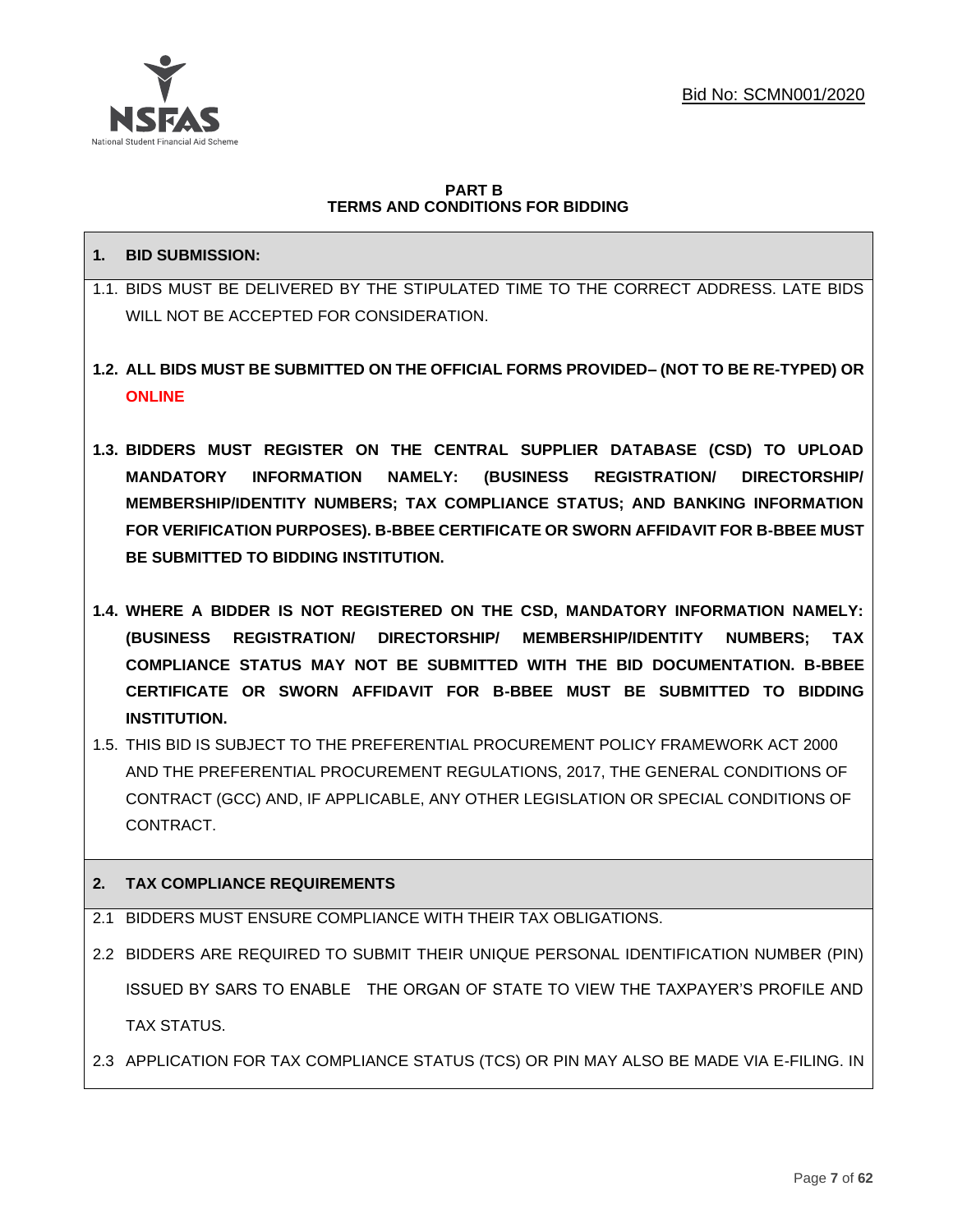

#### **PART B TERMS AND CONDITIONS FOR BIDDING**

# **1. BID SUBMISSION:**

- 1.1. BIDS MUST BE DELIVERED BY THE STIPULATED TIME TO THE CORRECT ADDRESS. LATE BIDS WILL NOT BE ACCEPTED FOR CONSIDERATION.
- **1.2. ALL BIDS MUST BE SUBMITTED ON THE OFFICIAL FORMS PROVIDED– (NOT TO BE RE-TYPED) OR ONLINE**
- **1.3. BIDDERS MUST REGISTER ON THE CENTRAL SUPPLIER DATABASE (CSD) TO UPLOAD MANDATORY INFORMATION NAMELY: (BUSINESS REGISTRATION/ DIRECTORSHIP/ MEMBERSHIP/IDENTITY NUMBERS; TAX COMPLIANCE STATUS; AND BANKING INFORMATION FOR VERIFICATION PURPOSES). B-BBEE CERTIFICATE OR SWORN AFFIDAVIT FOR B-BBEE MUST BE SUBMITTED TO BIDDING INSTITUTION.**
- **1.4. WHERE A BIDDER IS NOT REGISTERED ON THE CSD, MANDATORY INFORMATION NAMELY: (BUSINESS REGISTRATION/ DIRECTORSHIP/ MEMBERSHIP/IDENTITY NUMBERS; TAX COMPLIANCE STATUS MAY NOT BE SUBMITTED WITH THE BID DOCUMENTATION. B-BBEE CERTIFICATE OR SWORN AFFIDAVIT FOR B-BBEE MUST BE SUBMITTED TO BIDDING INSTITUTION.**
- 1.5. THIS BID IS SUBJECT TO THE PREFERENTIAL PROCUREMENT POLICY FRAMEWORK ACT 2000 AND THE PREFERENTIAL PROCUREMENT REGULATIONS, 2017, THE GENERAL CONDITIONS OF CONTRACT (GCC) AND, IF APPLICABLE, ANY OTHER LEGISLATION OR SPECIAL CONDITIONS OF **CONTRACT**

# **2. TAX COMPLIANCE REQUIREMENTS**

- 2.1 BIDDERS MUST ENSURE COMPLIANCE WITH THEIR TAX OBLIGATIONS.
- 2.2 BIDDERS ARE REQUIRED TO SUBMIT THEIR UNIQUE PERSONAL IDENTIFICATION NUMBER (PIN) ISSUED BY SARS TO ENABLE THE ORGAN OF STATE TO VIEW THE TAXPAYER'S PROFILE AND TAX STATUS.
- 2.3 APPLICATION FOR TAX COMPLIANCE STATUS (TCS) OR PIN MAY ALSO BE MADE VIA E-FILING. IN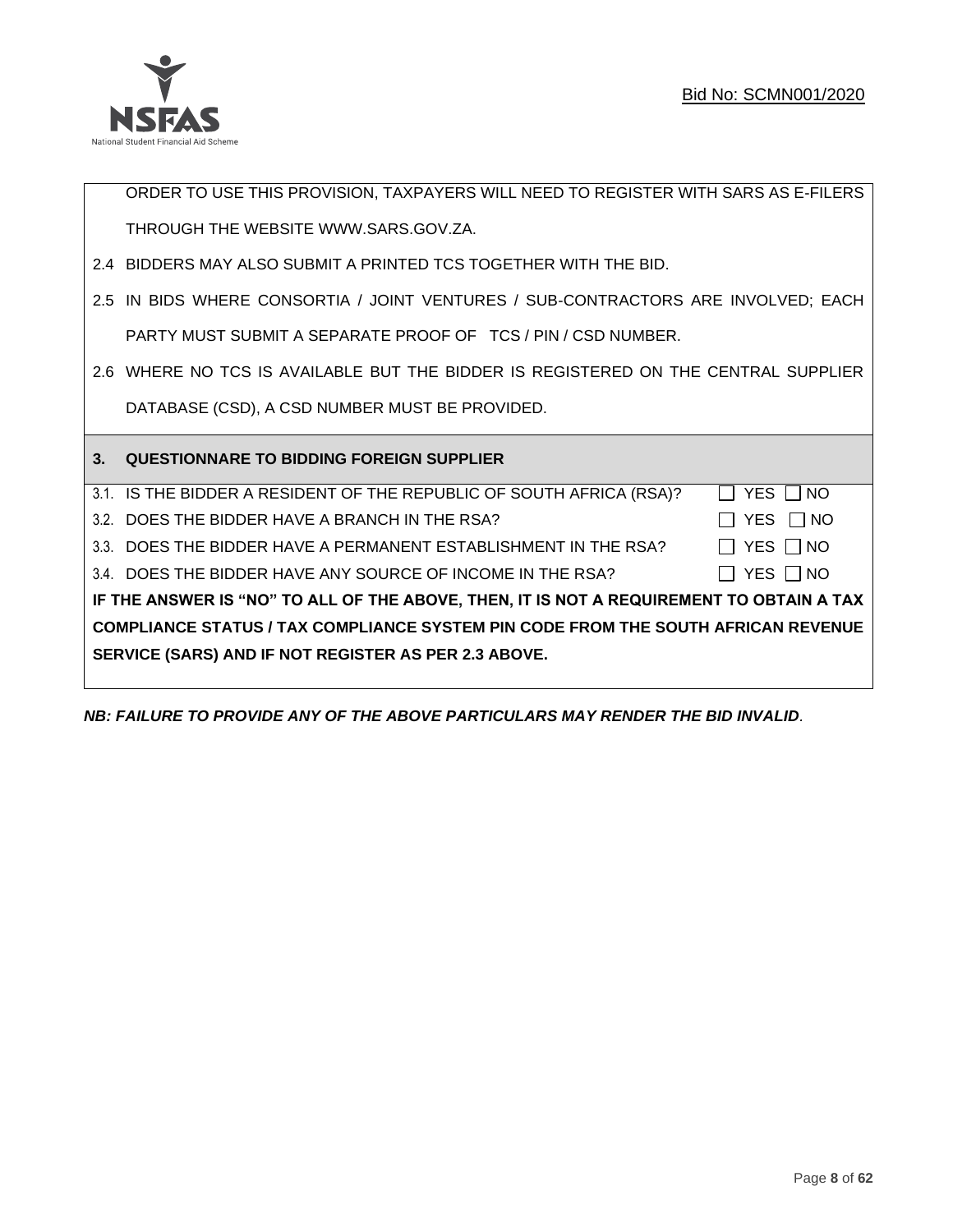

ORDER TO USE THIS PROVISION, TAXPAYERS WILL NEED TO REGISTER WITH SARS AS E-FILERS THROUGH THE WEBSITE [WWW.SARS.GOV.ZA.](http://www.sars.gov.za/) 2.4 BIDDERS MAY ALSO SUBMIT A PRINTED TCS TOGETHER WITH THE BID. 2.5 IN BIDS WHERE CONSORTIA / JOINT VENTURES / SUB-CONTRACTORS ARE INVOLVED; EACH PARTY MUST SUBMIT A SEPARATE PROOF OF TCS / PIN / CSD NUMBER. 2.6 WHERE NO TCS IS AVAILABLE BUT THE BIDDER IS REGISTERED ON THE CENTRAL SUPPLIER DATABASE (CSD), A CSD NUMBER MUST BE PROVIDED. **3. QUESTIONNARE TO BIDDING FOREIGN SUPPLIER**  3.1. IS THE BIDDER A RESIDENT OF THE REPUBLIC OF SOUTH AFRICA (RSA)?  $\Box$  YES  $\Box$  NO 3.2. DOES THE BIDDER HAVE A BRANCH IN THE RSA?  $\Box$  YES  $\Box$  NO 3.3. DOES THE BIDDER HAVE A PERMANENT ESTABLISHMENT IN THE RSA?  $\Box$  YES  $\Box$  NO 3.4. DOES THE BIDDER HAVE ANY SOURCE OF INCOME IN THE RSA?  $\Box$  YES  $\Box$  NO

**IF THE ANSWER IS "NO" TO ALL OF THE ABOVE, THEN, IT IS NOT A REQUIREMENT TO OBTAIN A TAX COMPLIANCE STATUS / TAX COMPLIANCE SYSTEM PIN CODE FROM THE SOUTH AFRICAN REVENUE SERVICE (SARS) AND IF NOT REGISTER AS PER 2.3 ABOVE.**

*NB: FAILURE TO PROVIDE ANY OF THE ABOVE PARTICULARS MAY RENDER THE BID INVALID.*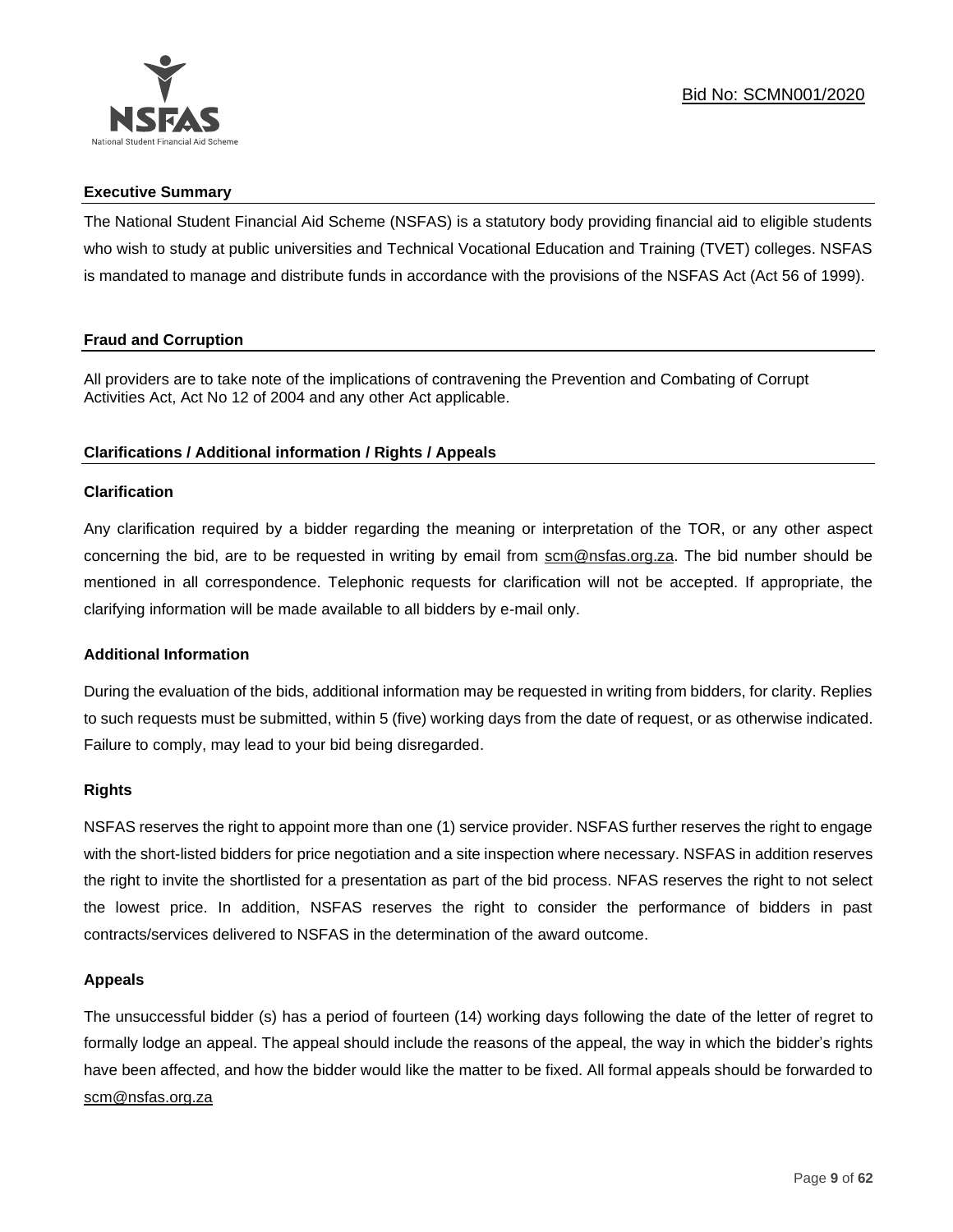

# **Executive Summary**

The National Student Financial Aid Scheme (NSFAS) is a statutory body providing financial aid to eligible students who wish to study at public universities and Technical Vocational Education and Training (TVET) colleges. NSFAS is mandated to manage and distribute funds in accordance with the provisions of the NSFAS Act (Act 56 of 1999).

# **Fraud and Corruption**

All providers are to take note of the implications of contravening the Prevention and Combating of Corrupt Activities Act, Act No 12 of 2004 and any other Act applicable.

# **Clarifications / Additional information / Rights / Appeals**

# **Clarification**

Any clarification required by a bidder regarding the meaning or interpretation of the TOR, or any other aspect concerning the bid, are to be requested in writing by email from scm@nsfas.org.za. The bid number should be mentioned in all correspondence. Telephonic requests for clarification will not be accepted. If appropriate, the clarifying information will be made available to all bidders by e-mail only.

# **Additional Information**

During the evaluation of the bids, additional information may be requested in writing from bidders, for clarity. Replies to such requests must be submitted, within 5 (five) working days from the date of request, or as otherwise indicated. Failure to comply, may lead to your bid being disregarded.

#### **Rights**

NSFAS reserves the right to appoint more than one (1) service provider. NSFAS further reserves the right to engage with the short-listed bidders for price negotiation and a site inspection where necessary. NSFAS in addition reserves the right to invite the shortlisted for a presentation as part of the bid process. NFAS reserves the right to not select the lowest price. In addition, NSFAS reserves the right to consider the performance of bidders in past contracts/services delivered to NSFAS in the determination of the award outcome.

# **Appeals**

The unsuccessful bidder (s) has a period of fourteen (14) working days following the date of the letter of regret to formally lodge an appeal. The appeal should include the reasons of the appeal, the way in which the bidder's rights have been affected, and how the bidder would like the matter to be fixed. All formal appeals should be forwarded to [scm@nsfas.org.za](mailto:scm@nsfas.org.za)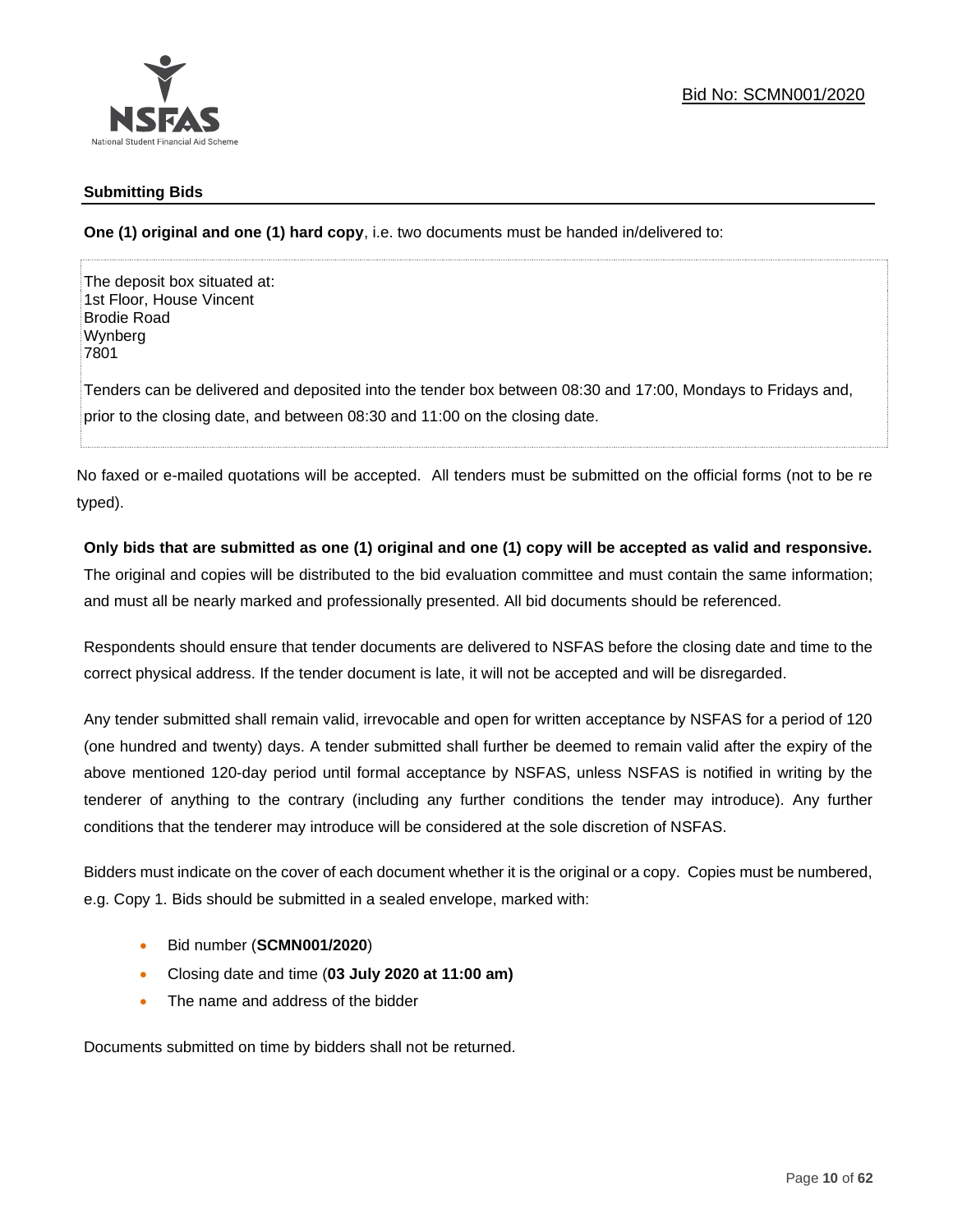

# **Submitting Bids**

**One (1) original and one (1) hard copy**, i.e. two documents must be handed in/delivered to:

The deposit box situated at: 1st Floor, House Vincent Brodie Road Wynberg 7801

Tenders can be delivered and deposited into the tender box between 08:30 and 17:00, Mondays to Fridays and, prior to the closing date, and between 08:30 and 11:00 on the closing date.

No faxed or e-mailed quotations will be accepted. All tenders must be submitted on the official forms (not to be re typed).

# **Only bids that are submitted as one (1) original and one (1) copy will be accepted as valid and responsive.**

The original and copies will be distributed to the bid evaluation committee and must contain the same information; and must all be nearly marked and professionally presented. All bid documents should be referenced.

Respondents should ensure that tender documents are delivered to NSFAS before the closing date and time to the correct physical address. If the tender document is late, it will not be accepted and will be disregarded.

Any tender submitted shall remain valid, irrevocable and open for written acceptance by NSFAS for a period of 120 (one hundred and twenty) days. A tender submitted shall further be deemed to remain valid after the expiry of the above mentioned 120-day period until formal acceptance by NSFAS, unless NSFAS is notified in writing by the tenderer of anything to the contrary (including any further conditions the tender may introduce). Any further conditions that the tenderer may introduce will be considered at the sole discretion of NSFAS.

Bidders must indicate on the cover of each document whether it is the original or a copy. Copies must be numbered, e.g. Copy 1. Bids should be submitted in a sealed envelope, marked with:

- Bid number (**SCMN001/2020**)
- Closing date and time (**03 July 2020 at 11:00 am)**
- The name and address of the bidder

Documents submitted on time by bidders shall not be returned.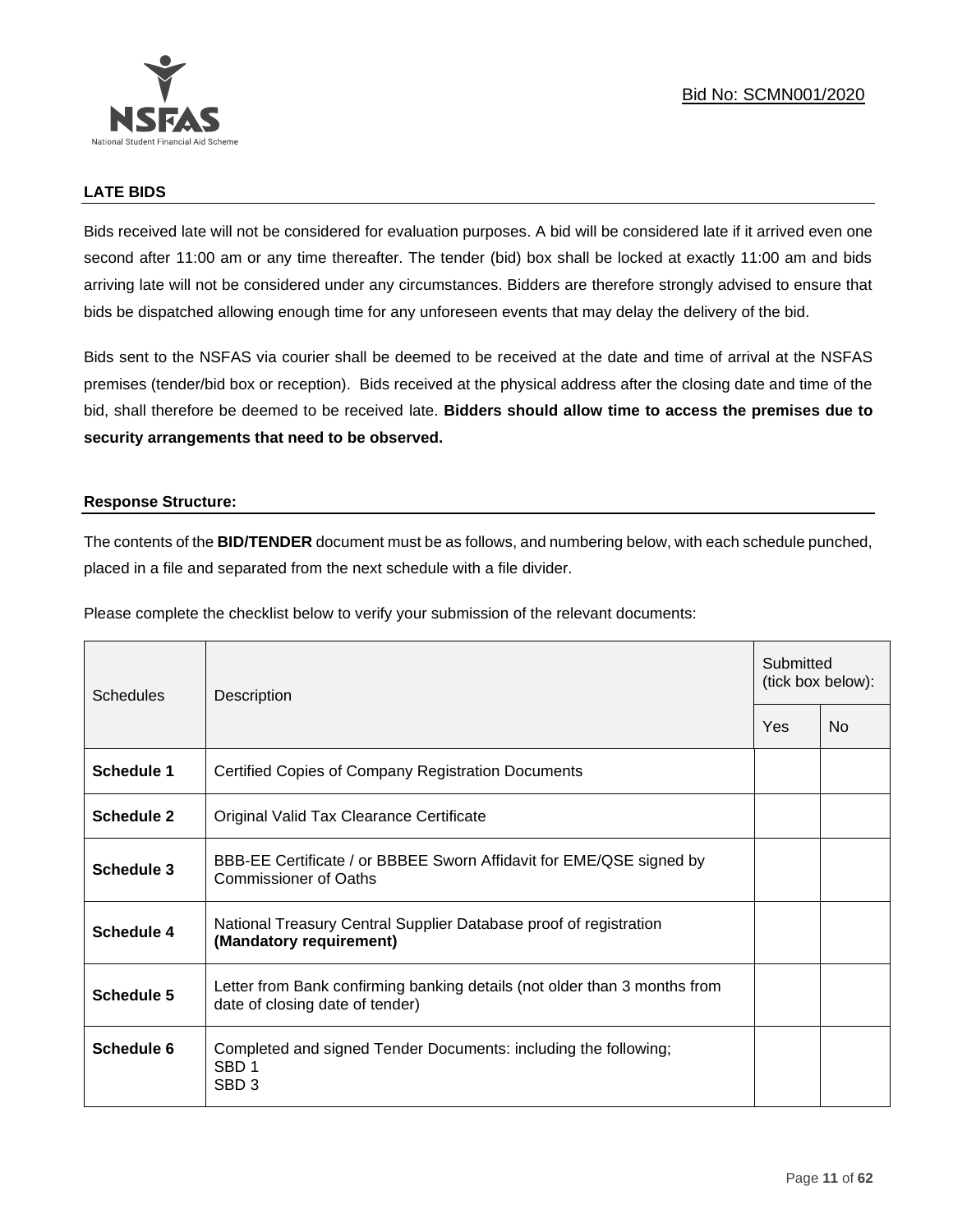

## **LATE BIDS**

Bids received late will not be considered for evaluation purposes. A bid will be considered late if it arrived even one second after 11:00 am or any time thereafter. The tender (bid) box shall be locked at exactly 11:00 am and bids arriving late will not be considered under any circumstances. Bidders are therefore strongly advised to ensure that bids be dispatched allowing enough time for any unforeseen events that may delay the delivery of the bid.

Bids sent to the NSFAS via courier shall be deemed to be received at the date and time of arrival at the NSFAS premises (tender/bid box or reception). Bids received at the physical address after the closing date and time of the bid, shall therefore be deemed to be received late. **Bidders should allow time to access the premises due to security arrangements that need to be observed.**

#### **Response Structure:**

The contents of the **BID/TENDER** document must be as follows, and numbering below, with each schedule punched, placed in a file and separated from the next schedule with a file divider.

Please complete the checklist below to verify your submission of the relevant documents:

| <b>Schedules</b>  | Description                                                                                                  |     | Submitted<br>(tick box below): |  |
|-------------------|--------------------------------------------------------------------------------------------------------------|-----|--------------------------------|--|
|                   |                                                                                                              | Yes | No                             |  |
| Schedule 1        | <b>Certified Copies of Company Registration Documents</b>                                                    |     |                                |  |
| <b>Schedule 2</b> | Original Valid Tax Clearance Certificate                                                                     |     |                                |  |
| Schedule 3        | BBB-EE Certificate / or BBBEE Sworn Affidavit for EME/QSE signed by<br>Commissioner of Oaths                 |     |                                |  |
| <b>Schedule 4</b> | National Treasury Central Supplier Database proof of registration<br>(Mandatory requirement)                 |     |                                |  |
| <b>Schedule 5</b> | Letter from Bank confirming banking details (not older than 3 months from<br>date of closing date of tender) |     |                                |  |
| Schedule 6        | Completed and signed Tender Documents: including the following;<br>SBD <sub>1</sub><br>SBD <sub>3</sub>      |     |                                |  |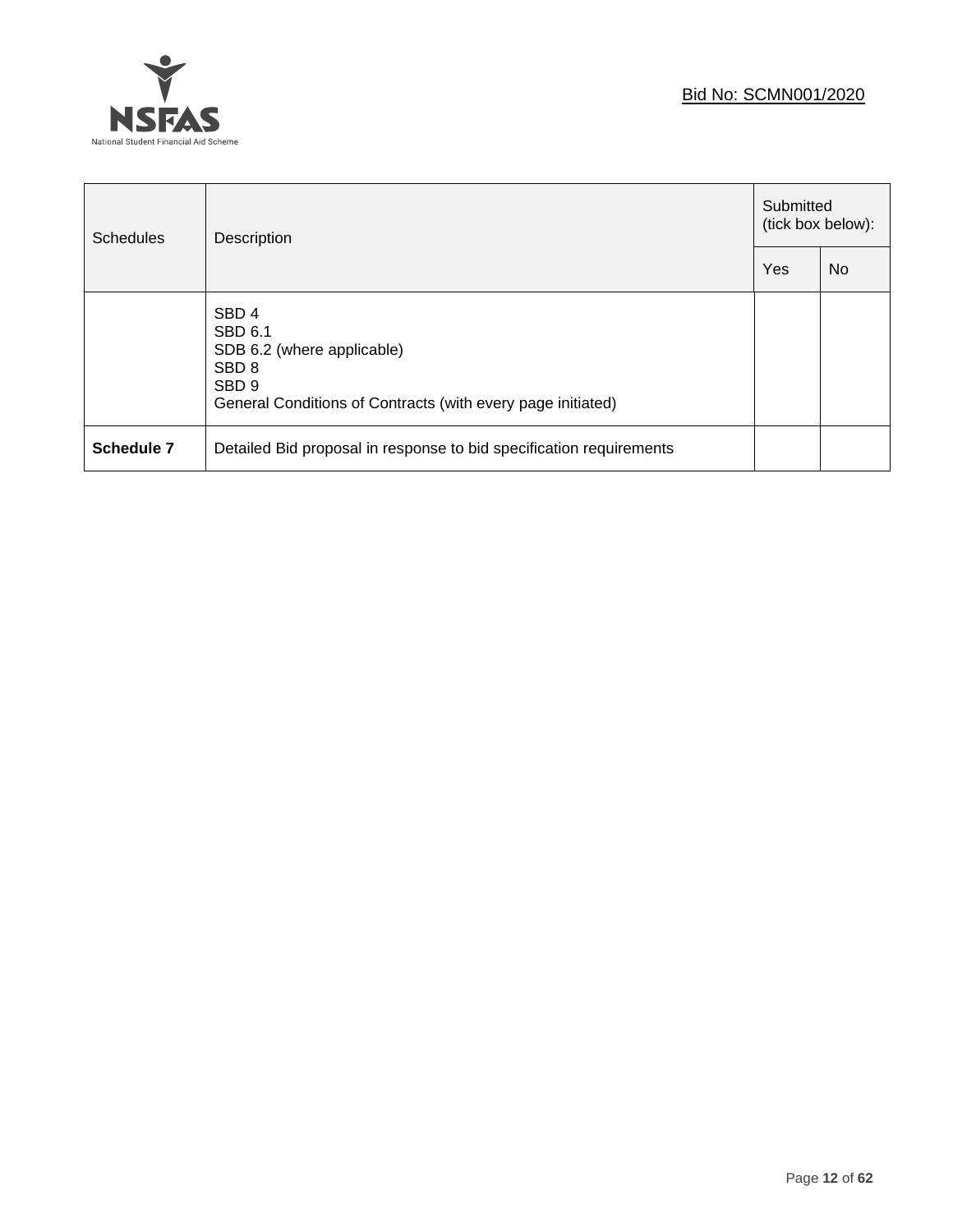

 $\overline{a}$ 

| <b>Schedules</b>  | Description                                                                                                                                                      |  | Submitted<br>(tick box below): |  |
|-------------------|------------------------------------------------------------------------------------------------------------------------------------------------------------------|--|--------------------------------|--|
|                   |                                                                                                                                                                  |  | <b>No</b>                      |  |
|                   | SBD <sub>4</sub><br>SBD 6.1<br>SDB 6.2 (where applicable)<br>SBD <sub>8</sub><br>SBD <sub>9</sub><br>General Conditions of Contracts (with every page initiated) |  |                                |  |
| <b>Schedule 7</b> | Detailed Bid proposal in response to bid specification requirements                                                                                              |  |                                |  |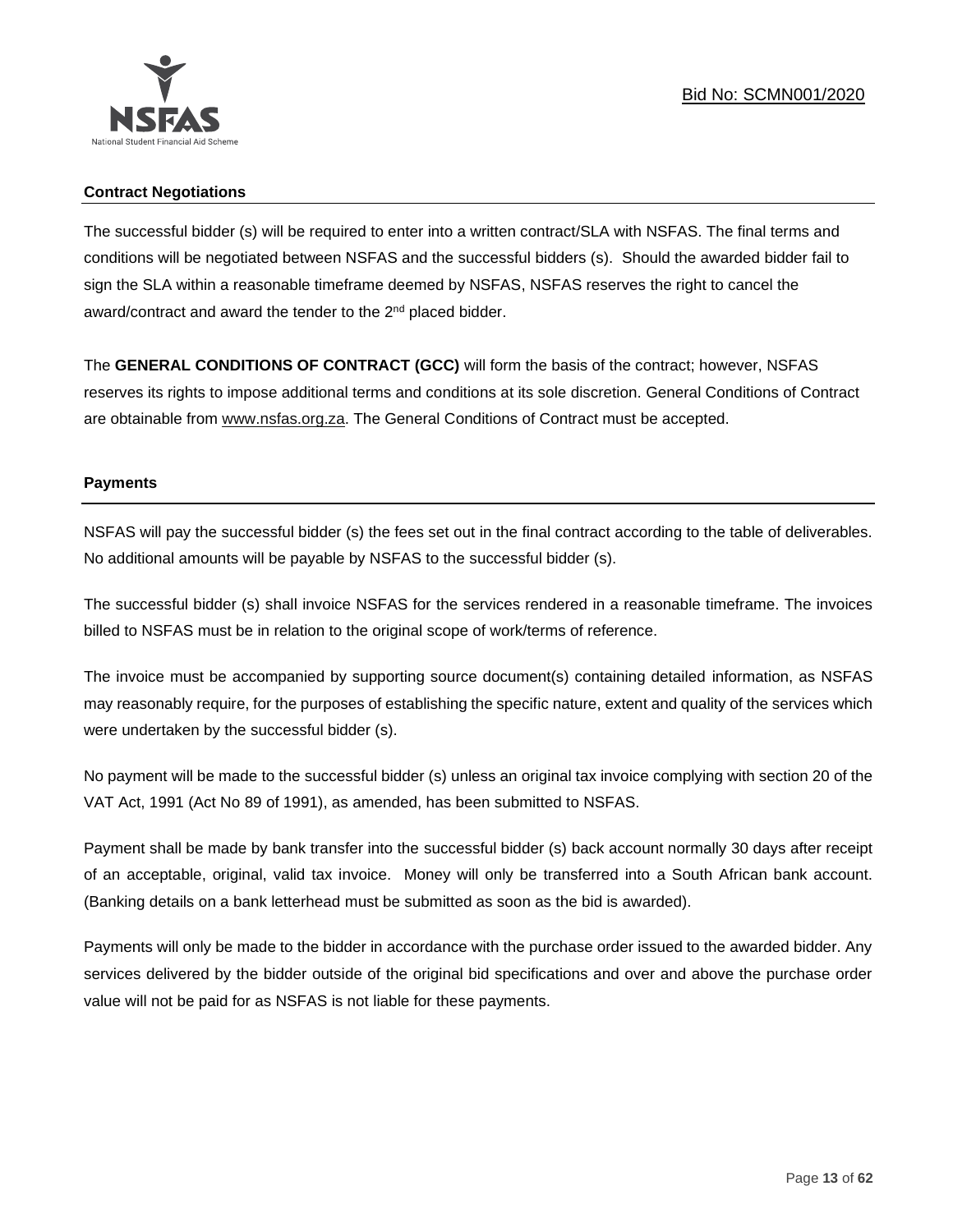

# **Contract Negotiations**

The successful bidder (s) will be required to enter into a written contract/SLA with NSFAS. The final terms and conditions will be negotiated between NSFAS and the successful bidders (s). Should the awarded bidder fail to sign the SLA within a reasonable timeframe deemed by NSFAS, NSFAS reserves the right to cancel the award/contract and award the tender to the 2<sup>nd</sup> placed bidder.

The **GENERAL CONDITIONS OF CONTRACT (GCC)** will form the basis of the contract; however, NSFAS reserves its rights to impose additional terms and conditions at its sole discretion. General Conditions of Contract are obtainable from [www.nsfas.org.za.](http://www.nsfas.org.za/) The General Conditions of Contract must be accepted.

# **Payments**

NSFAS will pay the successful bidder (s) the fees set out in the final contract according to the table of deliverables. No additional amounts will be payable by NSFAS to the successful bidder (s).

The successful bidder (s) shall invoice NSFAS for the services rendered in a reasonable timeframe. The invoices billed to NSFAS must be in relation to the original scope of work/terms of reference.

The invoice must be accompanied by supporting source document(s) containing detailed information, as NSFAS may reasonably require, for the purposes of establishing the specific nature, extent and quality of the services which were undertaken by the successful bidder (s).

No payment will be made to the successful bidder (s) unless an original tax invoice complying with section 20 of the VAT Act, 1991 (Act No 89 of 1991), as amended, has been submitted to NSFAS.

Payment shall be made by bank transfer into the successful bidder (s) back account normally 30 days after receipt of an acceptable, original, valid tax invoice. Money will only be transferred into a South African bank account. (Banking details on a bank letterhead must be submitted as soon as the bid is awarded).

Payments will only be made to the bidder in accordance with the purchase order issued to the awarded bidder. Any services delivered by the bidder outside of the original bid specifications and over and above the purchase order value will not be paid for as NSFAS is not liable for these payments.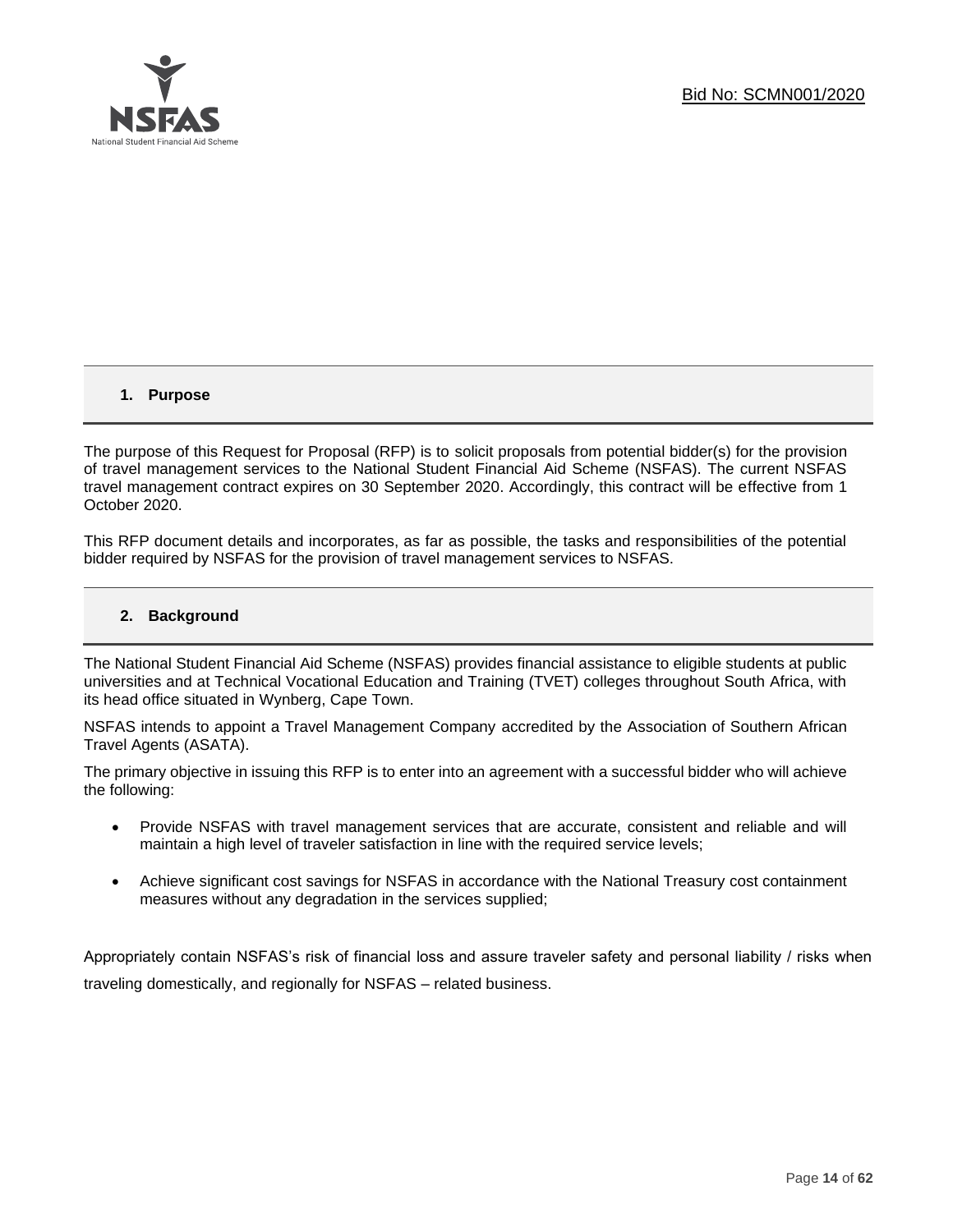

# **1. Purpose**

The purpose of this Request for Proposal (RFP) is to solicit proposals from potential bidder(s) for the provision of travel management services to the National Student Financial Aid Scheme (NSFAS). The current NSFAS travel management contract expires on 30 September 2020. Accordingly, this contract will be effective from 1 October 2020.

This RFP document details and incorporates, as far as possible, the tasks and responsibilities of the potential bidder required by NSFAS for the provision of travel management services to NSFAS.

# **2. Background**

The National Student Financial Aid Scheme (NSFAS) provides financial assistance to eligible students at public universities and at Technical Vocational Education and Training (TVET) colleges throughout South Africa, with its head office situated in Wynberg, Cape Town.

NSFAS intends to appoint a Travel Management Company accredited by the Association of Southern African Travel Agents (ASATA).

The primary objective in issuing this RFP is to enter into an agreement with a successful bidder who will achieve the following:

- Provide NSFAS with travel management services that are accurate, consistent and reliable and will maintain a high level of traveler satisfaction in line with the required service levels;
- Achieve significant cost savings for NSFAS in accordance with the National Treasury cost containment measures without any degradation in the services supplied;

Appropriately contain NSFAS's risk of financial loss and assure traveler safety and personal liability / risks when traveling domestically, and regionally for NSFAS – related business.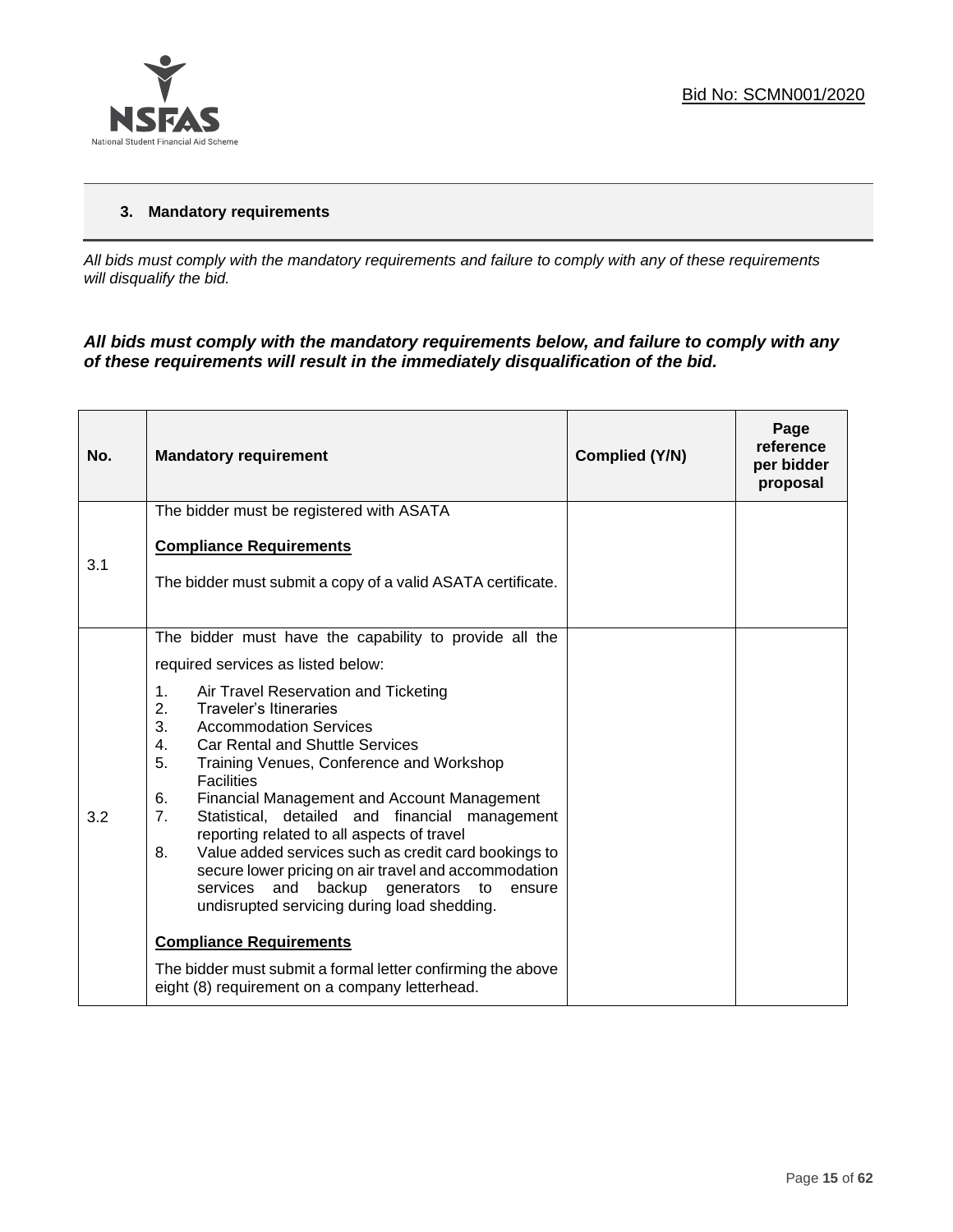

# **3. Mandatory requirements**

*All bids must comply with the mandatory requirements and failure to comply with any of these requirements will disqualify the bid.*

# *All bids must comply with the mandatory requirements below, and failure to comply with any of these requirements will result in the immediately disqualification of the bid.*

| No. | <b>Mandatory requirement</b>                                                                                                                                                                                                                                                                                                                                                                                                                                                                                                                                                                                                                                                                                                                                                | Complied (Y/N) | Page<br>reference<br>per bidder<br>proposal |
|-----|-----------------------------------------------------------------------------------------------------------------------------------------------------------------------------------------------------------------------------------------------------------------------------------------------------------------------------------------------------------------------------------------------------------------------------------------------------------------------------------------------------------------------------------------------------------------------------------------------------------------------------------------------------------------------------------------------------------------------------------------------------------------------------|----------------|---------------------------------------------|
|     | The bidder must be registered with ASATA<br><b>Compliance Requirements</b>                                                                                                                                                                                                                                                                                                                                                                                                                                                                                                                                                                                                                                                                                                  |                |                                             |
| 3.1 | The bidder must submit a copy of a valid ASATA certificate.                                                                                                                                                                                                                                                                                                                                                                                                                                                                                                                                                                                                                                                                                                                 |                |                                             |
| 3.2 | The bidder must have the capability to provide all the<br>required services as listed below:<br>1.<br>Air Travel Reservation and Ticketing<br>2.<br>Traveler's Itineraries<br>3.<br><b>Accommodation Services</b><br>4.<br><b>Car Rental and Shuttle Services</b><br>5.<br>Training Venues, Conference and Workshop<br><b>Facilities</b><br>6.<br>Financial Management and Account Management<br>7 <sub>1</sub><br>Statistical, detailed and financial management<br>reporting related to all aspects of travel<br>8.<br>Value added services such as credit card bookings to<br>secure lower pricing on air travel and accommodation<br>services and<br>backup generators<br>to<br>ensure<br>undisrupted servicing during load shedding.<br><b>Compliance Requirements</b> |                |                                             |
|     | The bidder must submit a formal letter confirming the above<br>eight (8) requirement on a company letterhead.                                                                                                                                                                                                                                                                                                                                                                                                                                                                                                                                                                                                                                                               |                |                                             |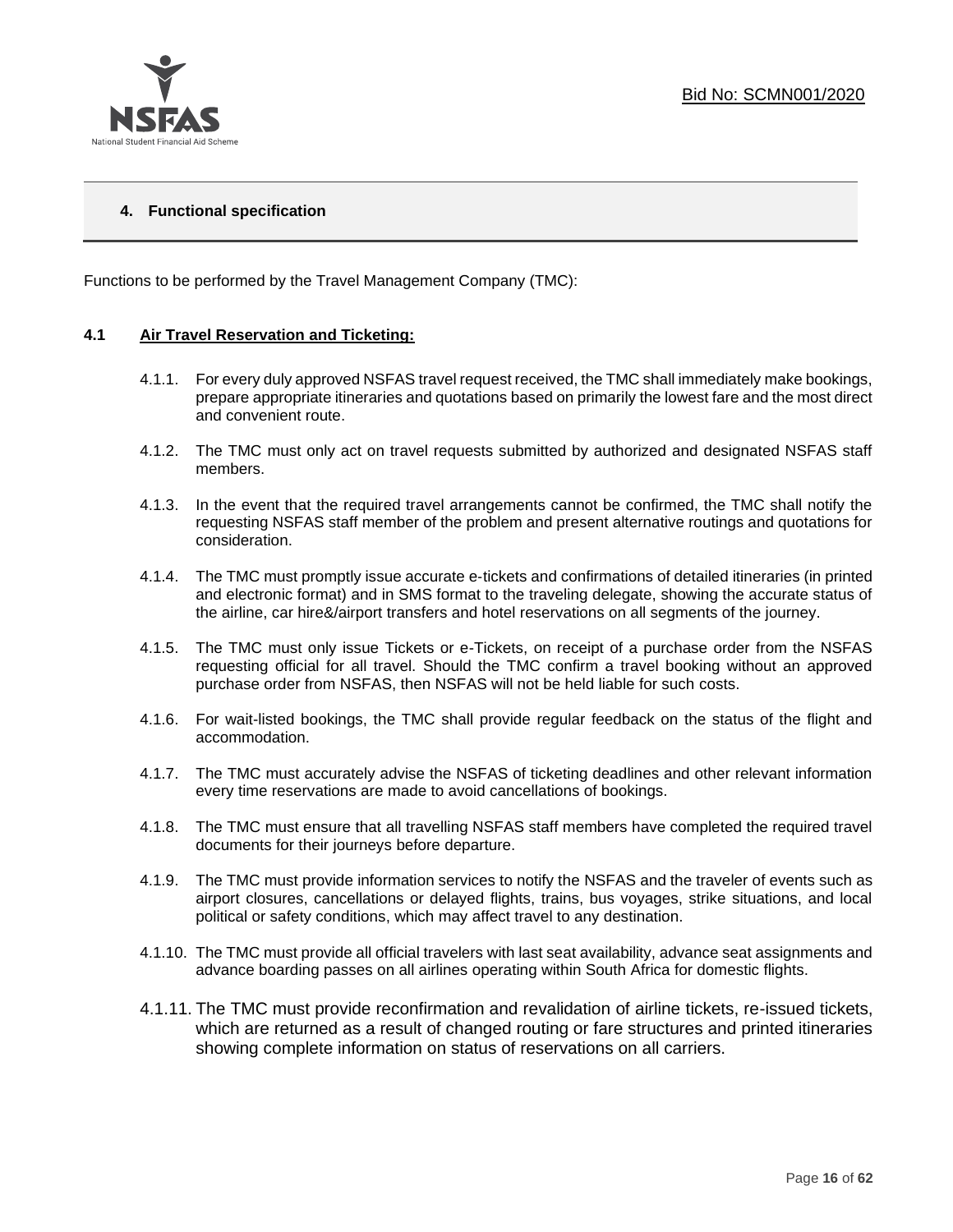

## **4. Functional specification**

Functions to be performed by the Travel Management Company (TMC):

## **4.1 Air Travel Reservation and Ticketing:**

- 4.1.1. For every duly approved NSFAS travel request received, the TMC shall immediately make bookings, prepare appropriate itineraries and quotations based on primarily the lowest fare and the most direct and convenient route.
- 4.1.2. The TMC must only act on travel requests submitted by authorized and designated NSFAS staff members.
- 4.1.3. In the event that the required travel arrangements cannot be confirmed, the TMC shall notify the requesting NSFAS staff member of the problem and present alternative routings and quotations for consideration.
- 4.1.4. The TMC must promptly issue accurate e‐tickets and confirmations of detailed itineraries (in printed and electronic format) and in SMS format to the traveling delegate, showing the accurate status of the airline, car hire&/airport transfers and hotel reservations on all segments of the journey.
- 4.1.5. The TMC must only issue Tickets or e-Tickets, on receipt of a purchase order from the NSFAS requesting official for all travel. Should the TMC confirm a travel booking without an approved purchase order from NSFAS, then NSFAS will not be held liable for such costs.
- 4.1.6. For wait-listed bookings, the TMC shall provide regular feedback on the status of the flight and accommodation.
- 4.1.7. The TMC must accurately advise the NSFAS of ticketing deadlines and other relevant information every time reservations are made to avoid cancellations of bookings.
- 4.1.8. The TMC must ensure that all travelling NSFAS staff members have completed the required travel documents for their journeys before departure.
- 4.1.9. The TMC must provide information services to notify the NSFAS and the traveler of events such as airport closures, cancellations or delayed flights, trains, bus voyages, strike situations, and local political or safety conditions, which may affect travel to any destination.
- 4.1.10. The TMC must provide all official travelers with last seat availability, advance seat assignments and advance boarding passes on all airlines operating within South Africa for domestic flights.
- 4.1.11. The TMC must provide reconfirmation and revalidation of airline tickets, re-issued tickets, which are returned as a result of changed routing or fare structures and printed itineraries showing complete information on status of reservations on all carriers.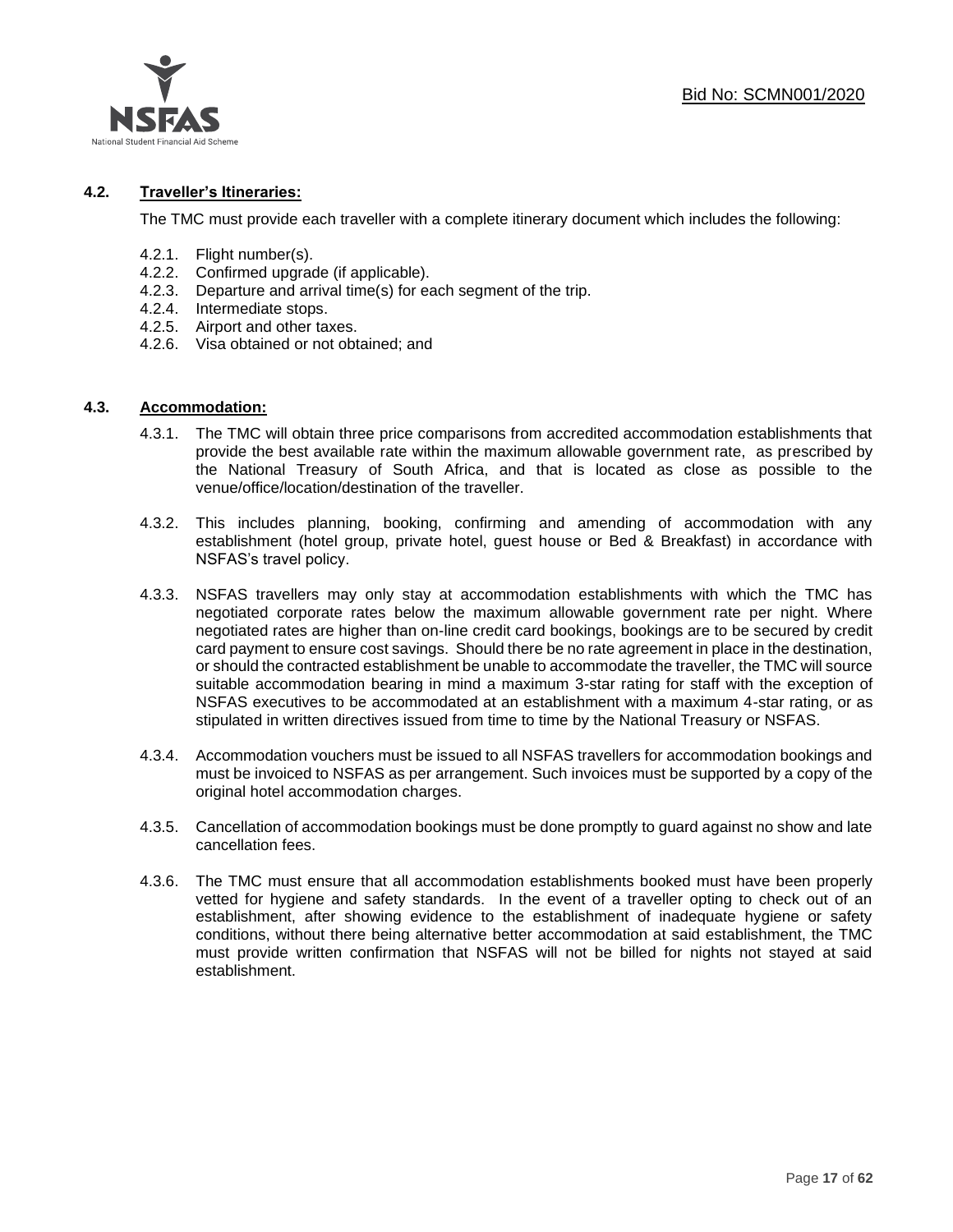

## **4.2. Traveller's Itineraries:**

The TMC must provide each traveller with a complete itinerary document which includes the following:

- 4.2.1. Flight number(s).
- 4.2.2. Confirmed upgrade (if applicable).
- 4.2.3. Departure and arrival time(s) for each segment of the trip.
- 4.2.4. Intermediate stops.
- 4.2.5. Airport and other taxes.
- 4.2.6. Visa obtained or not obtained; and

#### **4.3. Accommodation:**

- 4.3.1. The TMC will obtain three price comparisons from accredited accommodation establishments that provide the best available rate within the maximum allowable government rate, as prescribed by the National Treasury of South Africa, and that is located as close as possible to the venue/office/location/destination of the traveller.
- 4.3.2. This includes planning, booking, confirming and amending of accommodation with any establishment (hotel group, private hotel, guest house or Bed & Breakfast) in accordance with NSFAS's travel policy.
- 4.3.3. NSFAS travellers may only stay at accommodation establishments with which the TMC has negotiated corporate rates below the maximum allowable government rate per night. Where negotiated rates are higher than on-line credit card bookings, bookings are to be secured by credit card payment to ensure cost savings. Should there be no rate agreement in place in the destination, or should the contracted establishment be unable to accommodate the traveller, the TMC will source suitable accommodation bearing in mind a maximum 3-star rating for staff with the exception of NSFAS executives to be accommodated at an establishment with a maximum 4-star rating, or as stipulated in written directives issued from time to time by the National Treasury or NSFAS.
- 4.3.4. Accommodation vouchers must be issued to all NSFAS travellers for accommodation bookings and must be invoiced to NSFAS as per arrangement. Such invoices must be supported by a copy of the original hotel accommodation charges.
- 4.3.5. Cancellation of accommodation bookings must be done promptly to guard against no show and late cancellation fees.
- 4.3.6. The TMC must ensure that all accommodation establishments booked must have been properly vetted for hygiene and safety standards. In the event of a traveller opting to check out of an establishment, after showing evidence to the establishment of inadequate hygiene or safety conditions, without there being alternative better accommodation at said establishment, the TMC must provide written confirmation that NSFAS will not be billed for nights not stayed at said establishment.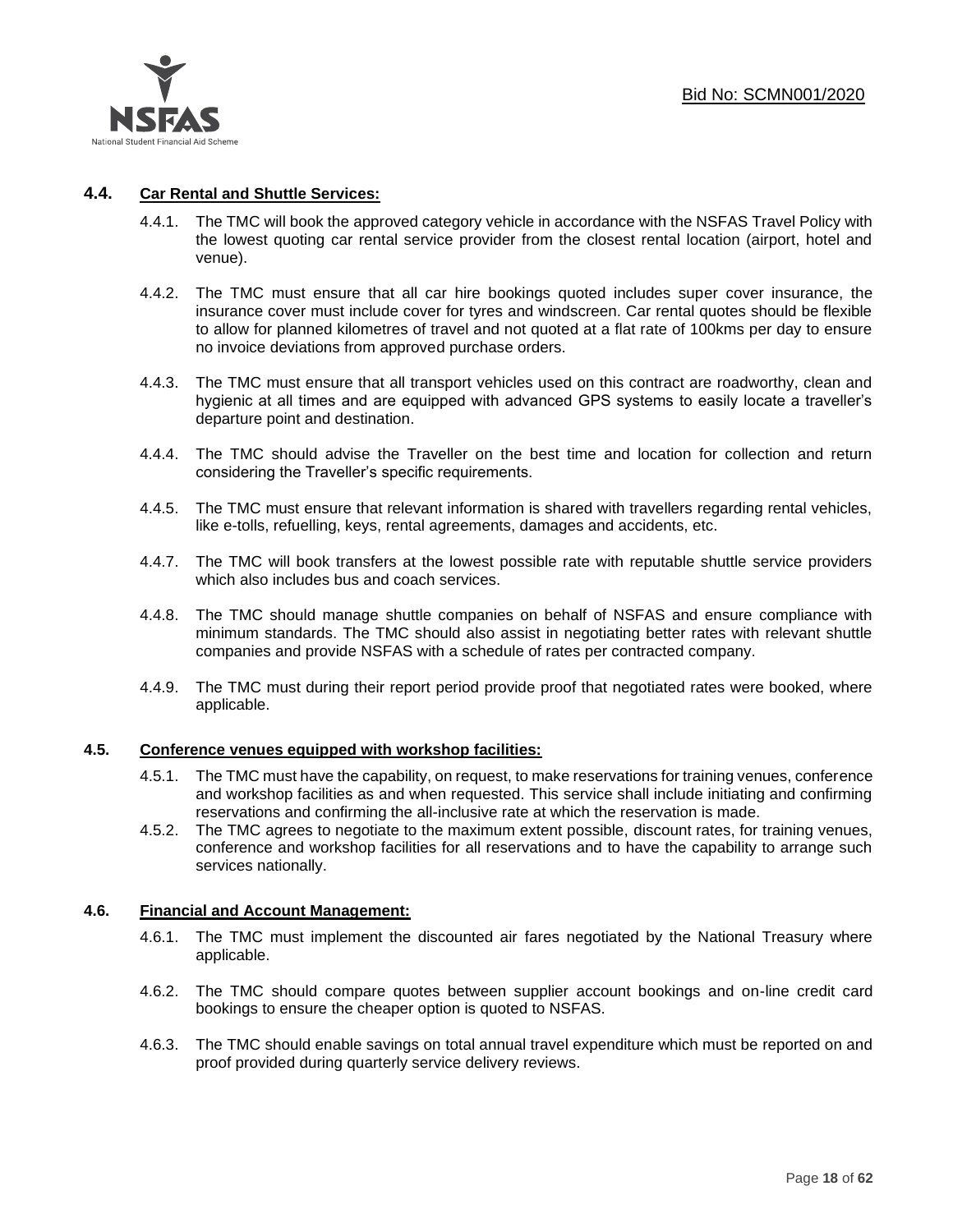

## **4.4. Car Rental and Shuttle Services:**

- 4.4.1. The TMC will book the approved category vehicle in accordance with the NSFAS Travel Policy with the lowest quoting car rental service provider from the closest rental location (airport, hotel and venue).
- 4.4.2. The TMC must ensure that all car hire bookings quoted includes super cover insurance, the insurance cover must include cover for tyres and windscreen. Car rental quotes should be flexible to allow for planned kilometres of travel and not quoted at a flat rate of 100kms per day to ensure no invoice deviations from approved purchase orders.
- 4.4.3. The TMC must ensure that all transport vehicles used on this contract are roadworthy, clean and hygienic at all times and are equipped with advanced GPS systems to easily locate a traveller's departure point and destination.
- 4.4.4. The TMC should advise the Traveller on the best time and location for collection and return considering the Traveller's specific requirements.
- 4.4.5. The TMC must ensure that relevant information is shared with travellers regarding rental vehicles, like e-tolls, refuelling, keys, rental agreements, damages and accidents, etc.
- 4.4.7. The TMC will book transfers at the lowest possible rate with reputable shuttle service providers which also includes bus and coach services.
- 4.4.8. The TMC should manage shuttle companies on behalf of NSFAS and ensure compliance with minimum standards. The TMC should also assist in negotiating better rates with relevant shuttle companies and provide NSFAS with a schedule of rates per contracted company.
- 4.4.9. The TMC must during their report period provide proof that negotiated rates were booked, where applicable.

#### **4.5. Conference venues equipped with workshop facilities:**

- 4.5.1. The TMC must have the capability, on request, to make reservations for training venues, conference and workshop facilities as and when requested. This service shall include initiating and confirming reservations and confirming the all-inclusive rate at which the reservation is made.
- 4.5.2. The TMC agrees to negotiate to the maximum extent possible, discount rates, for training venues, conference and workshop facilities for all reservations and to have the capability to arrange such services nationally.

#### **4.6. Financial and Account Management:**

- 4.6.1. The TMC must implement the discounted air fares negotiated by the National Treasury where applicable.
- 4.6.2. The TMC should compare quotes between supplier account bookings and on-line credit card bookings to ensure the cheaper option is quoted to NSFAS.
- 4.6.3. The TMC should enable savings on total annual travel expenditure which must be reported on and proof provided during quarterly service delivery reviews.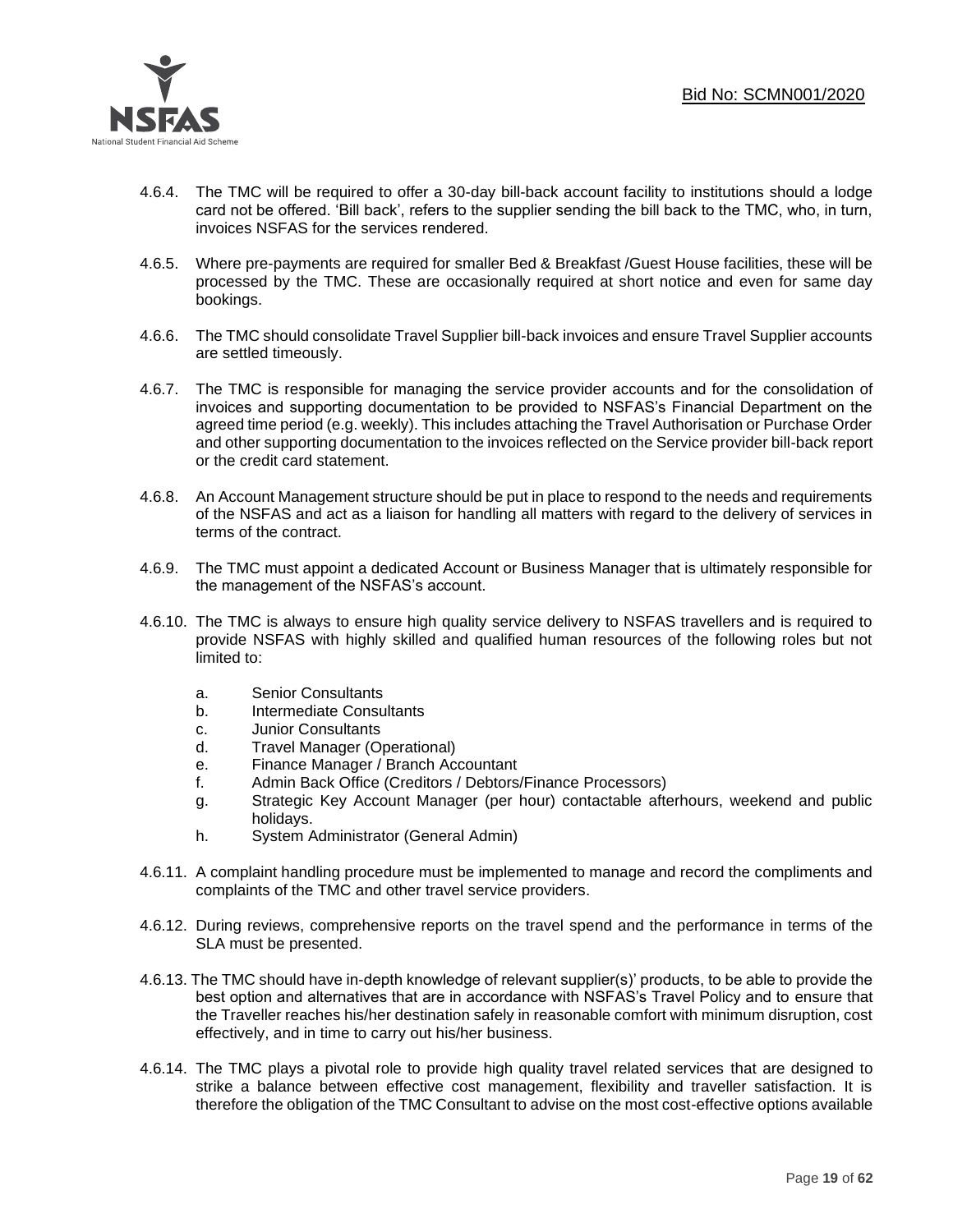

- 4.6.4. The TMC will be required to offer a 30-day bill-back account facility to institutions should a lodge card not be offered. 'Bill back', refers to the supplier sending the bill back to the TMC, who, in turn, invoices NSFAS for the services rendered.
- 4.6.5. Where pre-payments are required for smaller Bed & Breakfast /Guest House facilities, these will be processed by the TMC. These are occasionally required at short notice and even for same day bookings.
- 4.6.6. The TMC should consolidate Travel Supplier bill-back invoices and ensure Travel Supplier accounts are settled timeously.
- 4.6.7. The TMC is responsible for managing the service provider accounts and for the consolidation of invoices and supporting documentation to be provided to NSFAS's Financial Department on the agreed time period (e.g. weekly). This includes attaching the Travel Authorisation or Purchase Order and other supporting documentation to the invoices reflected on the Service provider bill-back report or the credit card statement.
- 4.6.8. An Account Management structure should be put in place to respond to the needs and requirements of the NSFAS and act as a liaison for handling all matters with regard to the delivery of services in terms of the contract.
- 4.6.9. The TMC must appoint a dedicated Account or Business Manager that is ultimately responsible for the management of the NSFAS's account.
- 4.6.10. The TMC is always to ensure high quality service delivery to NSFAS travellers and is required to provide NSFAS with highly skilled and qualified human resources of the following roles but not limited to:
	- a. Senior Consultants
	- b. Intermediate Consultants
	- c. Junior Consultants
	- d. Travel Manager (Operational)
	- e. Finance Manager / Branch Accountant
	- f. Admin Back Office (Creditors / Debtors/Finance Processors)
	- g. Strategic Key Account Manager (per hour) contactable afterhours, weekend and public holidays.
	- h. System Administrator (General Admin)
- 4.6.11. A complaint handling procedure must be implemented to manage and record the compliments and complaints of the TMC and other travel service providers.
- 4.6.12. During reviews, comprehensive reports on the travel spend and the performance in terms of the SLA must be presented.
- 4.6.13. The TMC should have in-depth knowledge of relevant supplier(s)' products, to be able to provide the best option and alternatives that are in accordance with NSFAS's Travel Policy and to ensure that the Traveller reaches his/her destination safely in reasonable comfort with minimum disruption, cost effectively, and in time to carry out his/her business.
- 4.6.14. The TMC plays a pivotal role to provide high quality travel related services that are designed to strike a balance between effective cost management, flexibility and traveller satisfaction. It is therefore the obligation of the TMC Consultant to advise on the most cost-effective options available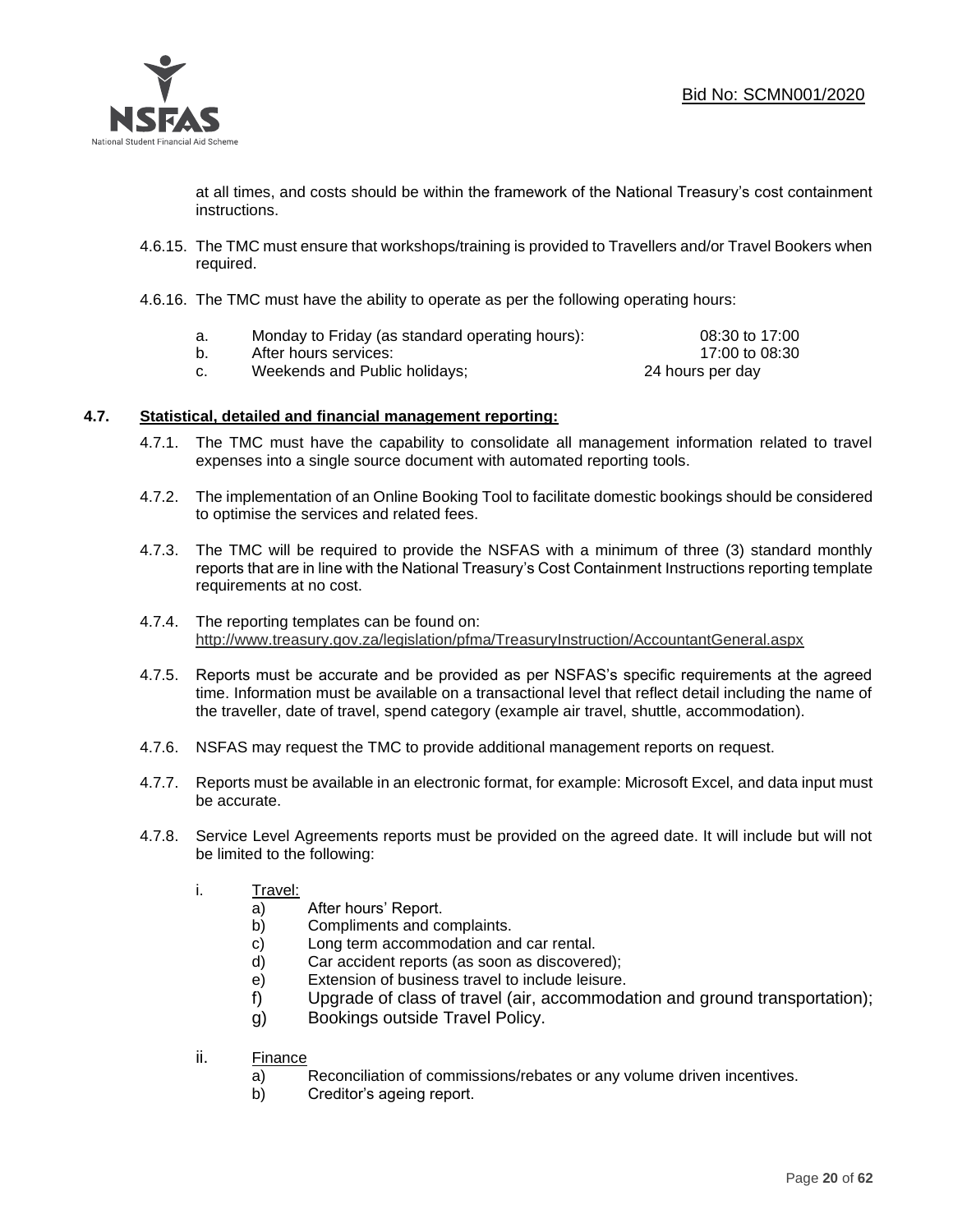

at all times, and costs should be within the framework of the National Treasury's cost containment instructions.

- 4.6.15. The TMC must ensure that workshops/training is provided to Travellers and/or Travel Bookers when required.
- 4.6.16. The TMC must have the ability to operate as per the following operating hours:
	- a. Monday to Friday (as standard operating hours): 08:30 to 17:00
	- b. After hours services: 17:00 to 08:30

c. Weekends and Public holidays; 24 hours per day

- **4.7. Statistical, detailed and financial management reporting:**
	- 4.7.1. The TMC must have the capability to consolidate all management information related to travel expenses into a single source document with automated reporting tools.
	- 4.7.2. The implementation of an Online Booking Tool to facilitate domestic bookings should be considered to optimise the services and related fees.
	- 4.7.3. The TMC will be required to provide the NSFAS with a minimum of three (3) standard monthly reports that are in line with the National Treasury's Cost Containment Instructions reporting template requirements at no cost.
	- 4.7.4. The reporting templates can be found on: <http://www.treasury.gov.za/legislation/pfma/TreasuryInstruction/AccountantGeneral.aspx>
	- 4.7.5. Reports must be accurate and be provided as per NSFAS's specific requirements at the agreed time. Information must be available on a transactional level that reflect detail including the name of the traveller, date of travel, spend category (example air travel, shuttle, accommodation).
	- 4.7.6. NSFAS may request the TMC to provide additional management reports on request.
	- 4.7.7. Reports must be available in an electronic format, for example: Microsoft Excel, and data input must be accurate.
	- 4.7.8. Service Level Agreements reports must be provided on the agreed date. It will include but will not be limited to the following:
		- i. Travel:
			- a) After hours' Report.
			- b) Compliments and complaints.
			- c) Long term accommodation and car rental.
			- d) Car accident reports (as soon as discovered);
			- e) Extension of business travel to include leisure.
			- f) Upgrade of class of travel (air, accommodation and ground transportation);
			- g) Bookings outside Travel Policy.
		- ii. Finance
			- a) Reconciliation of commissions/rebates or any volume driven incentives.
			- b) Creditor's ageing report.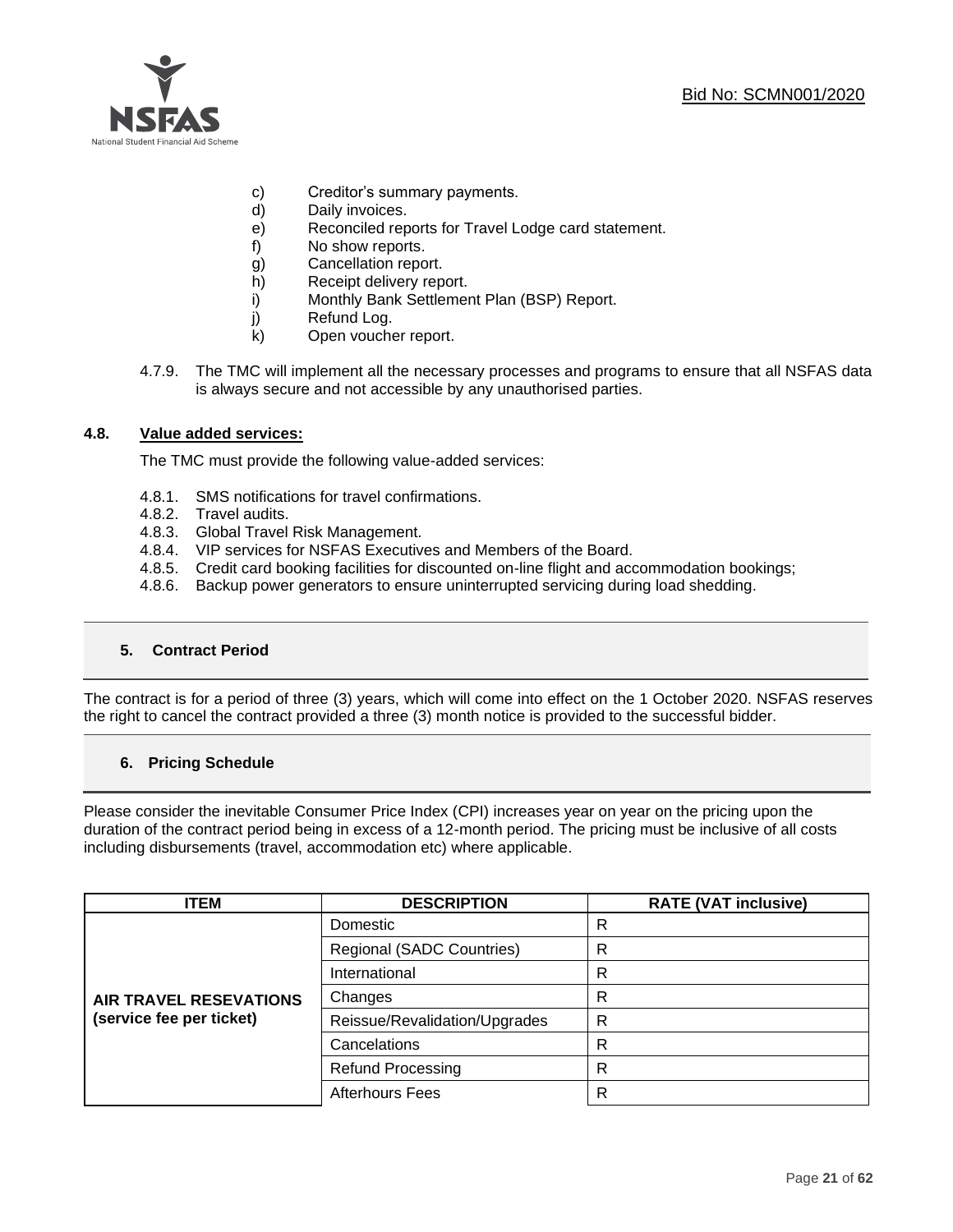# Bid No: SCMN001/2020



- c) Creditor's summary payments.
- d) Daily invoices.
- e) Reconciled reports for Travel Lodge card statement.
- f) No show reports.
- g) Cancellation report.
- h) Receipt delivery report.
- i) Monthly Bank Settlement Plan (BSP) Report.
- j) Refund Log.
- k) Open voucher report.
- 4.7.9. The TMC will implement all the necessary processes and programs to ensure that all NSFAS data is always secure and not accessible by any unauthorised parties.

#### **4.8. Value added services:**

The TMC must provide the following value-added services:

- 4.8.1. SMS notifications for travel confirmations.
- 4.8.2. Travel audits.
- 4.8.3. Global Travel Risk Management.
- 4.8.4. VIP services for NSFAS Executives and Members of the Board.
- 4.8.5. Credit card booking facilities for discounted on-line flight and accommodation bookings;
- 4.8.6. Backup power generators to ensure uninterrupted servicing during load shedding.

## **5. Contract Period**

The contract is for a period of three (3) years, which will come into effect on the 1 October 2020. NSFAS reserves the right to cancel the contract provided a three (3) month notice is provided to the successful bidder.

#### **6. Pricing Schedule**

Please consider the inevitable Consumer Price Index (CPI) increases year on year on the pricing upon the duration of the contract period being in excess of a 12-month period. The pricing must be inclusive of all costs including disbursements (travel, accommodation etc) where applicable.

| <b>ITEM</b>                   | <b>DESCRIPTION</b>               | <b>RATE (VAT inclusive)</b> |
|-------------------------------|----------------------------------|-----------------------------|
|                               | Domestic                         | R                           |
|                               | <b>Regional (SADC Countries)</b> | R                           |
|                               | International                    | R                           |
| <b>AIR TRAVEL RESEVATIONS</b> | Changes                          | R                           |
| (service fee per ticket)      | Reissue/Revalidation/Upgrades    | R                           |
|                               | Cancelations                     | R                           |
|                               | <b>Refund Processing</b>         | R                           |
|                               | <b>Afterhours Fees</b>           | R                           |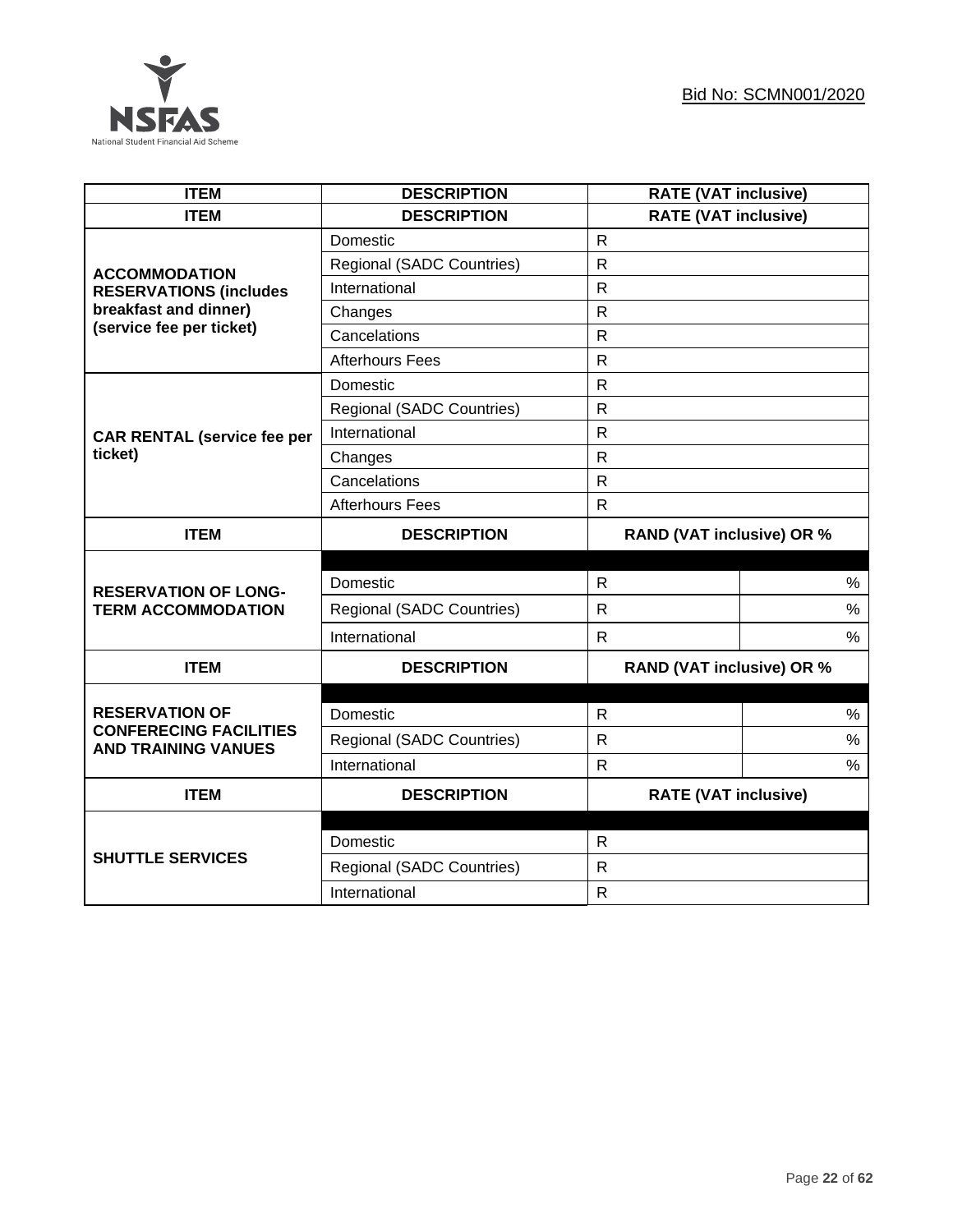

| <b>ITEM</b>                                            | <b>DESCRIPTION</b>               | <b>RATE (VAT inclusive)</b> |      |  |
|--------------------------------------------------------|----------------------------------|-----------------------------|------|--|
| <b>ITEM</b>                                            | <b>DESCRIPTION</b>               | <b>RATE (VAT inclusive)</b> |      |  |
|                                                        | Domestic                         | $\mathsf{R}$                |      |  |
| <b>ACCOMMODATION</b>                                   | Regional (SADC Countries)        | $\mathsf{R}$                |      |  |
| <b>RESERVATIONS (includes</b>                          | International                    | $\mathsf{R}$                |      |  |
| breakfast and dinner)                                  | Changes                          | $\mathsf{R}$                |      |  |
| (service fee per ticket)                               | Cancelations                     | $\mathsf{R}$                |      |  |
|                                                        | <b>Afterhours Fees</b>           | $\mathsf{R}$                |      |  |
|                                                        | Domestic                         | $\mathsf{R}$                |      |  |
|                                                        | Regional (SADC Countries)        | $\mathsf{R}$                |      |  |
| <b>CAR RENTAL (service fee per</b>                     | International                    | $\mathsf{R}$                |      |  |
| ticket)                                                | Changes                          | $\mathsf{R}$                |      |  |
|                                                        | Cancelations                     | $\mathsf{R}$                |      |  |
|                                                        | <b>Afterhours Fees</b>           | $\mathsf{R}$                |      |  |
| <b>ITEM</b>                                            | <b>DESCRIPTION</b>               | RAND (VAT inclusive) OR %   |      |  |
|                                                        |                                  |                             |      |  |
| <b>RESERVATION OF LONG-</b>                            | Domestic                         | $\mathsf{R}$                | $\%$ |  |
| <b>TERM ACCOMMODATION</b>                              | Regional (SADC Countries)        | $\mathsf{R}$                | $\%$ |  |
|                                                        | International                    | $\mathsf{R}$                | $\%$ |  |
| <b>ITEM</b>                                            | <b>DESCRIPTION</b>               | RAND (VAT inclusive) OR %   |      |  |
|                                                        |                                  |                             |      |  |
| <b>RESERVATION OF</b><br><b>CONFERECING FACILITIES</b> | Domestic                         | $\mathsf{R}$                | $\%$ |  |
| <b>AND TRAINING VANUES</b>                             | <b>Regional (SADC Countries)</b> | $\mathsf{R}$                | $\%$ |  |
|                                                        | International                    | R                           | $\%$ |  |
| <b>ITEM</b>                                            | <b>DESCRIPTION</b>               | <b>RATE (VAT inclusive)</b> |      |  |
|                                                        |                                  |                             |      |  |
| <b>SHUTTLE SERVICES</b>                                | Domestic                         | $\mathsf{R}$                |      |  |
|                                                        | <b>Regional (SADC Countries)</b> | $\mathsf{R}$                |      |  |
|                                                        | International                    | R                           |      |  |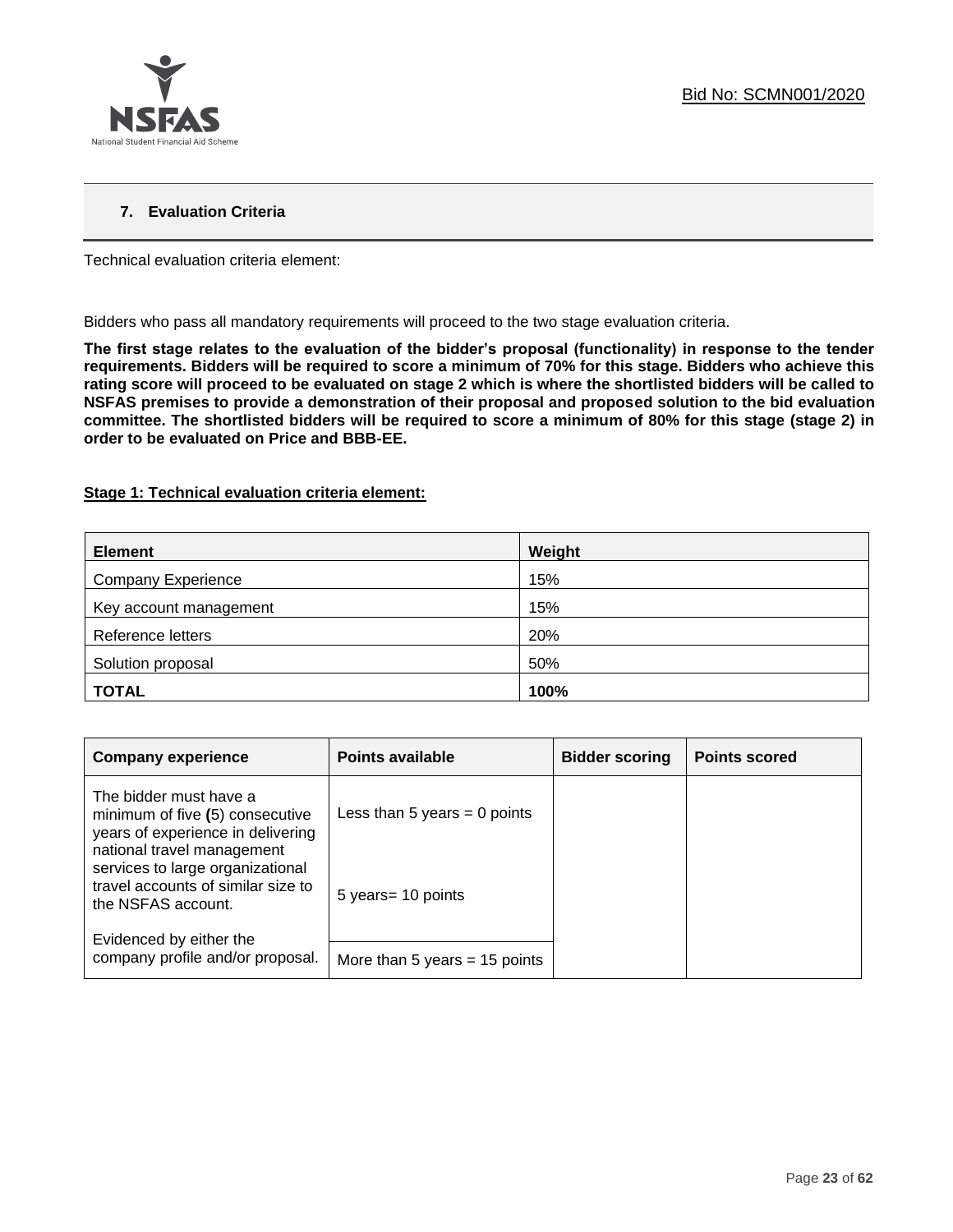

# **7. Evaluation Criteria**

Technical evaluation criteria element:

Bidders who pass all mandatory requirements will proceed to the two stage evaluation criteria.

**The first stage relates to the evaluation of the bidder's proposal (functionality) in response to the tender requirements. Bidders will be required to score a minimum of 70% for this stage. Bidders who achieve this rating score will proceed to be evaluated on stage 2 which is where the shortlisted bidders will be called to NSFAS premises to provide a demonstration of their proposal and proposed solution to the bid evaluation committee. The shortlisted bidders will be required to score a minimum of 80% for this stage (stage 2) in order to be evaluated on Price and BBB-EE.**

## **Stage 1: Technical evaluation criteria element:**

| <b>Element</b>            | Weight |
|---------------------------|--------|
| <b>Company Experience</b> | 15%    |
| Key account management    | 15%    |
| Reference letters         | 20%    |
| Solution proposal         | 50%    |
| <b>TOTAL</b>              | 100%   |

| <b>Company experience</b>                                                                                                    | Points available                | <b>Bidder scoring</b> | <b>Points scored</b> |
|------------------------------------------------------------------------------------------------------------------------------|---------------------------------|-----------------------|----------------------|
| The bidder must have a<br>minimum of five (5) consecutive<br>years of experience in delivering<br>national travel management | Less than 5 years $= 0$ points  |                       |                      |
| services to large organizational<br>travel accounts of similar size to<br>the NSFAS account.                                 | 5 years = 10 points             |                       |                      |
| Evidenced by either the<br>company profile and/or proposal.                                                                  | More than 5 years = $15$ points |                       |                      |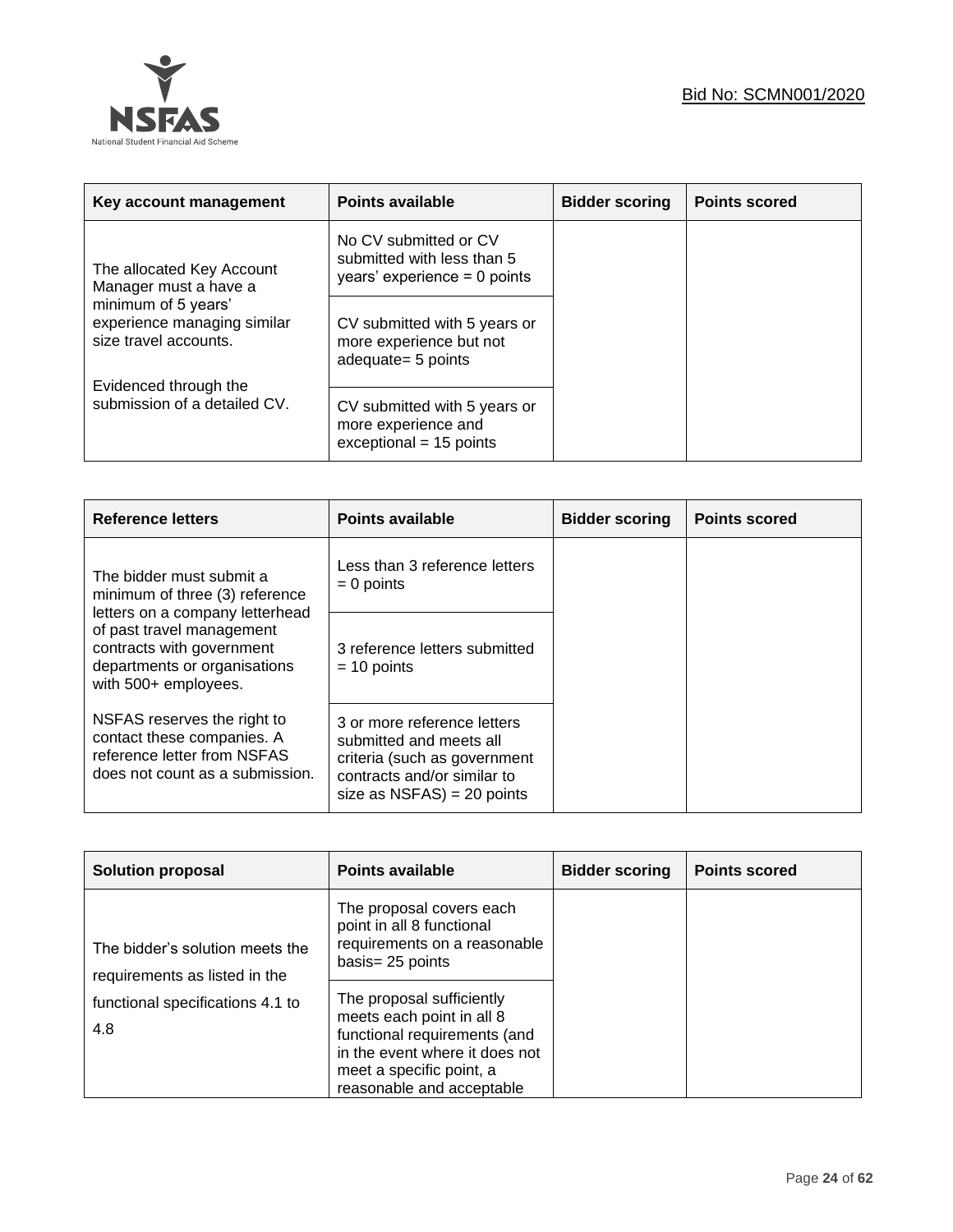

| Key account management                                                      | <b>Points available</b>                                                               | <b>Bidder scoring</b> | <b>Points scored</b> |
|-----------------------------------------------------------------------------|---------------------------------------------------------------------------------------|-----------------------|----------------------|
| The allocated Key Account<br>Manager must a have a                          | No CV submitted or CV<br>submitted with less than 5<br>years' experience $= 0$ points |                       |                      |
| minimum of 5 years'<br>experience managing similar<br>size travel accounts. | CV submitted with 5 years or<br>more experience but not<br>adequate= 5 points         |                       |                      |
| Evidenced through the<br>submission of a detailed CV.                       | CV submitted with 5 years or<br>more experience and<br>$exceptional = 15 points$      |                       |                      |

| <b>Reference letters</b>                                                                                                                          | <b>Points available</b>                                                                                                                                | <b>Bidder scoring</b> | <b>Points scored</b> |
|---------------------------------------------------------------------------------------------------------------------------------------------------|--------------------------------------------------------------------------------------------------------------------------------------------------------|-----------------------|----------------------|
| The bidder must submit a<br>minimum of three (3) reference                                                                                        | Less than 3 reference letters<br>$= 0$ points                                                                                                          |                       |                      |
| letters on a company letterhead<br>of past travel management<br>contracts with government<br>departments or organisations<br>with 500+ employees. | 3 reference letters submitted<br>$= 10$ points                                                                                                         |                       |                      |
| NSFAS reserves the right to<br>contact these companies. A<br>reference letter from NSFAS<br>does not count as a submission.                       | 3 or more reference letters<br>submitted and meets all<br>criteria (such as government<br>contracts and/or similar to<br>size as $NSFAS$ ) = 20 points |                       |                      |

| <b>Solution proposal</b>                                         | <b>Points available</b>                                                                                                                                                           | <b>Bidder scoring</b> | <b>Points scored</b> |
|------------------------------------------------------------------|-----------------------------------------------------------------------------------------------------------------------------------------------------------------------------------|-----------------------|----------------------|
| The bidder's solution meets the<br>requirements as listed in the | The proposal covers each<br>point in all 8 functional<br>requirements on a reasonable<br>basis= 25 points                                                                         |                       |                      |
| functional specifications 4.1 to<br>4.8                          | The proposal sufficiently<br>meets each point in all 8<br>functional requirements (and<br>in the event where it does not<br>meet a specific point, a<br>reasonable and acceptable |                       |                      |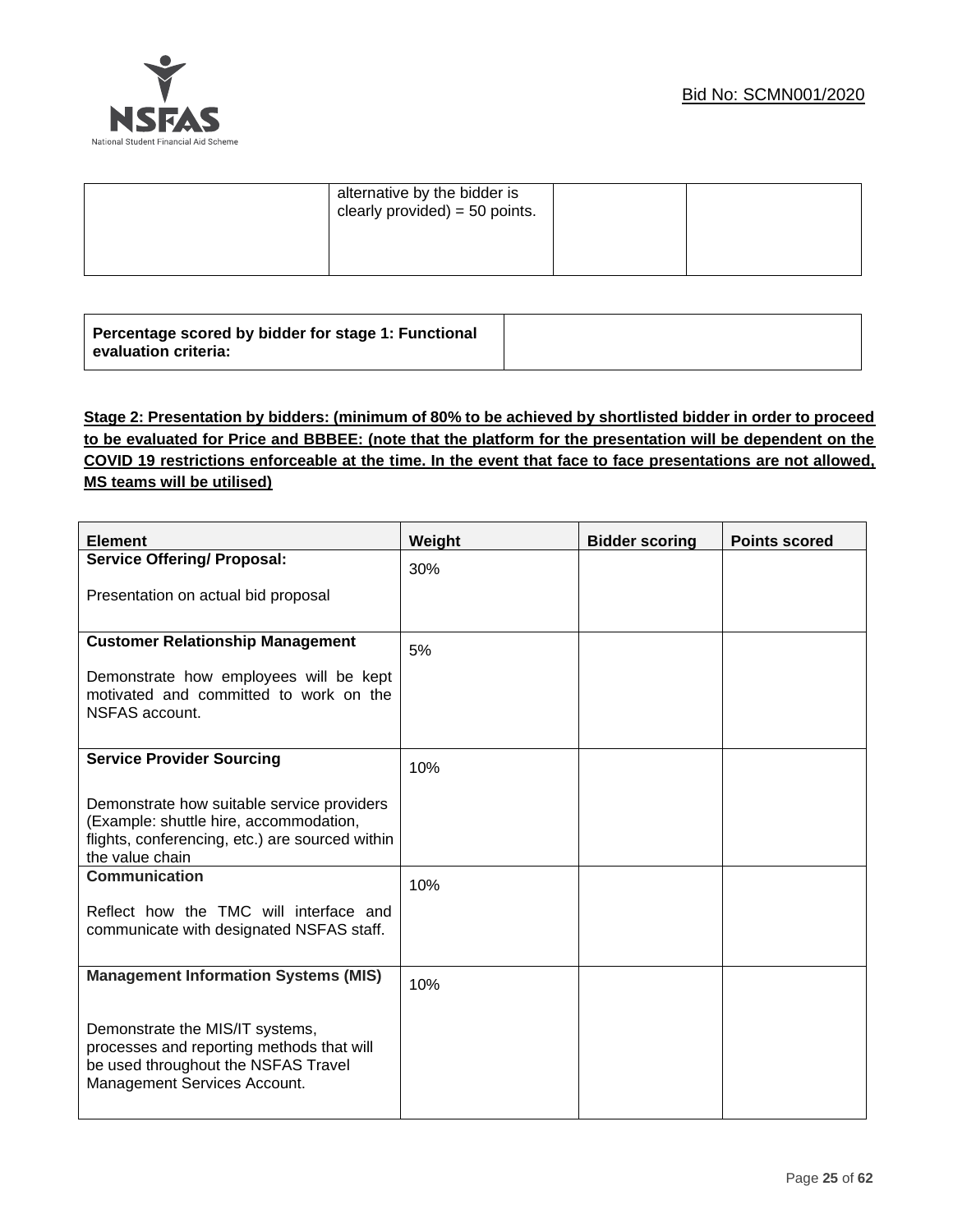

| alternative by the bidder is<br>clearly provided) = $50$ points. |  |
|------------------------------------------------------------------|--|
|                                                                  |  |

| Percentage scored by bidder for stage 1: Functional<br>evaluation criteria: |  |
|-----------------------------------------------------------------------------|--|
|-----------------------------------------------------------------------------|--|

# **Stage 2: Presentation by bidders: (minimum of 80% to be achieved by shortlisted bidder in order to proceed to be evaluated for Price and BBBEE: (note that the platform for the presentation will be dependent on the COVID 19 restrictions enforceable at the time. In the event that face to face presentations are not allowed, MS teams will be utilised)**

| <b>Element</b>                                                                                                                                             | Weight | <b>Bidder scoring</b> | <b>Points scored</b> |
|------------------------------------------------------------------------------------------------------------------------------------------------------------|--------|-----------------------|----------------------|
| <b>Service Offering/ Proposal:</b>                                                                                                                         | 30%    |                       |                      |
| Presentation on actual bid proposal                                                                                                                        |        |                       |                      |
| <b>Customer Relationship Management</b>                                                                                                                    | 5%     |                       |                      |
| Demonstrate how employees will be kept<br>motivated and committed to work on the<br>NSFAS account.                                                         |        |                       |                      |
| <b>Service Provider Sourcing</b>                                                                                                                           | 10%    |                       |                      |
| Demonstrate how suitable service providers<br>(Example: shuttle hire, accommodation,<br>flights, conferencing, etc.) are sourced within<br>the value chain |        |                       |                      |
| <b>Communication</b>                                                                                                                                       | 10%    |                       |                      |
| Reflect how the TMC will interface and<br>communicate with designated NSFAS staff.                                                                         |        |                       |                      |
| <b>Management Information Systems (MIS)</b>                                                                                                                | 10%    |                       |                      |
| Demonstrate the MIS/IT systems,<br>processes and reporting methods that will<br>be used throughout the NSFAS Travel<br>Management Services Account.        |        |                       |                      |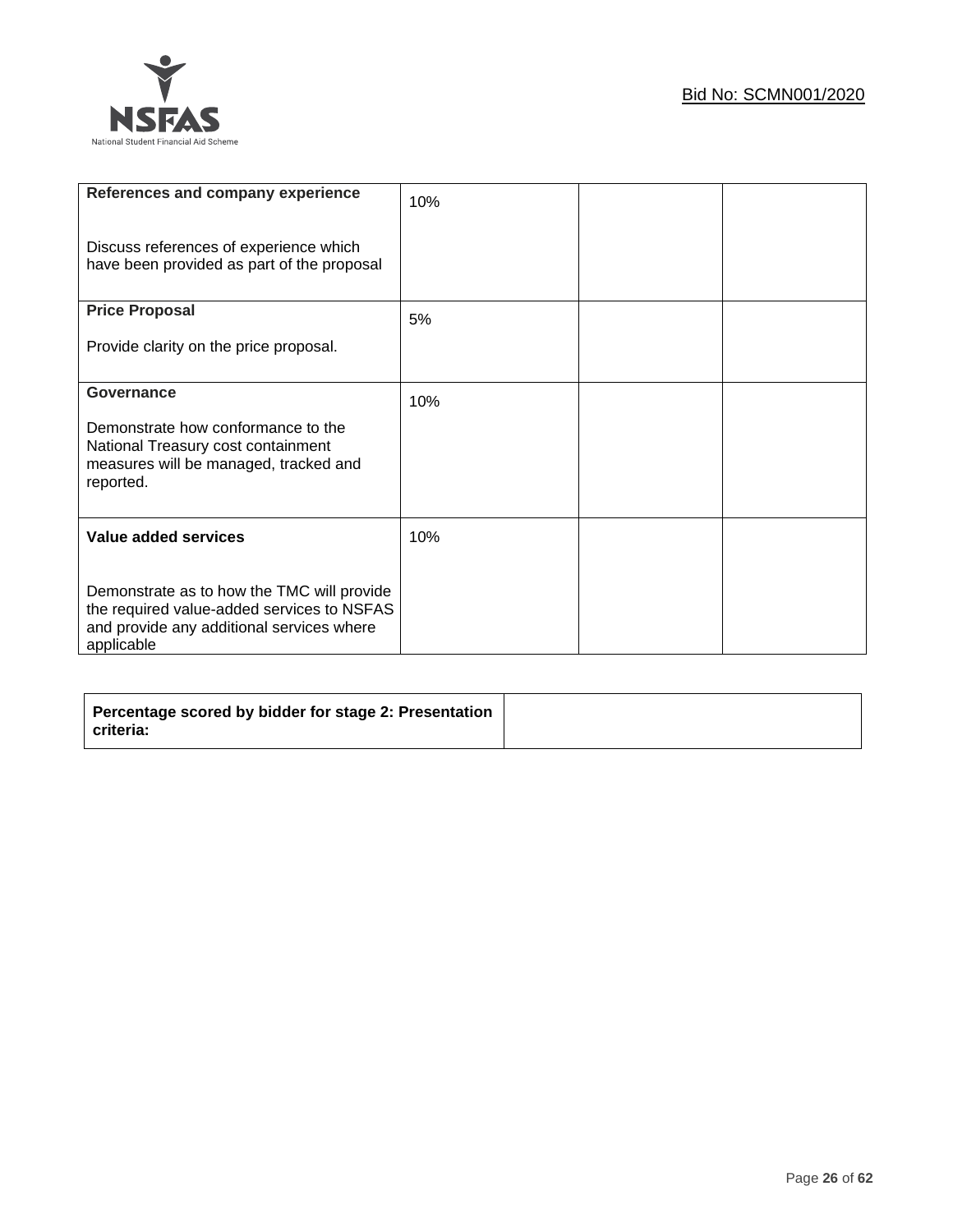

| References and company experience                                                                                                                   | 10% |  |
|-----------------------------------------------------------------------------------------------------------------------------------------------------|-----|--|
| Discuss references of experience which<br>have been provided as part of the proposal                                                                |     |  |
|                                                                                                                                                     |     |  |
| <b>Price Proposal</b>                                                                                                                               | 5%  |  |
| Provide clarity on the price proposal.                                                                                                              |     |  |
|                                                                                                                                                     |     |  |
| Governance                                                                                                                                          | 10% |  |
| Demonstrate how conformance to the<br>National Treasury cost containment<br>measures will be managed, tracked and<br>reported.                      |     |  |
| Value added services                                                                                                                                | 10% |  |
| Demonstrate as to how the TMC will provide<br>the required value-added services to NSFAS<br>and provide any additional services where<br>applicable |     |  |

| Percentage scored by bidder for stage 2: Presentation |  |
|-------------------------------------------------------|--|
| criteria:                                             |  |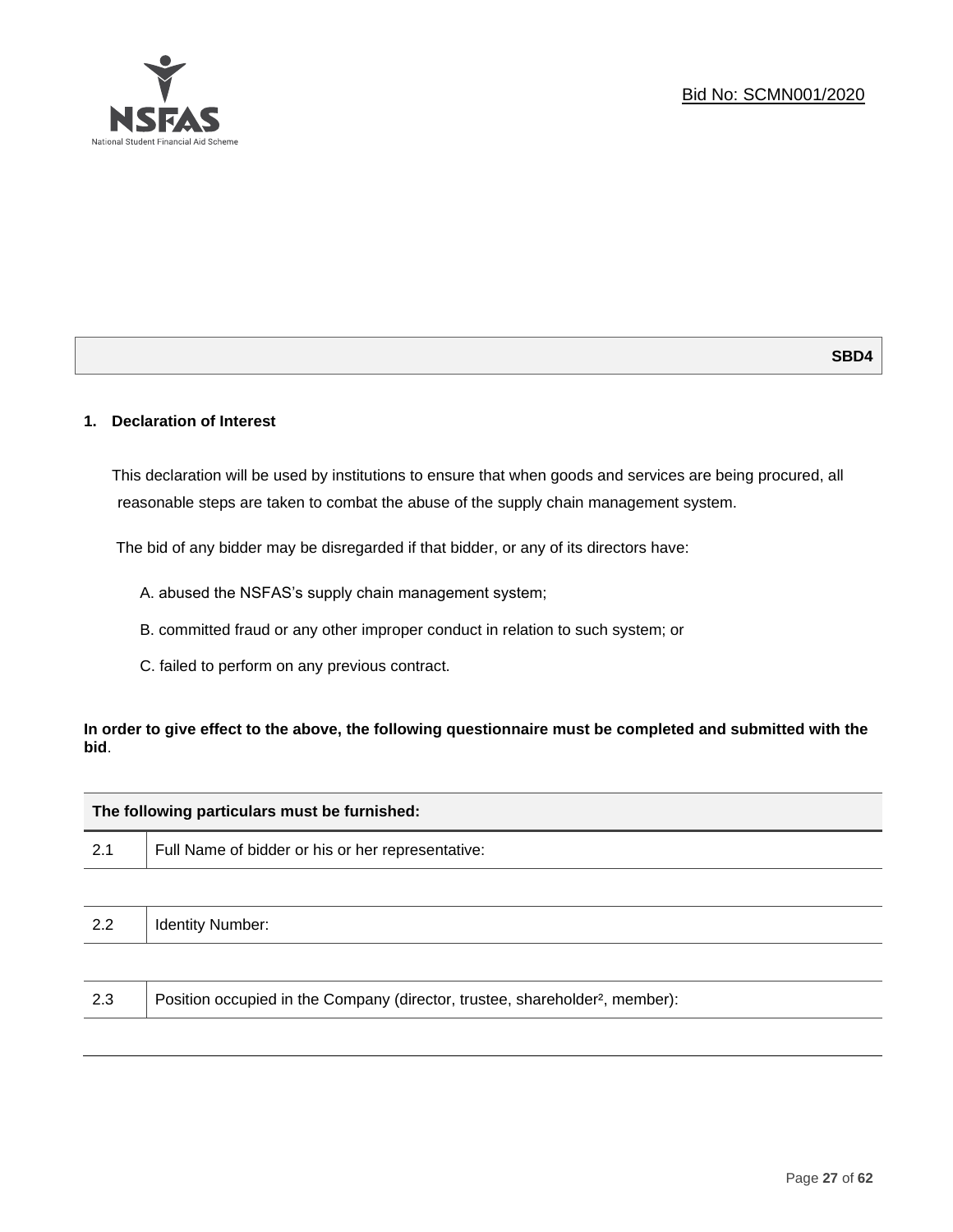

# **SBD4**

# **1. Declaration of Interest**

This declaration will be used by institutions to ensure that when goods and services are being procured, all reasonable steps are taken to combat the abuse of the supply chain management system.

The bid of any bidder may be disregarded if that bidder, or any of its directors have:

- A. abused the NSFAS's supply chain management system;
- B. committed fraud or any other improper conduct in relation to such system; or
- C. failed to perform on any previous contract.

## **In order to give effect to the above, the following questionnaire must be completed and submitted with the bid**.

|     | The following particulars must be furnished:                                             |  |  |
|-----|------------------------------------------------------------------------------------------|--|--|
| 2.1 | Full Name of bidder or his or her representative:                                        |  |  |
|     |                                                                                          |  |  |
| 2.2 | <b>Identity Number:</b>                                                                  |  |  |
|     |                                                                                          |  |  |
| 2.3 | Position occupied in the Company (director, trustee, shareholder <sup>2</sup> , member): |  |  |
|     |                                                                                          |  |  |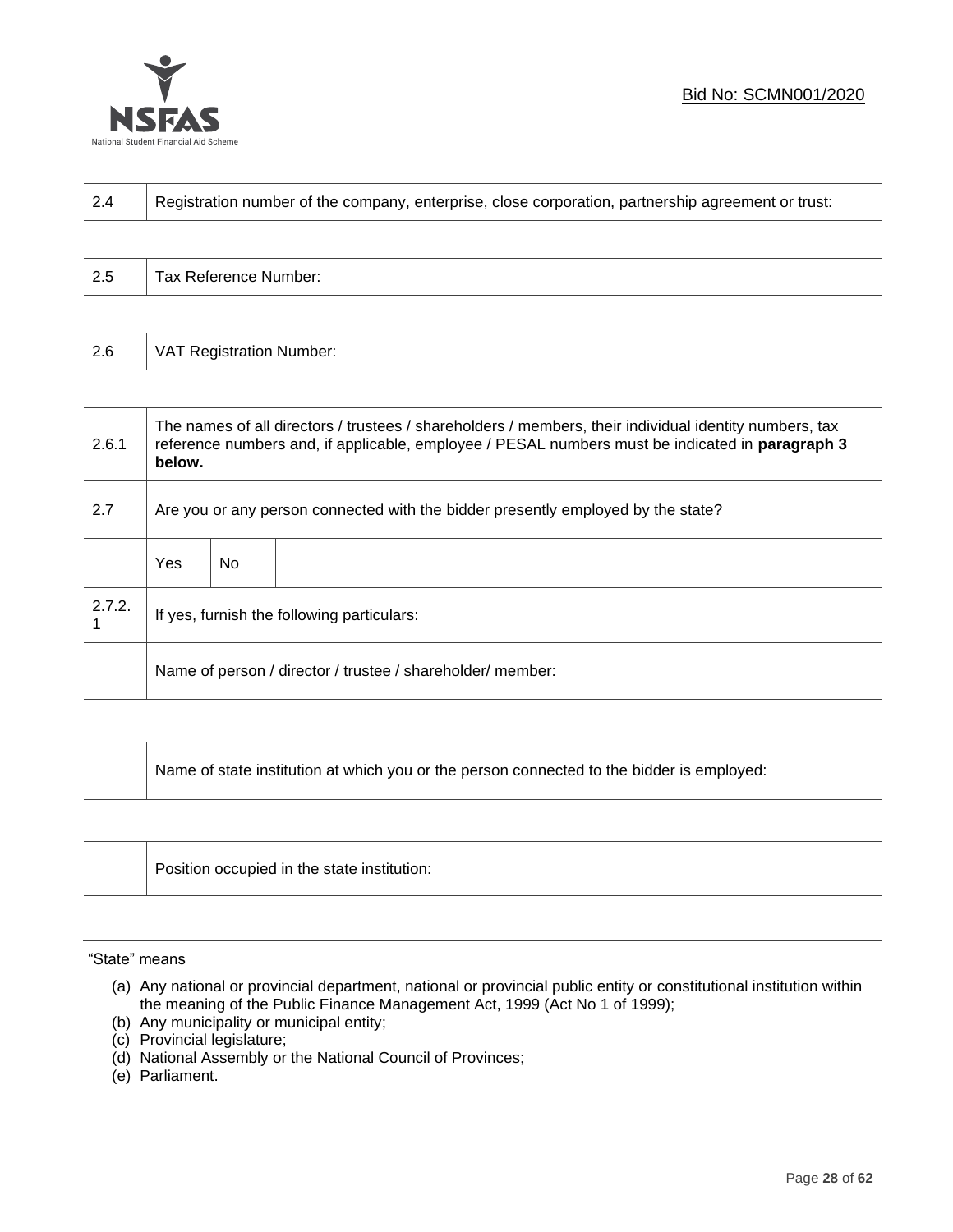

| 2.4 | Registration number of the company, enterprise, close corporation, partnership agreement or trust: |
|-----|----------------------------------------------------------------------------------------------------|
|     |                                                                                                    |
| 2.5 | Tax Reference Number:                                                                              |
|     |                                                                                                    |
| 2.6 | <b>VAT Registration Number:</b>                                                                    |

| 2.6.1  | The names of all directors / trustees / shareholders / members, their individual identity numbers, tax<br>reference numbers and, if applicable, employee / PESAL numbers must be indicated in paragraph 3<br>below. |     |  |  |
|--------|---------------------------------------------------------------------------------------------------------------------------------------------------------------------------------------------------------------------|-----|--|--|
| 2.7    | Are you or any person connected with the bidder presently employed by the state?                                                                                                                                    |     |  |  |
|        | Yes                                                                                                                                                                                                                 | No. |  |  |
| 2.7.2. | If yes, furnish the following particulars:                                                                                                                                                                          |     |  |  |
|        | Name of person / director / trustee / shareholder/ member:                                                                                                                                                          |     |  |  |

Name of state institution at which you or the person connected to the bidder is employed:

| Position occupied in the state institution: |
|---------------------------------------------|
|                                             |

"State" means

- (a) Any national or provincial department, national or provincial public entity or constitutional institution within the meaning of the Public Finance Management Act, 1999 (Act No 1 of 1999);
- (b) Any municipality or municipal entity;
- (c) Provincial legislature;
- (d) National Assembly or the National Council of Provinces;
- (e) Parliament.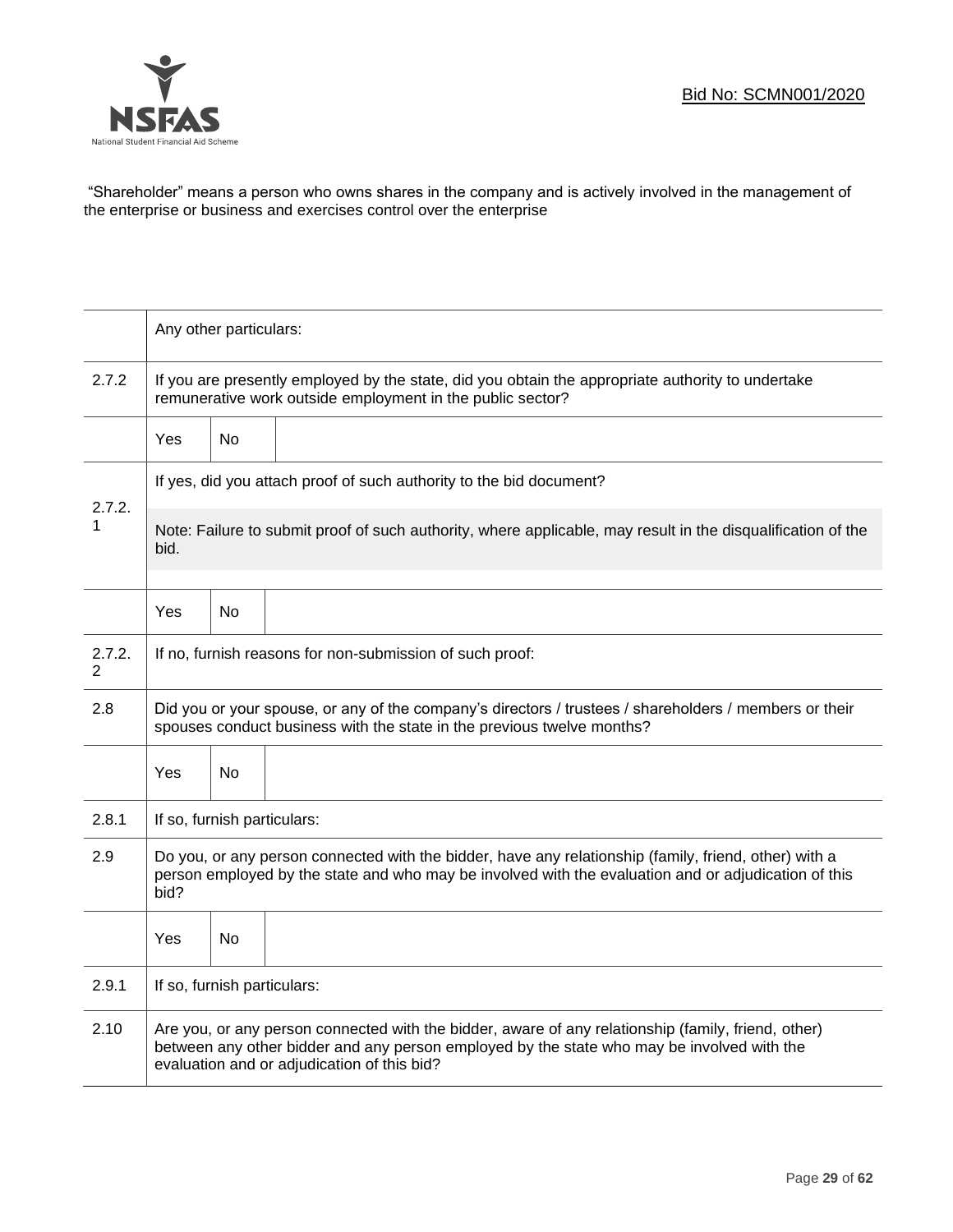

"Shareholder" means a person who owns shares in the company and is actively involved in the management of the enterprise or business and exercises control over the enterprise

|             | Any other particulars:                                                                                                                                                                                                                           |                                                                     |  |  |  |  |
|-------------|--------------------------------------------------------------------------------------------------------------------------------------------------------------------------------------------------------------------------------------------------|---------------------------------------------------------------------|--|--|--|--|
| 2.7.2       | If you are presently employed by the state, did you obtain the appropriate authority to undertake<br>remunerative work outside employment in the public sector?                                                                                  |                                                                     |  |  |  |  |
|             | Yes                                                                                                                                                                                                                                              | <b>No</b>                                                           |  |  |  |  |
| 2.7.2.      |                                                                                                                                                                                                                                                  | If yes, did you attach proof of such authority to the bid document? |  |  |  |  |
| 1           | Note: Failure to submit proof of such authority, where applicable, may result in the disqualification of the<br>bid.                                                                                                                             |                                                                     |  |  |  |  |
|             | Yes                                                                                                                                                                                                                                              | <b>No</b>                                                           |  |  |  |  |
| 2.7.2.<br>2 | If no, furnish reasons for non-submission of such proof:                                                                                                                                                                                         |                                                                     |  |  |  |  |
| 2.8         | Did you or your spouse, or any of the company's directors / trustees / shareholders / members or their<br>spouses conduct business with the state in the previous twelve months?                                                                 |                                                                     |  |  |  |  |
|             | Yes                                                                                                                                                                                                                                              | No                                                                  |  |  |  |  |
| 2.8.1       | If so, furnish particulars:                                                                                                                                                                                                                      |                                                                     |  |  |  |  |
| 2.9         | Do you, or any person connected with the bidder, have any relationship (family, friend, other) with a<br>person employed by the state and who may be involved with the evaluation and or adjudication of this<br>bid?                            |                                                                     |  |  |  |  |
|             | Yes                                                                                                                                                                                                                                              | No                                                                  |  |  |  |  |
| 2.9.1       | If so, furnish particulars:                                                                                                                                                                                                                      |                                                                     |  |  |  |  |
| 2.10        | Are you, or any person connected with the bidder, aware of any relationship (family, friend, other)<br>between any other bidder and any person employed by the state who may be involved with the<br>evaluation and or adjudication of this bid? |                                                                     |  |  |  |  |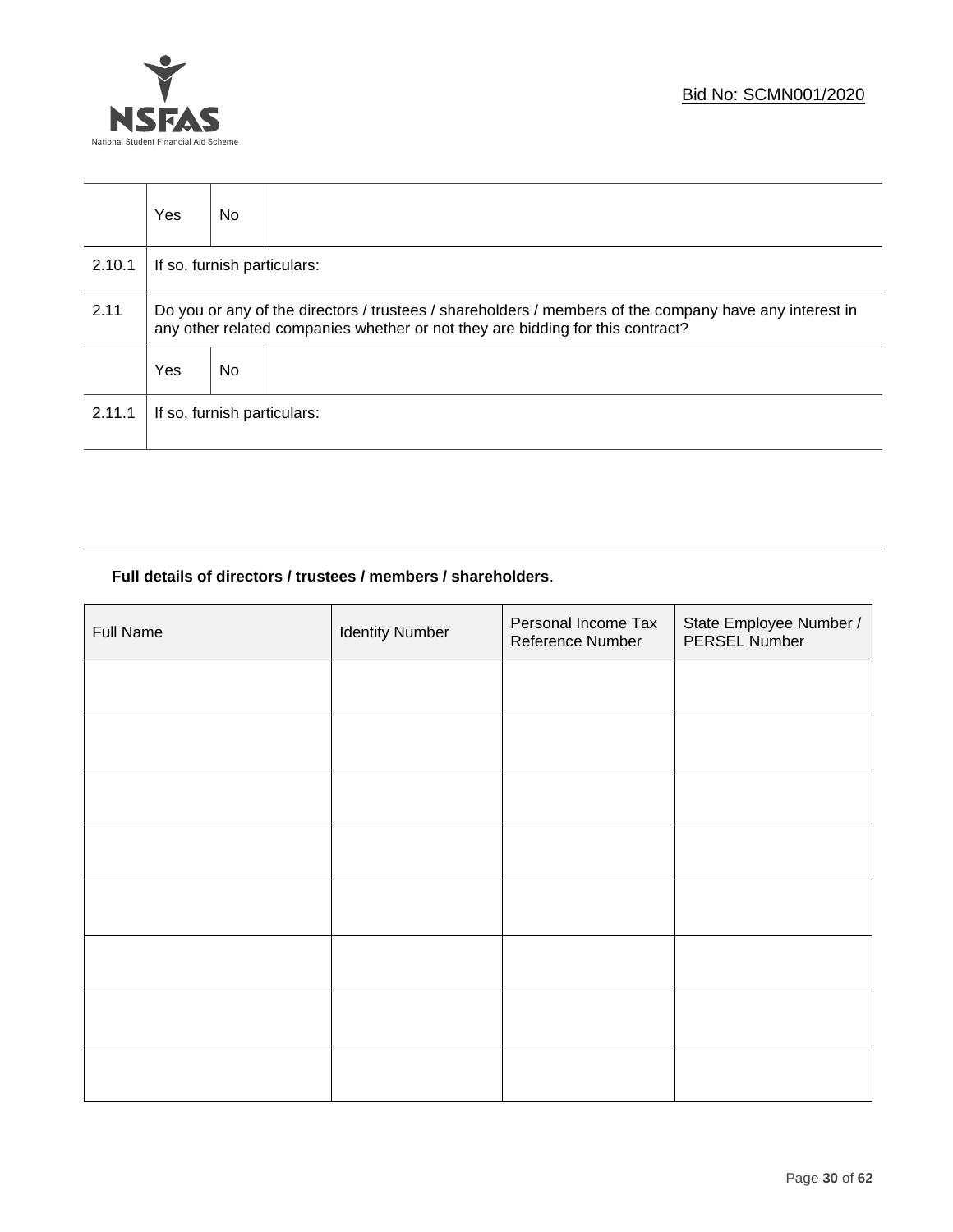



|        | <b>Yes</b>                                                                                                                                                                               | No. |  |  |  |
|--------|------------------------------------------------------------------------------------------------------------------------------------------------------------------------------------------|-----|--|--|--|
| 2.10.1 | If so, furnish particulars:                                                                                                                                                              |     |  |  |  |
| 2.11   | Do you or any of the directors / trustees / shareholders / members of the company have any interest in<br>any other related companies whether or not they are bidding for this contract? |     |  |  |  |
|        | <b>Yes</b>                                                                                                                                                                               | No. |  |  |  |
| 2.11.1 | If so, furnish particulars:                                                                                                                                                              |     |  |  |  |

# **Full details of directors / trustees / members / shareholders**.

| Full Name | <b>Identity Number</b> | Personal Income Tax<br>Reference Number | State Employee Number /<br>PERSEL Number |
|-----------|------------------------|-----------------------------------------|------------------------------------------|
|           |                        |                                         |                                          |
|           |                        |                                         |                                          |
|           |                        |                                         |                                          |
|           |                        |                                         |                                          |
|           |                        |                                         |                                          |
|           |                        |                                         |                                          |
|           |                        |                                         |                                          |
|           |                        |                                         |                                          |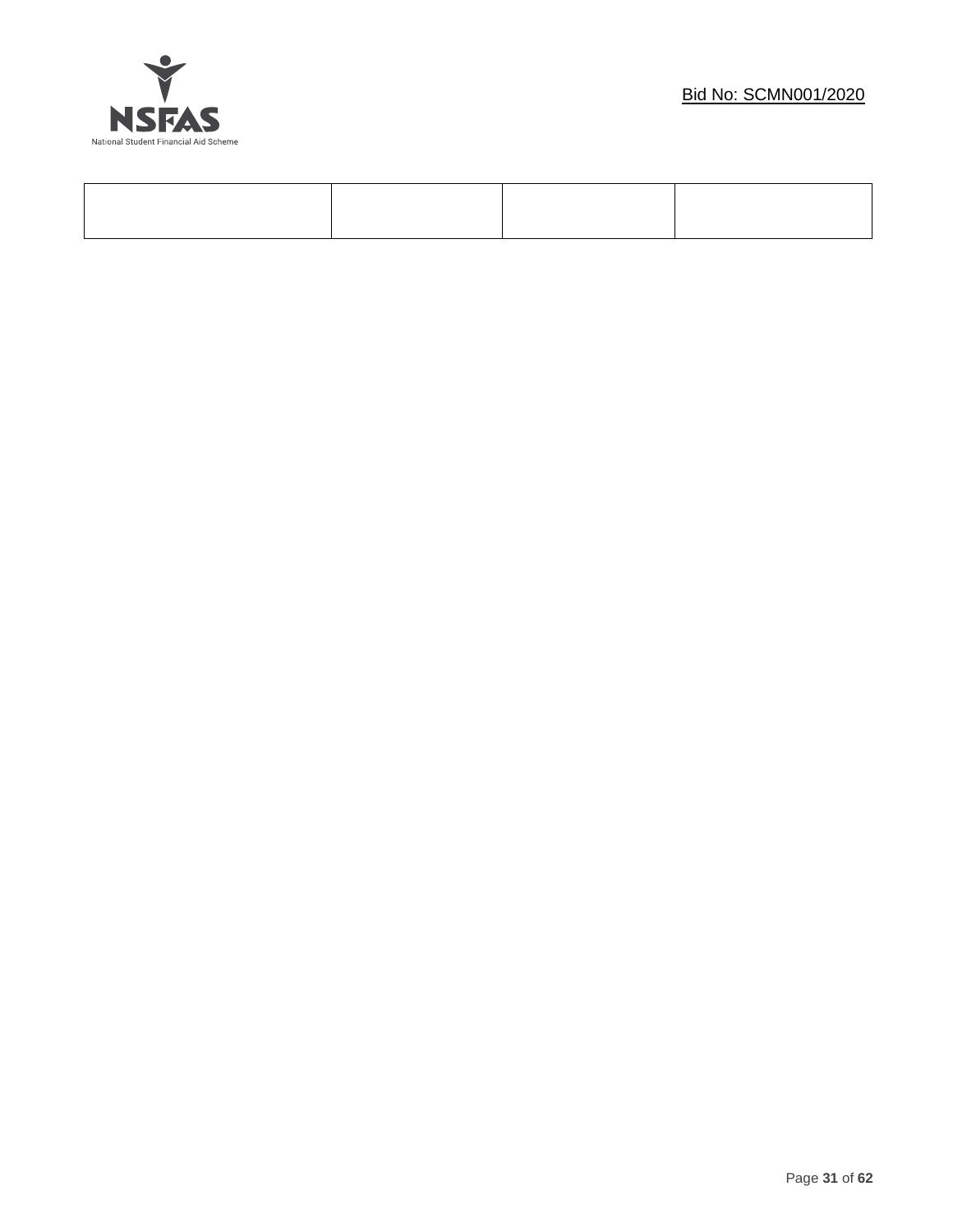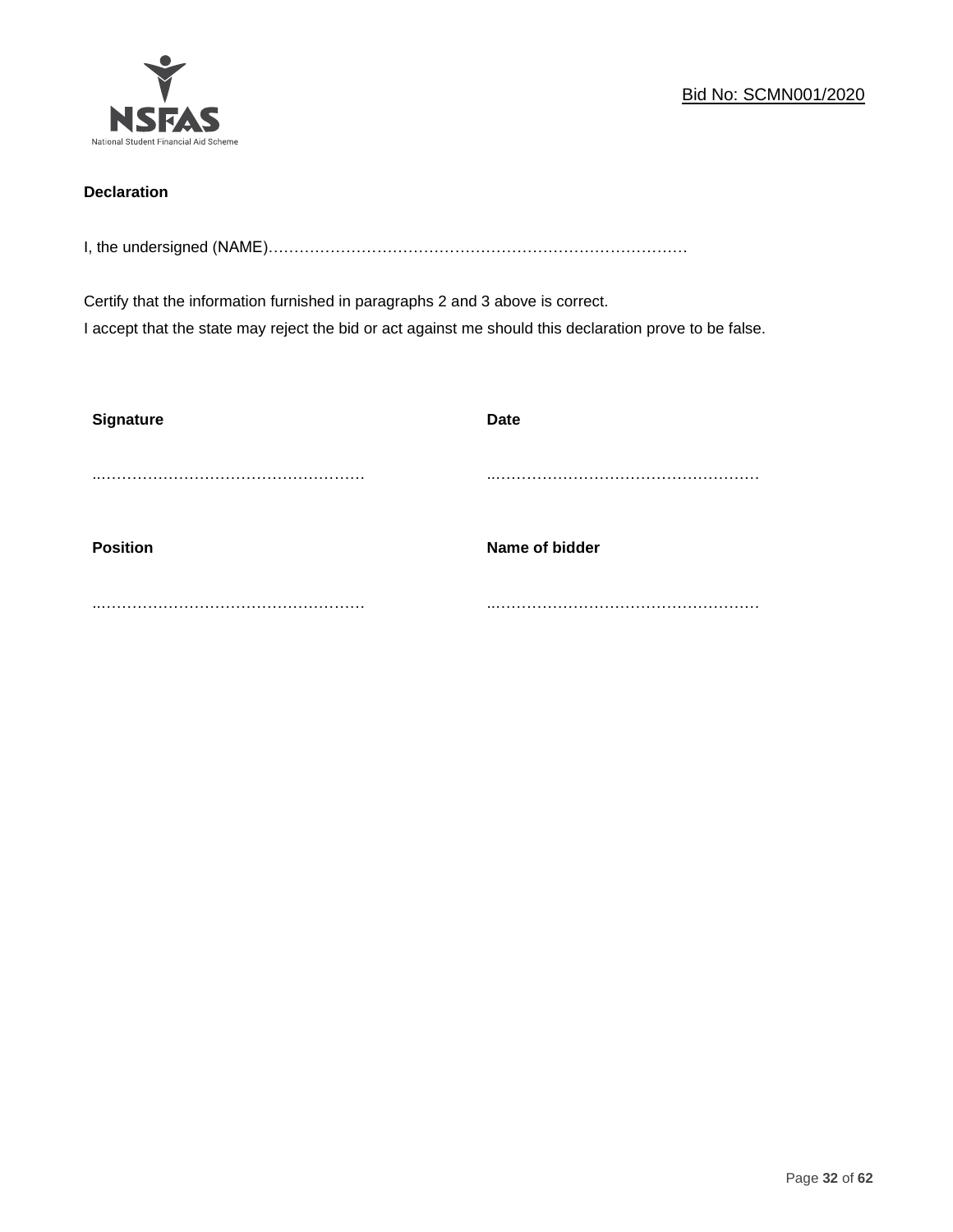

# **Declaration**

I, the undersigned (NAME)………………………………………………………………………

Certify that the information furnished in paragraphs 2 and 3 above is correct. I accept that the state may reject the bid or act against me should this declaration prove to be false.

| <b>Signature</b> | <b>Date</b>    |
|------------------|----------------|
|                  |                |
| <b>Position</b>  | Name of bidder |
|                  |                |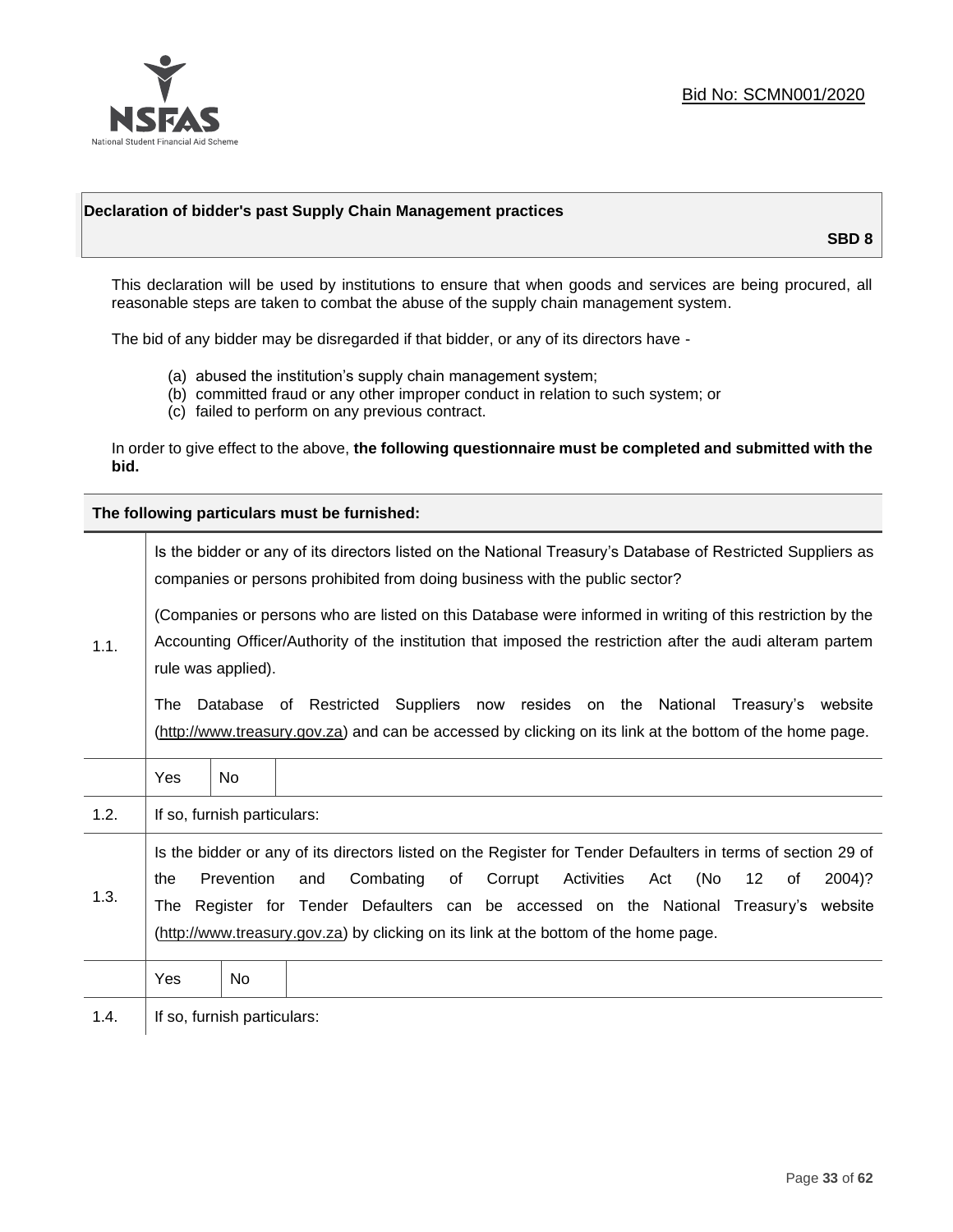

## **Declaration of bidder's past Supply Chain Management practices**

**SBD 8**

This declaration will be used by institutions to ensure that when goods and services are being procured, all reasonable steps are taken to combat the abuse of the supply chain management system.

The bid of any bidder may be disregarded if that bidder, or any of its directors have -

- (a) abused the institution's supply chain management system;
- (b) committed fraud or any other improper conduct in relation to such system; or
- (c) failed to perform on any previous contract.

In order to give effect to the above, **the following questionnaire must be completed and submitted with the bid.**

**The following particulars must be furnished:**

|      | Is the bidder or any of its directors listed on the National Treasury's Database of Restricted Suppliers as<br>companies or persons prohibited from doing business with the public sector?                                                                                                                                                                                                                        |                                                                                                                                                                                                |  |  |  |
|------|-------------------------------------------------------------------------------------------------------------------------------------------------------------------------------------------------------------------------------------------------------------------------------------------------------------------------------------------------------------------------------------------------------------------|------------------------------------------------------------------------------------------------------------------------------------------------------------------------------------------------|--|--|--|
| 1.1. | (Companies or persons who are listed on this Database were informed in writing of this restriction by the<br>Accounting Officer/Authority of the institution that imposed the restriction after the audi alteram partem<br>rule was applied).                                                                                                                                                                     |                                                                                                                                                                                                |  |  |  |
|      | The                                                                                                                                                                                                                                                                                                                                                                                                               | Database of Restricted Suppliers now resides on the National<br>Treasury's website<br>(http://www.treasury.gov.za) and can be accessed by clicking on its link at the bottom of the home page. |  |  |  |
|      | Yes                                                                                                                                                                                                                                                                                                                                                                                                               | No.                                                                                                                                                                                            |  |  |  |
| 1.2. |                                                                                                                                                                                                                                                                                                                                                                                                                   | If so, furnish particulars:                                                                                                                                                                    |  |  |  |
| 1.3. | Is the bidder or any of its directors listed on the Register for Tender Defaulters in terms of section 29 of<br>Prevention<br>Combating<br>Corrupt<br>Activities<br>(No<br>$12 \,$<br>and<br>of<br>of<br>2004)?<br>the<br>Act<br>Register for Tender Defaulters can be accessed on the National Treasury's website<br>The<br>(http://www.treasury.gov.za) by clicking on its link at the bottom of the home page. |                                                                                                                                                                                                |  |  |  |
|      | Yes                                                                                                                                                                                                                                                                                                                                                                                                               | No                                                                                                                                                                                             |  |  |  |
| 1.4. |                                                                                                                                                                                                                                                                                                                                                                                                                   | If so, furnish particulars:                                                                                                                                                                    |  |  |  |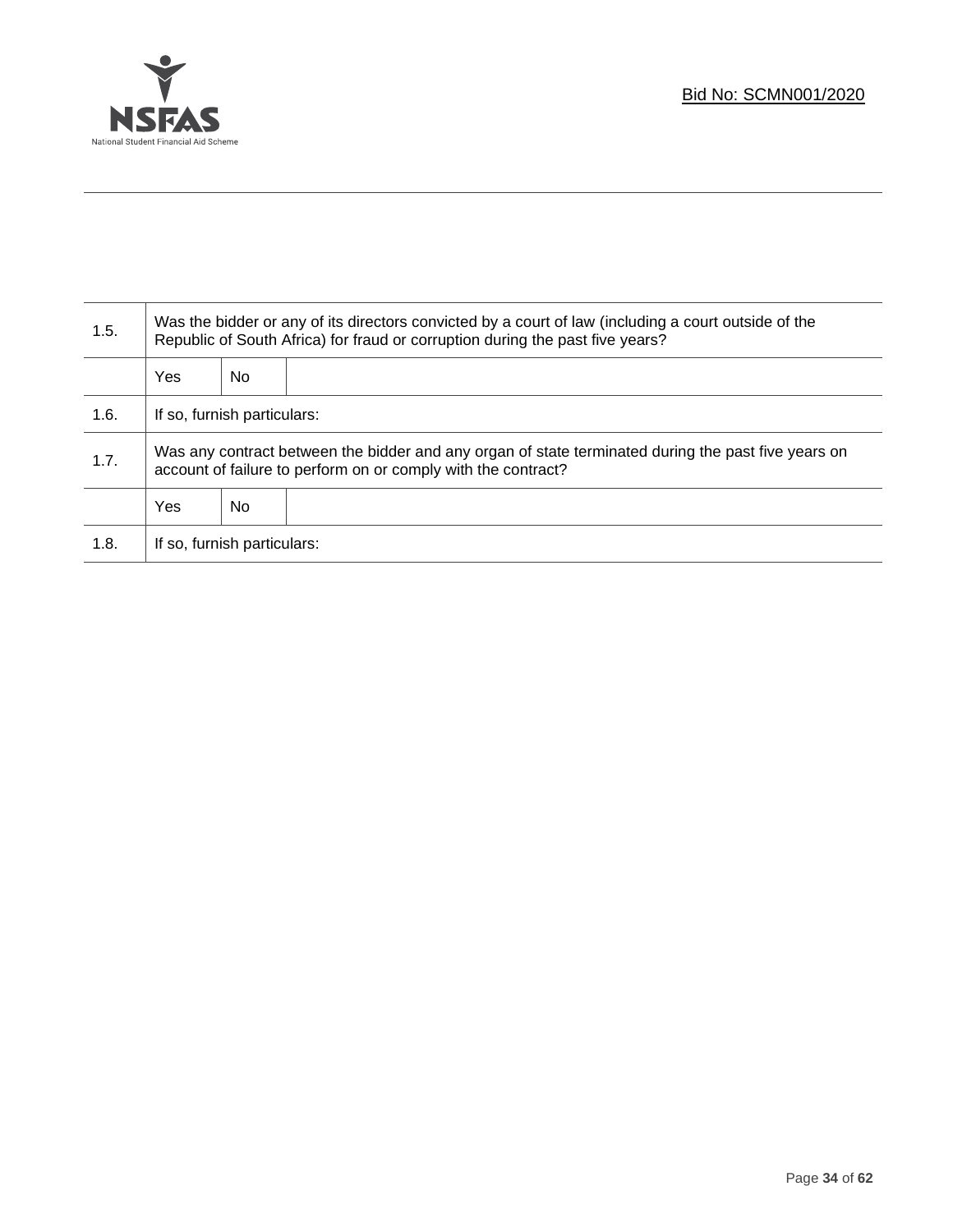

Τ

| 1.5. | Was the bidder or any of its directors convicted by a court of law (including a court outside of the<br>Republic of South Africa) for fraud or corruption during the past five years? |    |  |  |
|------|---------------------------------------------------------------------------------------------------------------------------------------------------------------------------------------|----|--|--|
|      | Yes                                                                                                                                                                                   | No |  |  |
| 1.6. | If so, furnish particulars:                                                                                                                                                           |    |  |  |
| 1.7. | Was any contract between the bidder and any organ of state terminated during the past five years on<br>account of failure to perform on or comply with the contract?                  |    |  |  |
|      | Yes                                                                                                                                                                                   | No |  |  |
| 1.8. | If so, furnish particulars:                                                                                                                                                           |    |  |  |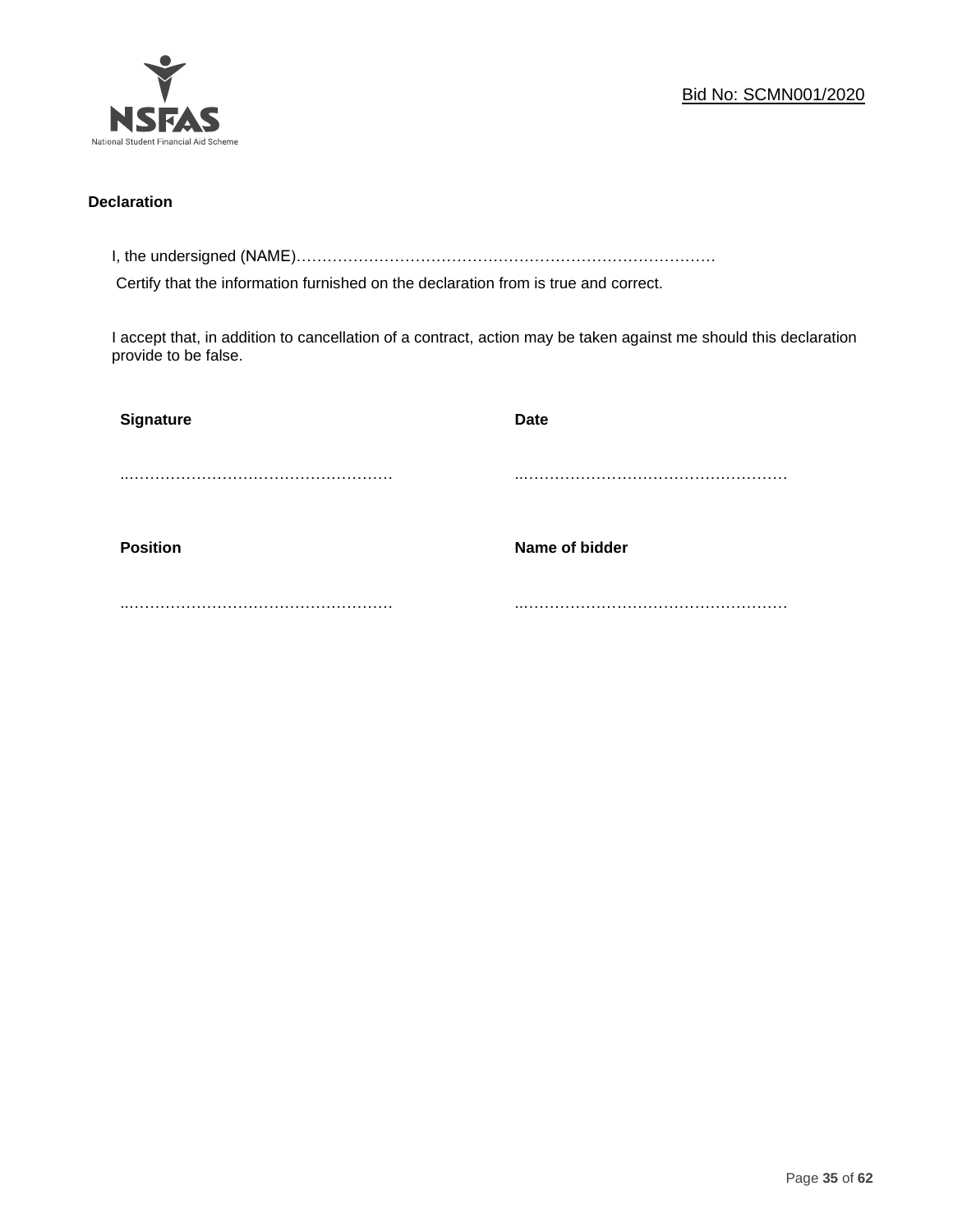

## **Declaration**

I, the undersigned (NAME)………………………………………………………………………

Certify that the information furnished on the declaration from is true and correct.

I accept that, in addition to cancellation of a contract, action may be taken against me should this declaration provide to be false.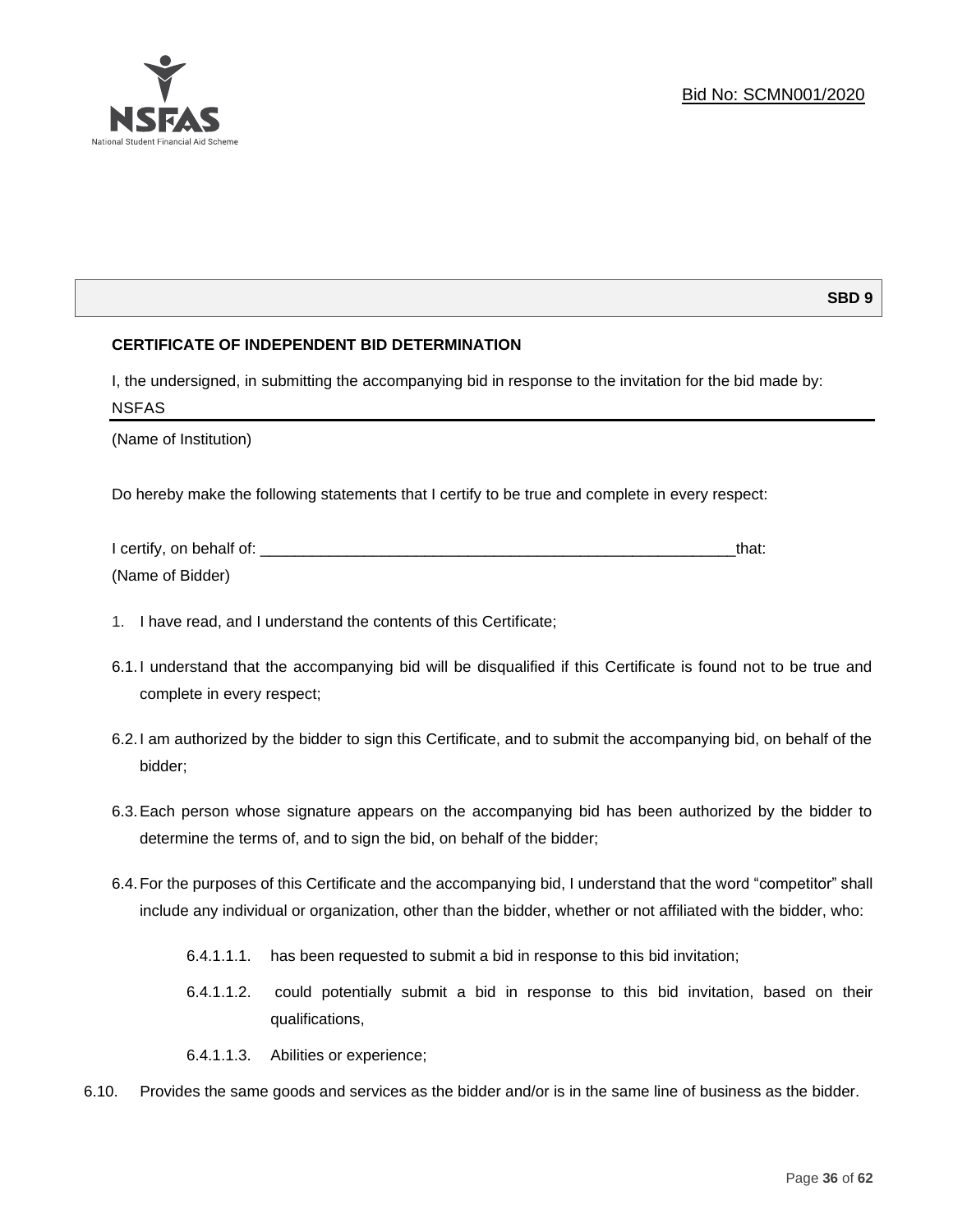

# **SBD 9**

# **CERTIFICATE OF INDEPENDENT BID DETERMINATION**

I, the undersigned, in submitting the accompanying bid in response to the invitation for the bid made by: NSFAS

(Name of Institution)

Do hereby make the following statements that I certify to be true and complete in every respect:

| I certify, on behalf of: |  |
|--------------------------|--|
| (Name of Bidder)         |  |

- 1. I have read, and I understand the contents of this Certificate;
- 6.1.I understand that the accompanying bid will be disqualified if this Certificate is found not to be true and complete in every respect;
- 6.2.I am authorized by the bidder to sign this Certificate, and to submit the accompanying bid, on behalf of the bidder;
- 6.3.Each person whose signature appears on the accompanying bid has been authorized by the bidder to determine the terms of, and to sign the bid, on behalf of the bidder;
- 6.4.For the purposes of this Certificate and the accompanying bid, I understand that the word "competitor" shall include any individual or organization, other than the bidder, whether or not affiliated with the bidder, who:
	- 6.4.1.1.1. has been requested to submit a bid in response to this bid invitation;
	- 6.4.1.1.2. could potentially submit a bid in response to this bid invitation, based on their qualifications,
	- 6.4.1.1.3. Abilities or experience;
- 6.10. Provides the same goods and services as the bidder and/or is in the same line of business as the bidder.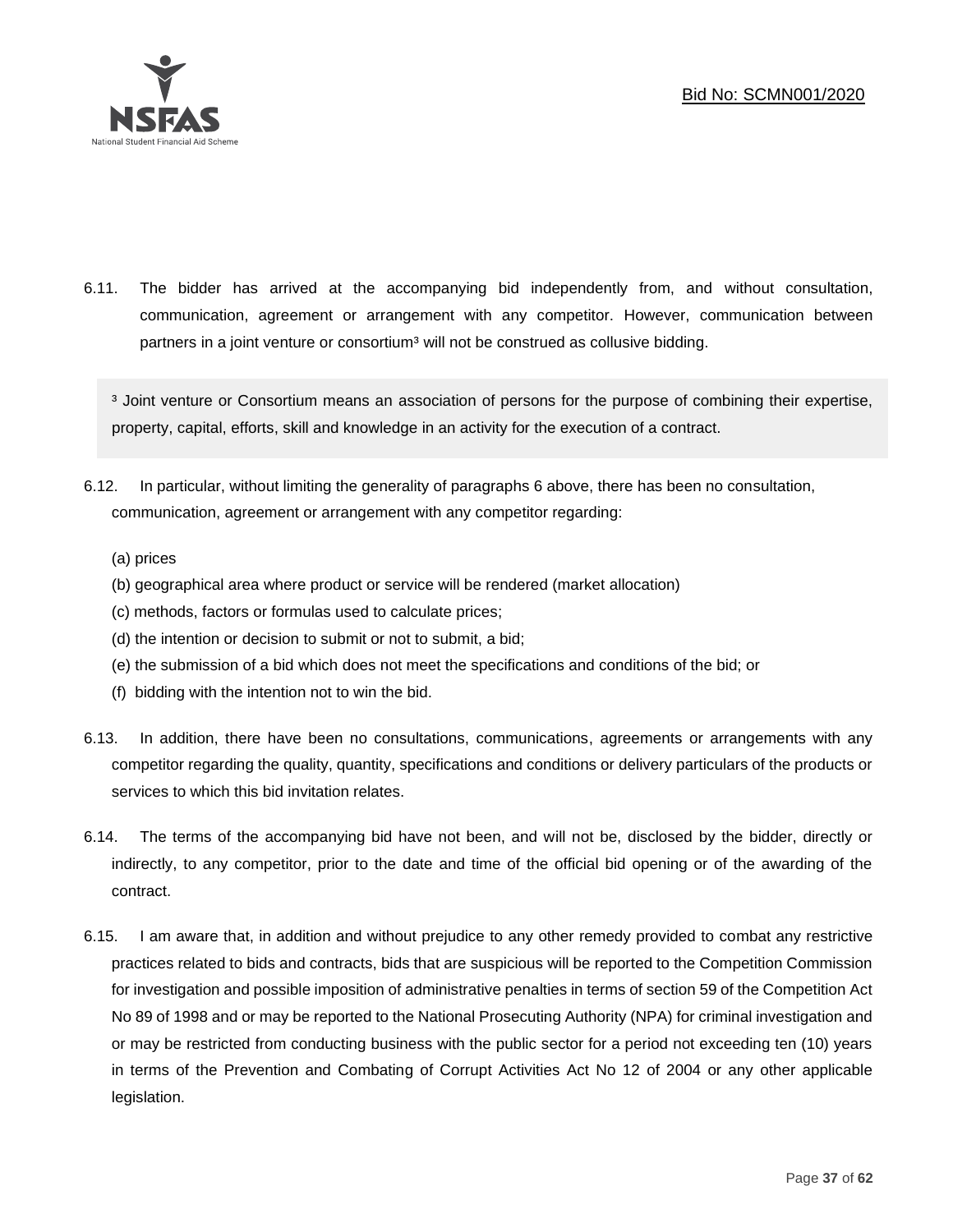

6.11. The bidder has arrived at the accompanying bid independently from, and without consultation, communication, agreement or arrangement with any competitor. However, communication between partners in a joint venture or consortium<sup>3</sup> will not be construed as collusive bidding.

<sup>3</sup> Joint venture or Consortium means an association of persons for the purpose of combining their expertise, property, capital, efforts, skill and knowledge in an activity for the execution of a contract.

- 6.12. In particular, without limiting the generality of paragraphs 6 above, there has been no consultation, communication, agreement or arrangement with any competitor regarding:
	- (a) prices
	- (b) geographical area where product or service will be rendered (market allocation)
	- (c) methods, factors or formulas used to calculate prices;
	- (d) the intention or decision to submit or not to submit, a bid;
	- (e) the submission of a bid which does not meet the specifications and conditions of the bid; or
	- (f) bidding with the intention not to win the bid.
- 6.13. In addition, there have been no consultations, communications, agreements or arrangements with any competitor regarding the quality, quantity, specifications and conditions or delivery particulars of the products or services to which this bid invitation relates.
- 6.14. The terms of the accompanying bid have not been, and will not be, disclosed by the bidder, directly or indirectly, to any competitor, prior to the date and time of the official bid opening or of the awarding of the contract.
- 6.15. I am aware that, in addition and without prejudice to any other remedy provided to combat any restrictive practices related to bids and contracts, bids that are suspicious will be reported to the Competition Commission for investigation and possible imposition of administrative penalties in terms of section 59 of the Competition Act No 89 of 1998 and or may be reported to the National Prosecuting Authority (NPA) for criminal investigation and or may be restricted from conducting business with the public sector for a period not exceeding ten (10) years in terms of the Prevention and Combating of Corrupt Activities Act No 12 of 2004 or any other applicable legislation.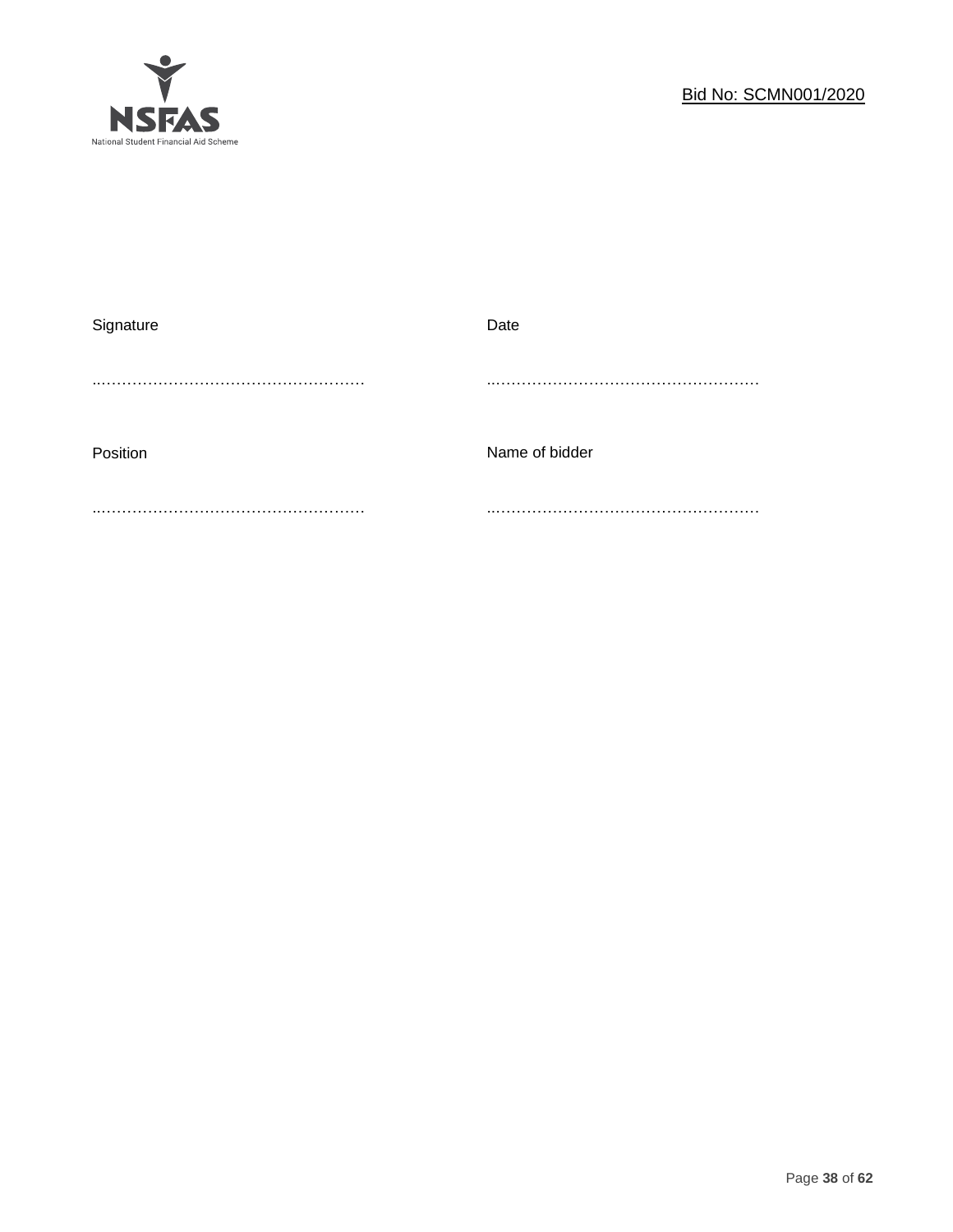

| Signature | Date           |
|-----------|----------------|
|           |                |
|           |                |
|           |                |
| Position  | Name of bidder |
|           |                |
|           |                |
|           |                |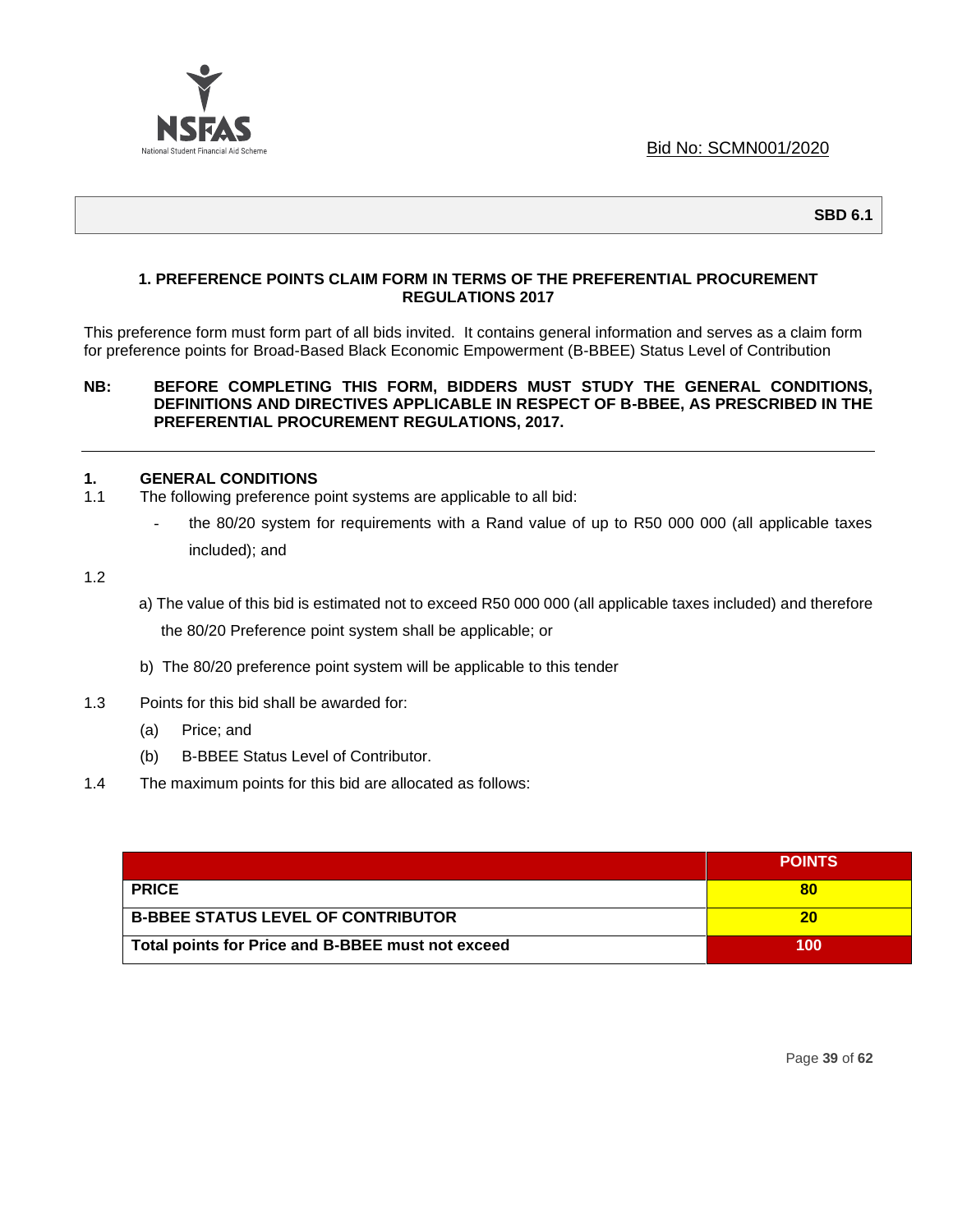Bid No: SCMN001/2020



#### **1. PREFERENCE POINTS CLAIM FORM IN TERMS OF THE PREFERENTIAL PROCUREMENT REGULATIONS 2017**

This preference form must form part of all bids invited. It contains general information and serves as a claim form for preference points for Broad-Based Black Economic Empowerment (B-BBEE) Status Level of Contribution

#### **NB: BEFORE COMPLETING THIS FORM, BIDDERS MUST STUDY THE GENERAL CONDITIONS, DEFINITIONS AND DIRECTIVES APPLICABLE IN RESPECT OF B-BBEE, AS PRESCRIBED IN THE PREFERENTIAL PROCUREMENT REGULATIONS, 2017.**

## **1. GENERAL CONDITIONS**

- 1.1 The following preference point systems are applicable to all bid:
	- the 80/20 system for requirements with a Rand value of up to R50 000 000 (all applicable taxes included); and
- 1.2
- a) The value of this bid is estimated not to exceed R50 000 000 (all applicable taxes included) and therefore the 80/20 Preference point system shall be applicable; or
- b) The 80/20 preference point system will be applicable to this tender
- 1.3 Points for this bid shall be awarded for:
	- (a) Price; and
	- (b) B-BBEE Status Level of Contributor.
- 1.4 The maximum points for this bid are allocated as follows:

|                                                   | <b>POINTS</b> |
|---------------------------------------------------|---------------|
| <b>PRICE</b>                                      | 80            |
| <b>B-BBEE STATUS LEVEL OF CONTRIBUTOR</b>         | 20            |
| Total points for Price and B-BBEE must not exceed | 100           |

Page **39** of **62**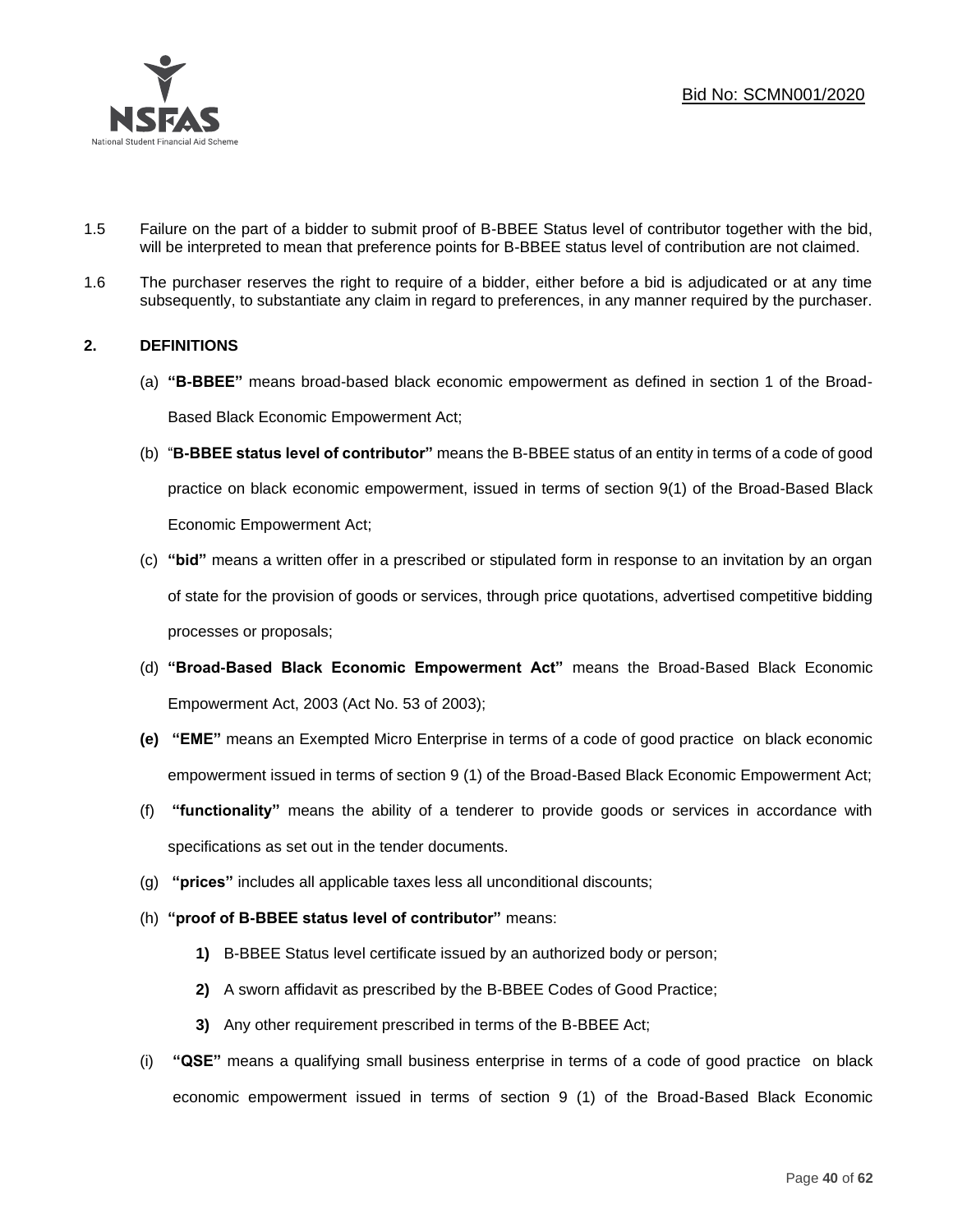Bid No: SCMN001/2020



- 1.5 Failure on the part of a bidder to submit proof of B-BBEE Status level of contributor together with the bid, will be interpreted to mean that preference points for B-BBEE status level of contribution are not claimed.
- 1.6 The purchaser reserves the right to require of a bidder, either before a bid is adjudicated or at any time subsequently, to substantiate any claim in regard to preferences, in any manner required by the purchaser.

## **2. DEFINITIONS**

- (a) **"B-BBEE"** means broad-based black economic empowerment as defined in section 1 of the Broad-Based Black Economic Empowerment Act;
- (b) "**B-BBEE status level of contributor"** means the B-BBEE status of an entity in terms of a code of good practice on black economic empowerment, issued in terms of section 9(1) of the Broad-Based Black Economic Empowerment Act;
- (c) **"bid"** means a written offer in a prescribed or stipulated form in response to an invitation by an organ of state for the provision of goods or services, through price quotations, advertised competitive bidding processes or proposals;
- (d) **"Broad-Based Black Economic Empowerment Act"** means the Broad-Based Black Economic Empowerment Act, 2003 (Act No. 53 of 2003);
- **(e) "EME"** means an Exempted Micro Enterprise in terms of a code of good practice on black economic empowerment issued in terms of section 9 (1) of the Broad-Based Black Economic Empowerment Act;
- (f) **"functionality"** means the ability of a tenderer to provide goods or services in accordance with specifications as set out in the tender documents.
- (g) **"prices"** includes all applicable taxes less all unconditional discounts;
- (h) **"proof of B-BBEE status level of contributor"** means:
	- **1)** B-BBEE Status level certificate issued by an authorized body or person;
	- **2)** A sworn affidavit as prescribed by the B-BBEE Codes of Good Practice;
	- **3)** Any other requirement prescribed in terms of the B-BBEE Act;
- (i) **"QSE"** means a qualifying small business enterprise in terms of a code of good practice on black economic empowerment issued in terms of section 9 (1) of the Broad-Based Black Economic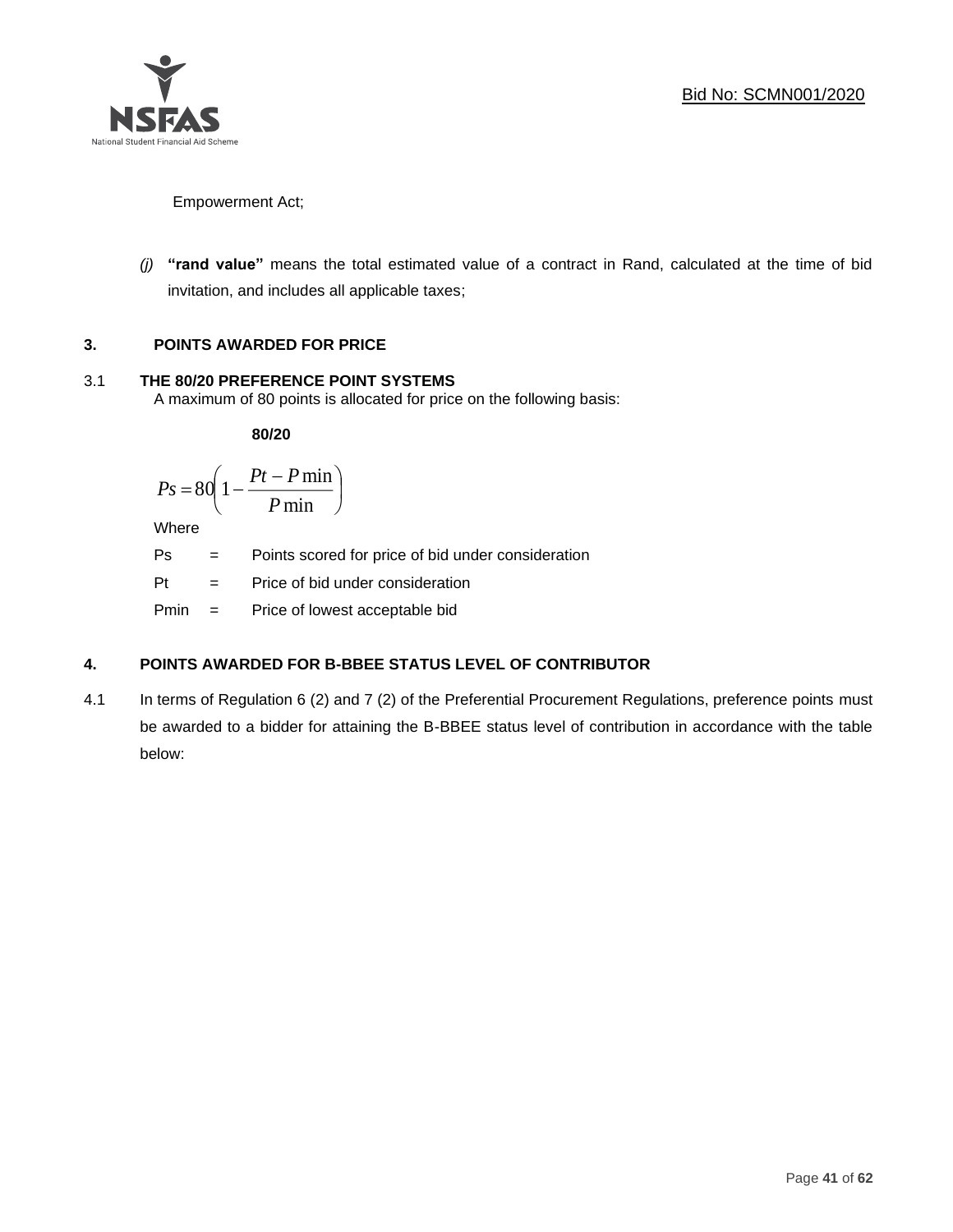

Empowerment Act;

*(j)* **"rand value"** means the total estimated value of a contract in Rand, calculated at the time of bid invitation, and includes all applicable taxes;

# **3. POINTS AWARDED FOR PRICE**

# 3.1 **THE 80/20 PREFERENCE POINT SYSTEMS**

A maximum of 80 points is allocated for price on the following basis:

**80/20**

$$
Ps = 80 \left( 1 - \frac{Pt - P \min}{P \min} \right)
$$

Where

Ps = Points scored for price of bid under consideration

Pt = Price of bid under consideration

Pmin = Price of lowest acceptable bid

# **4. POINTS AWARDED FOR B-BBEE STATUS LEVEL OF CONTRIBUTOR**

4.1 In terms of Regulation 6 (2) and 7 (2) of the Preferential Procurement Regulations, preference points must be awarded to a bidder for attaining the B-BBEE status level of contribution in accordance with the table below: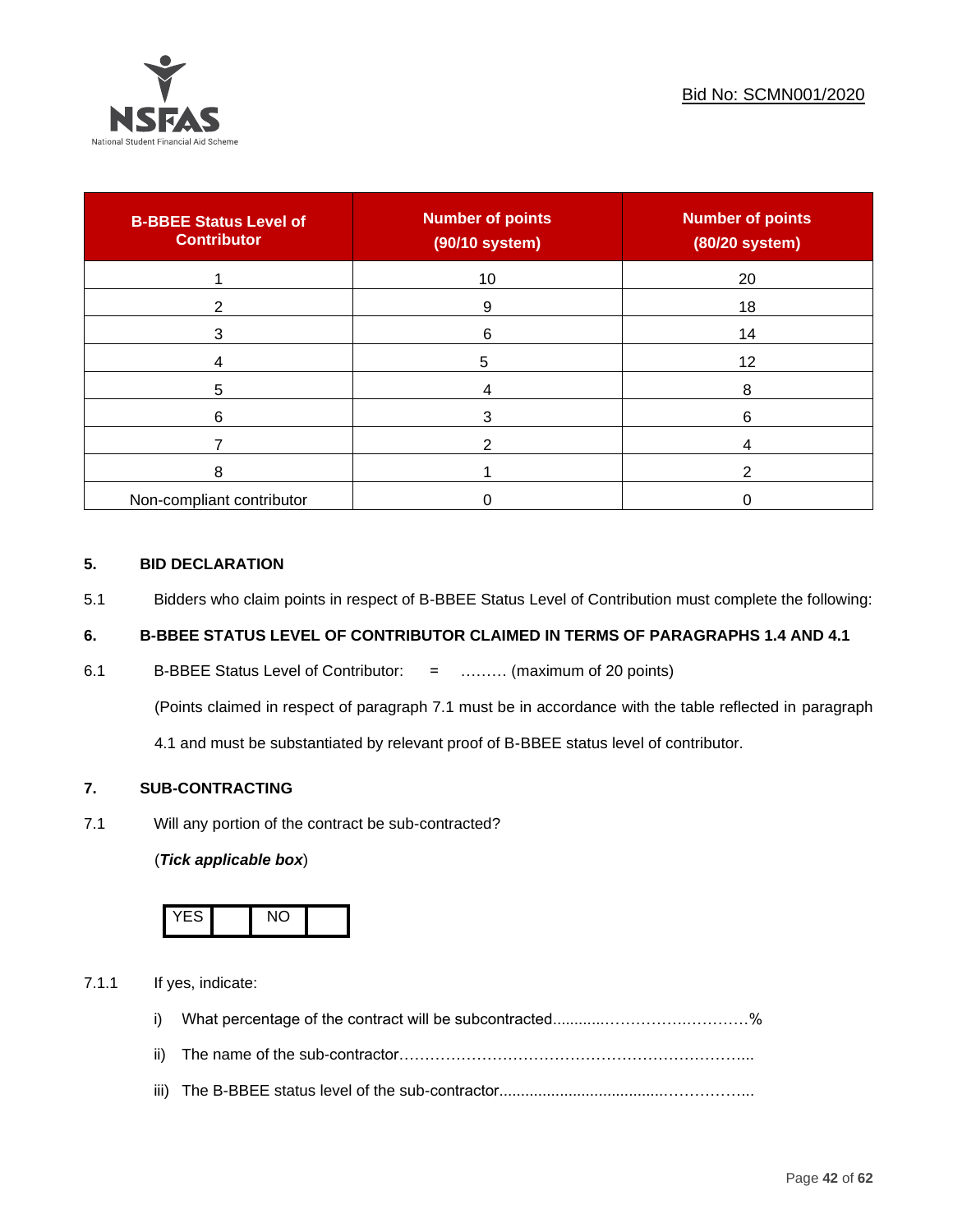

| <b>B-BBEE Status Level of</b><br><b>Contributor</b> | <b>Number of points</b><br>(90/10 system) | <b>Number of points</b><br>(80/20 system) |
|-----------------------------------------------------|-------------------------------------------|-------------------------------------------|
|                                                     | 10                                        | 20                                        |
| າ                                                   | 9                                         | 18                                        |
| 3                                                   | 6                                         | 14                                        |
|                                                     | 5                                         | 12                                        |
| 5                                                   |                                           | 8                                         |
| 6                                                   |                                           | 6                                         |
|                                                     |                                           |                                           |
| 8                                                   |                                           | ົ                                         |
| Non-compliant contributor                           |                                           |                                           |

## **5. BID DECLARATION**

5.1 Bidders who claim points in respect of B-BBEE Status Level of Contribution must complete the following:

# **6. B-BBEE STATUS LEVEL OF CONTRIBUTOR CLAIMED IN TERMS OF PARAGRAPHS 1.4 AND 4.1**

6.1 B-BBEE Status Level of Contributor: = ……… (maximum of 20 points)

(Points claimed in respect of paragraph 7.1 must be in accordance with the table reflected in paragraph

4.1 and must be substantiated by relevant proof of B-BBEE status level of contributor.

# **7. SUB-CONTRACTING**

7.1 Will any portion of the contract be sub-contracted?

#### (*Tick applicable box*)



7.1.1 If yes, indicate:

- i) What percentage of the contract will be subcontracted............…………….…………%
- ii) The name of the sub-contractor…………………………………………………………...
- iii) The B-BBEE status level of the sub-contractor......................................……………...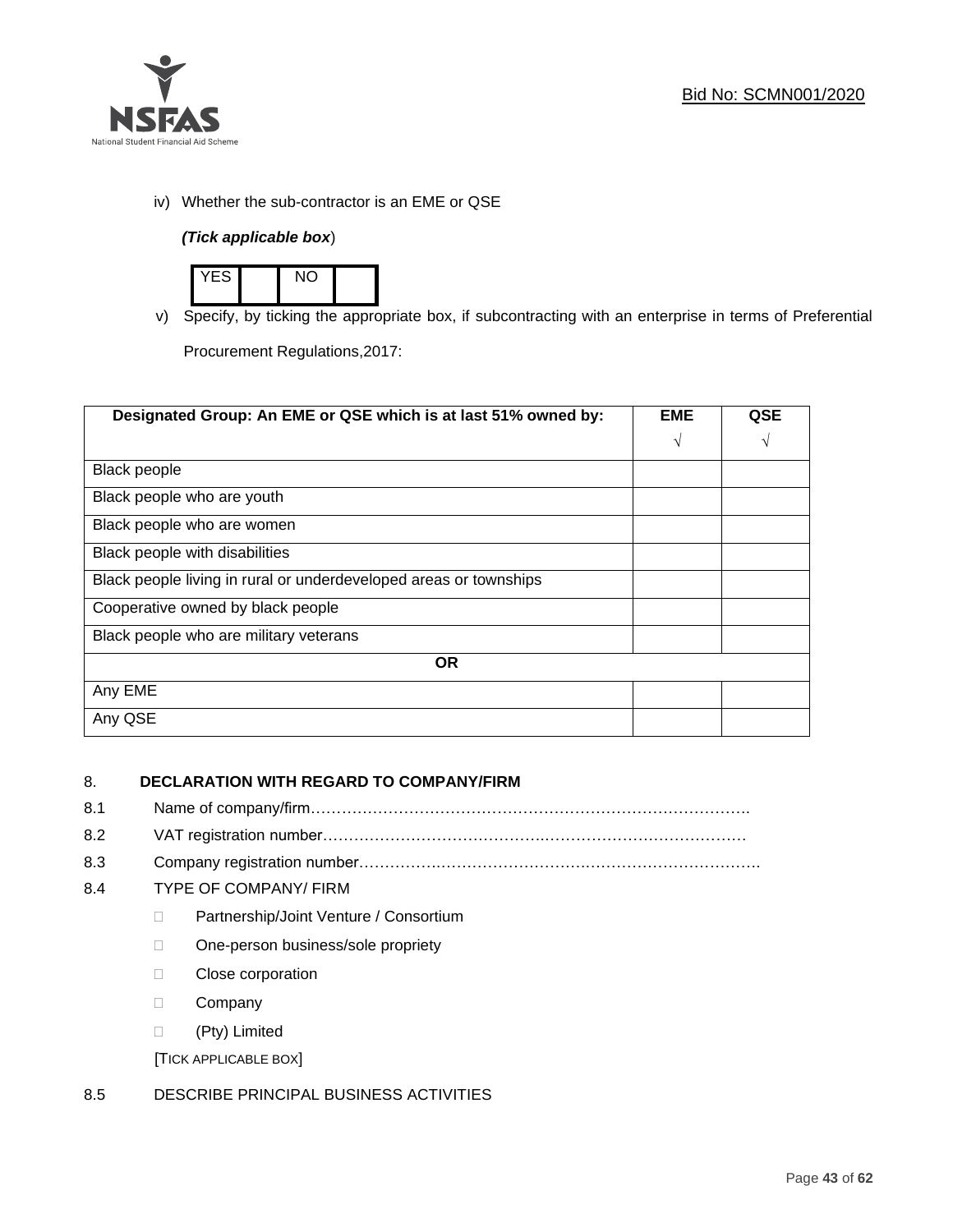

iv) Whether the sub-contractor is an EME or QSE

# *(Tick applicable box*)



v) Specify, by ticking the appropriate box, if subcontracting with an enterprise in terms of Preferential

Procurement Regulations,2017:

| Designated Group: An EME or QSE which is at last 51% owned by:    | <b>EME</b> | QSE |
|-------------------------------------------------------------------|------------|-----|
|                                                                   | $\sqrt{ }$ | V   |
| Black people                                                      |            |     |
| Black people who are youth                                        |            |     |
| Black people who are women                                        |            |     |
| Black people with disabilities                                    |            |     |
| Black people living in rural or underdeveloped areas or townships |            |     |
| Cooperative owned by black people                                 |            |     |
| Black people who are military veterans                            |            |     |
| <b>OR</b>                                                         |            |     |
| Any EME                                                           |            |     |
| Any QSE                                                           |            |     |

# 8. **DECLARATION WITH REGARD TO COMPANY/FIRM**

- 8.1 Name of company/firm………………………………………………………………………….
- 8.2 VAT registration number…………………………………….…………………………………
- 8.3 Company registration number…………….……………………….…………………………….

# 8.4 TYPE OF COMPANY/ FIRM

- D Partnership/Joint Venture / Consortium
- □ One-person business/sole propriety
- D Close corporation
- D Company
- (Pty) Limited

[TICK APPLICABLE BOX]

# 8.5 DESCRIBE PRINCIPAL BUSINESS ACTIVITIES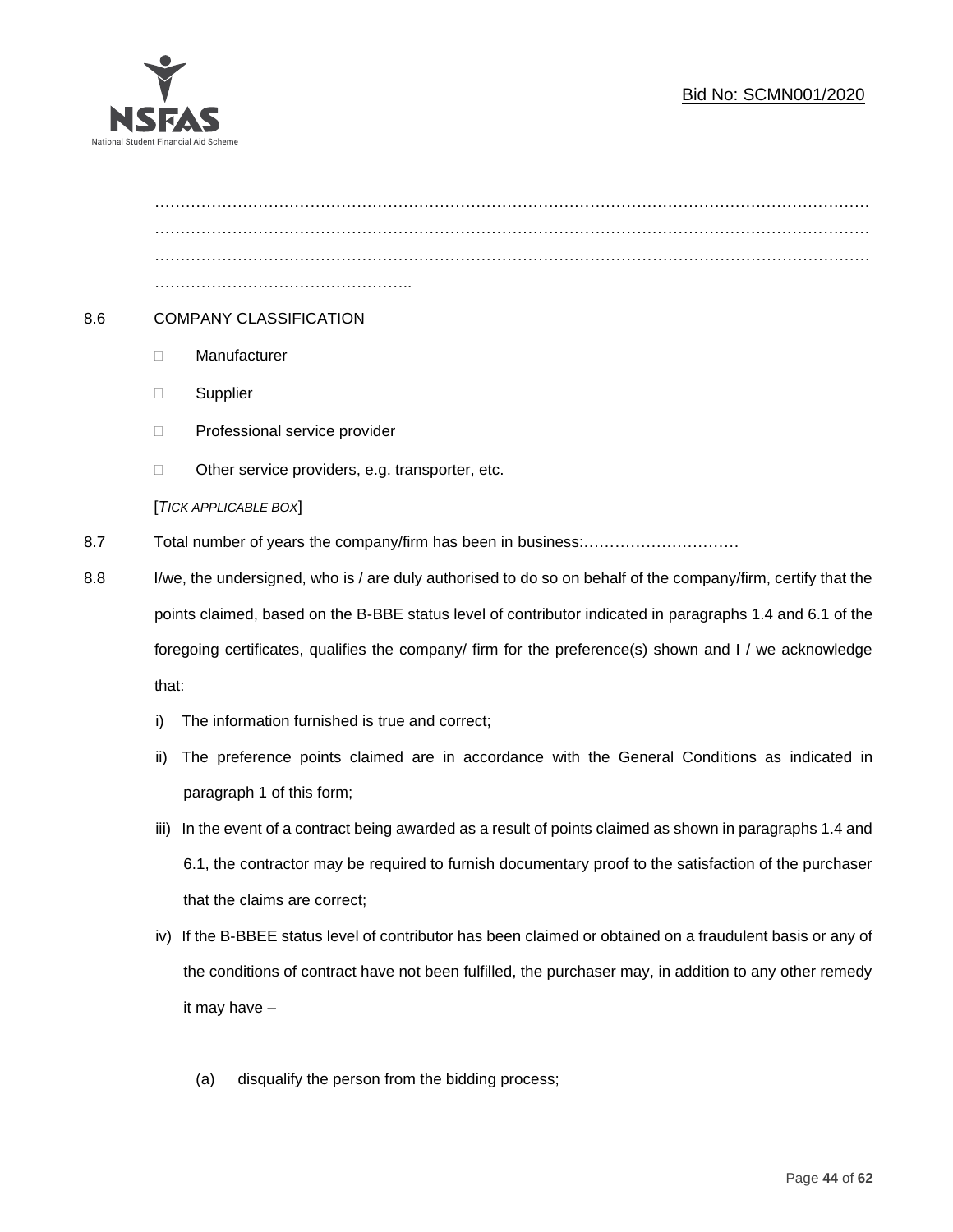# Bid No: SCMN001/2020



………………………………………………………………………………………………………………………… ………………………………………………………………………………………………………………………… ………………………………………….. 8.6 COMPANY CLASSIFICATION Manufacturer **Supplier** □ Professional service provider □ Other service providers, e.g. transporter, etc. [*TICK APPLICABLE BOX*] 8.7 Total number of years the company/firm has been in business:………………………… 8.8 I/we, the undersigned, who is / are duly authorised to do so on behalf of the company/firm, certify that the points claimed, based on the B-BBE status level of contributor indicated in paragraphs 1.4 and 6.1 of the foregoing certificates, qualifies the company/ firm for the preference(s) shown and I / we acknowledge that: i) The information furnished is true and correct;

- ii) The preference points claimed are in accordance with the General Conditions as indicated in paragraph 1 of this form;
- iii) In the event of a contract being awarded as a result of points claimed as shown in paragraphs 1.4 and 6.1, the contractor may be required to furnish documentary proof to the satisfaction of the purchaser that the claims are correct;
- iv) If the B-BBEE status level of contributor has been claimed or obtained on a fraudulent basis or any of the conditions of contract have not been fulfilled, the purchaser may, in addition to any other remedy it may have –
	- (a) disqualify the person from the bidding process;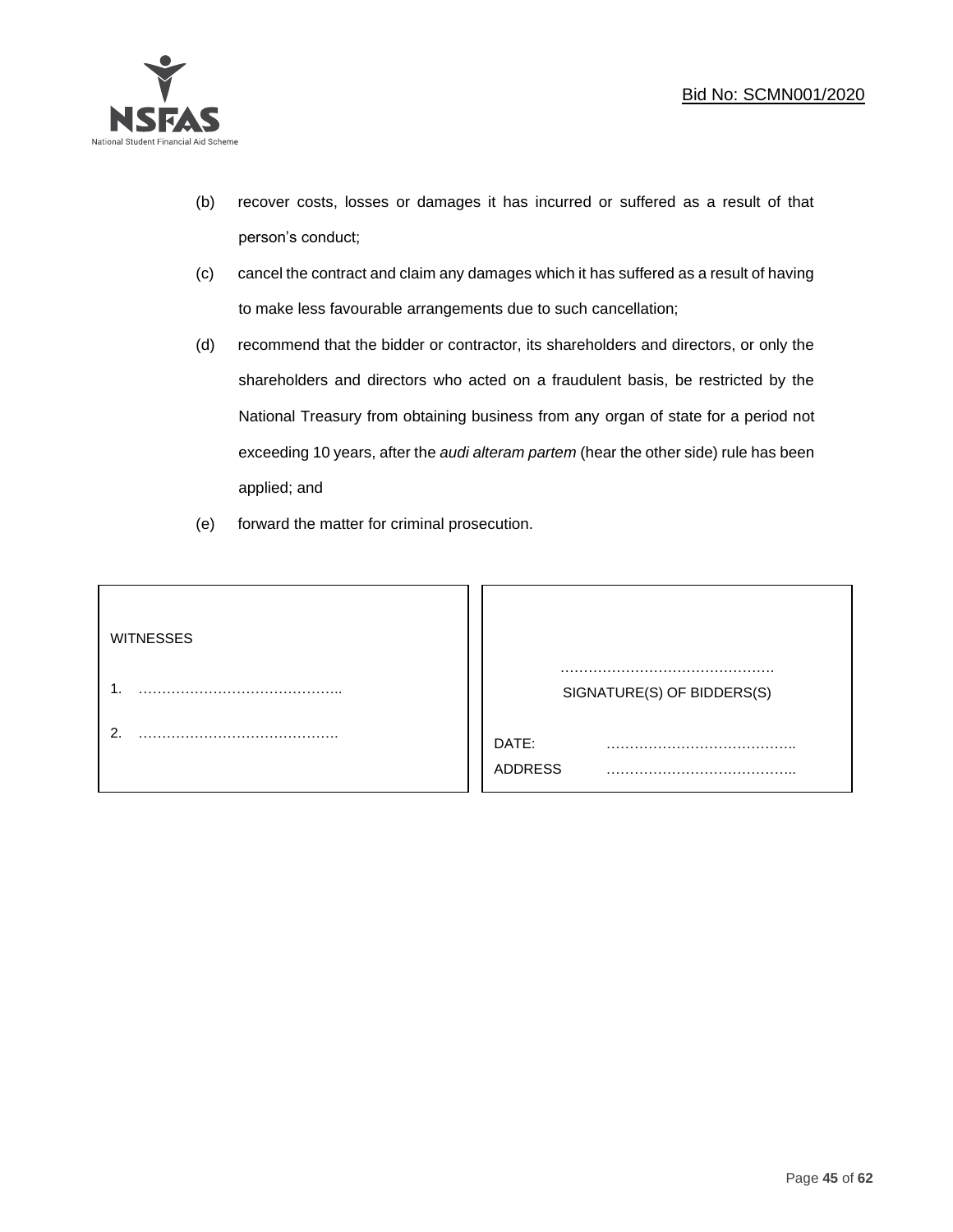

- (b) recover costs, losses or damages it has incurred or suffered as a result of that person's conduct;
- (c) cancel the contract and claim any damages which it has suffered as a result of having to make less favourable arrangements due to such cancellation;
- (d) recommend that the bidder or contractor, its shareholders and directors, or only the shareholders and directors who acted on a fraudulent basis, be restricted by the National Treasury from obtaining business from any organ of state for a period not exceeding 10 years, after the *audi alteram partem* (hear the other side) rule has been applied; and
- (e) forward the matter for criminal prosecution.

| <b>WITNESSES</b> |                              |  |
|------------------|------------------------------|--|
|                  | SIGNATURE(S) OF BIDDERS(S)   |  |
|                  | DATE:<br>.<br><b>ADDRESS</b> |  |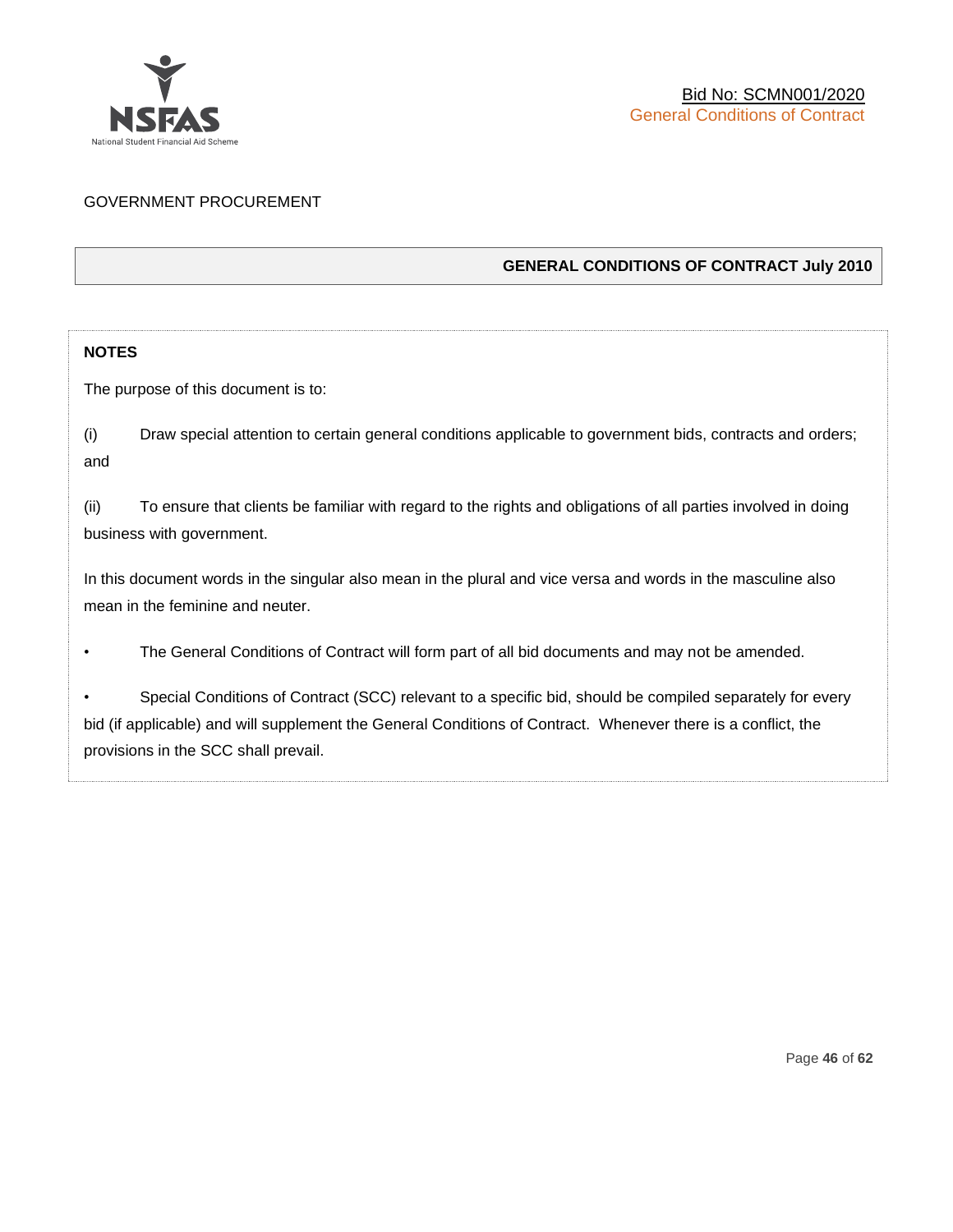

# GOVERNMENT PROCUREMENT

# **GENERAL CONDITIONS OF CONTRACT July 2010**

# **NOTES**

The purpose of this document is to:

(i) Draw special attention to certain general conditions applicable to government bids, contracts and orders; and

(ii) To ensure that clients be familiar with regard to the rights and obligations of all parties involved in doing business with government.

In this document words in the singular also mean in the plural and vice versa and words in the masculine also mean in the feminine and neuter.

• The General Conditions of Contract will form part of all bid documents and may not be amended.

Special Conditions of Contract (SCC) relevant to a specific bid, should be compiled separately for every bid (if applicable) and will supplement the General Conditions of Contract. Whenever there is a conflict, the provisions in the SCC shall prevail.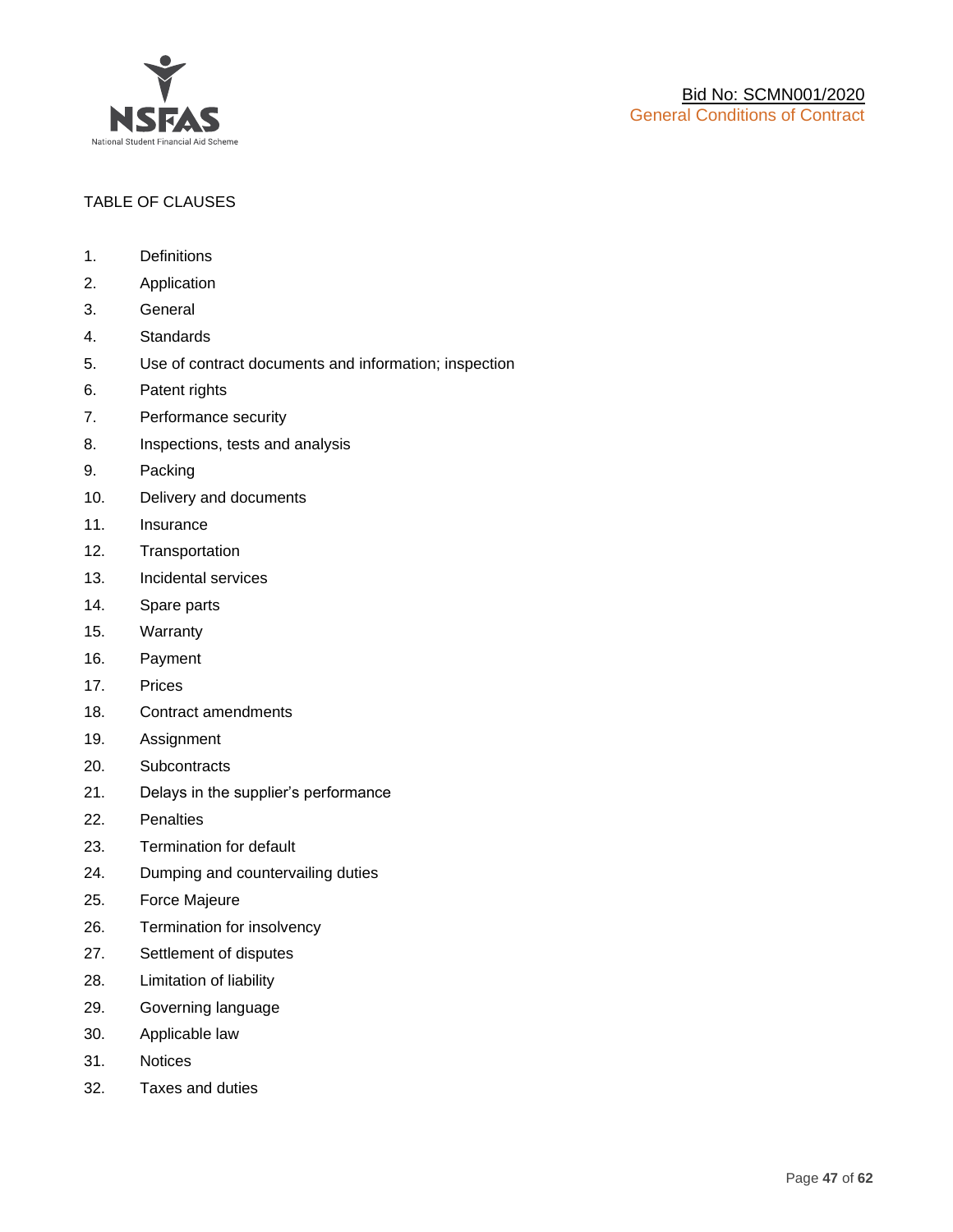

# TABLE OF CLAUSES

- 1. Definitions
- 2. Application
- 3. General
- 4. Standards
- 5. Use of contract documents and information; inspection
- 6. Patent rights
- 7. Performance security
- 8. Inspections, tests and analysis
- 9. Packing
- 10. Delivery and documents
- 11. Insurance
- 12. Transportation
- 13. Incidental services
- 14. Spare parts
- 15. Warranty
- 16. Payment
- 17. Prices
- 18. Contract amendments
- 19. Assignment
- 20. Subcontracts
- 21. Delays in the supplier's performance
- 22. Penalties
- 23. Termination for default
- 24. Dumping and countervailing duties
- 25. Force Majeure
- 26. Termination for insolvency
- 27. Settlement of disputes
- 28. Limitation of liability
- 29. Governing language
- 30. Applicable law
- 31. Notices
- 32. Taxes and duties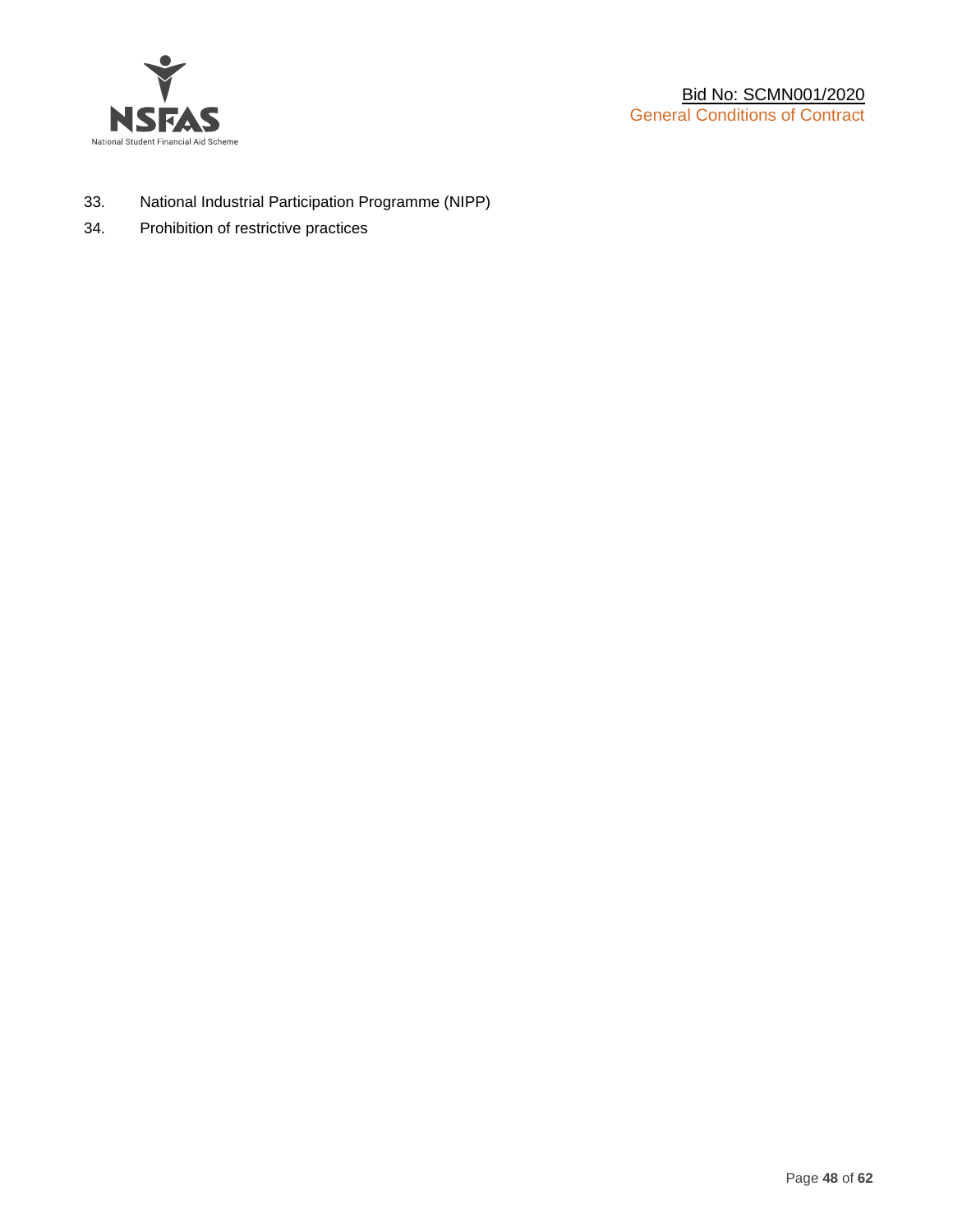

- 33. National Industrial Participation Programme (NIPP)
- 34. Prohibition of restrictive practices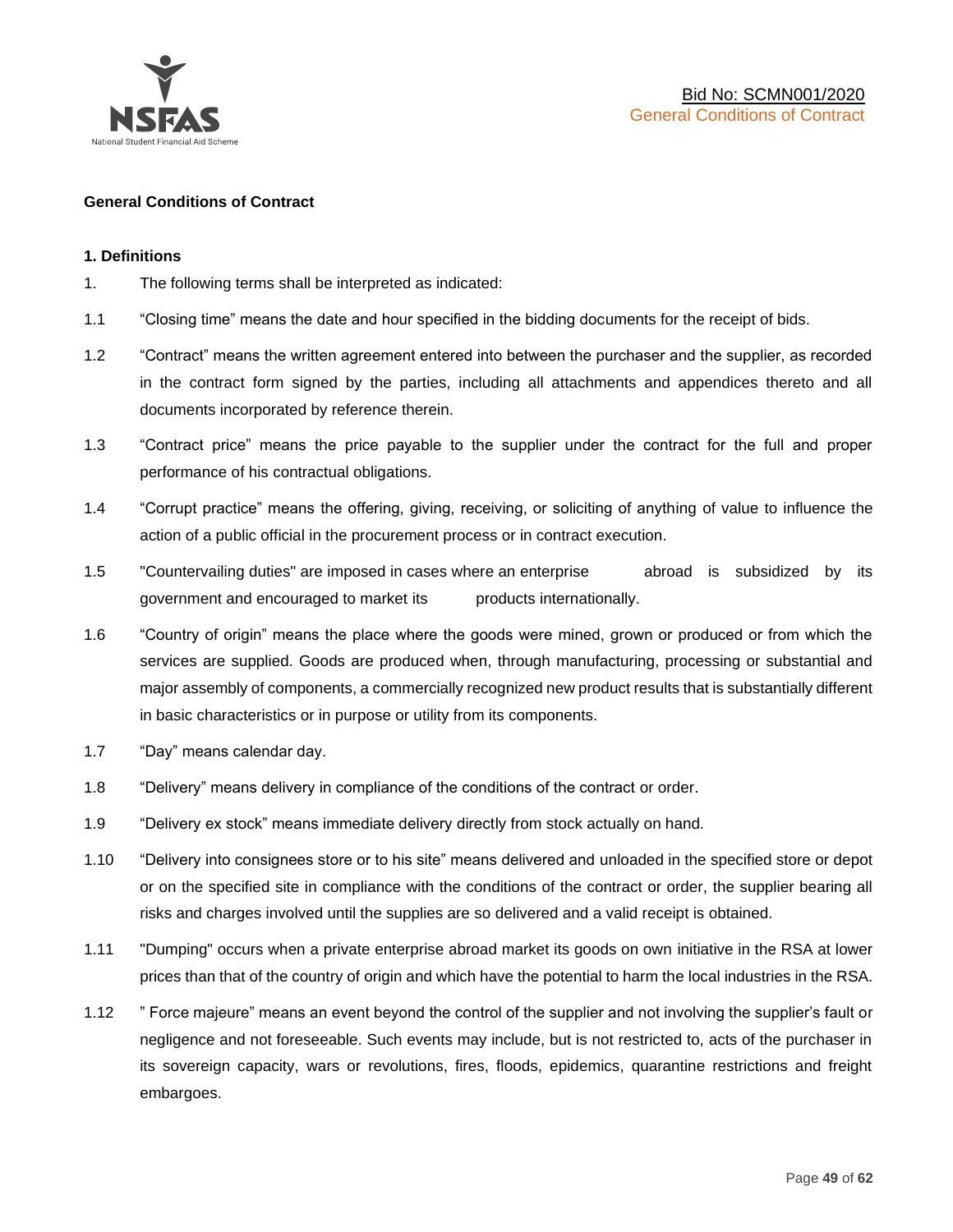

#### **General Conditions of Contract**

#### **1. Definitions**

- 1. The following terms shall be interpreted as indicated:
- 1.1 "Closing time" means the date and hour specified in the bidding documents for the receipt of bids.
- 1.2 "Contract" means the written agreement entered into between the purchaser and the supplier, as recorded in the contract form signed by the parties, including all attachments and appendices thereto and all documents incorporated by reference therein.
- 1.3 "Contract price" means the price payable to the supplier under the contract for the full and proper performance of his contractual obligations.
- 1.4 "Corrupt practice" means the offering, giving, receiving, or soliciting of anything of value to influence the action of a public official in the procurement process or in contract execution.
- 1.5 "Countervailing duties" are imposed in cases where an enterprise abroad is subsidized by its government and encouraged to market its products internationally.
- 1.6 "Country of origin" means the place where the goods were mined, grown or produced or from which the services are supplied. Goods are produced when, through manufacturing, processing or substantial and major assembly of components, a commercially recognized new product results that is substantially different in basic characteristics or in purpose or utility from its components.
- 1.7 "Day" means calendar day.
- 1.8 "Delivery" means delivery in compliance of the conditions of the contract or order.
- 1.9 "Delivery ex stock" means immediate delivery directly from stock actually on hand.
- 1.10 "Delivery into consignees store or to his site" means delivered and unloaded in the specified store or depot or on the specified site in compliance with the conditions of the contract or order, the supplier bearing all risks and charges involved until the supplies are so delivered and a valid receipt is obtained.
- 1.11 "Dumping" occurs when a private enterprise abroad market its goods on own initiative in the RSA at lower prices than that of the country of origin and which have the potential to harm the local industries in the RSA.
- 1.12 " Force majeure" means an event beyond the control of the supplier and not involving the supplier's fault or negligence and not foreseeable. Such events may include, but is not restricted to, acts of the purchaser in its sovereign capacity, wars or revolutions, fires, floods, epidemics, quarantine restrictions and freight embargoes.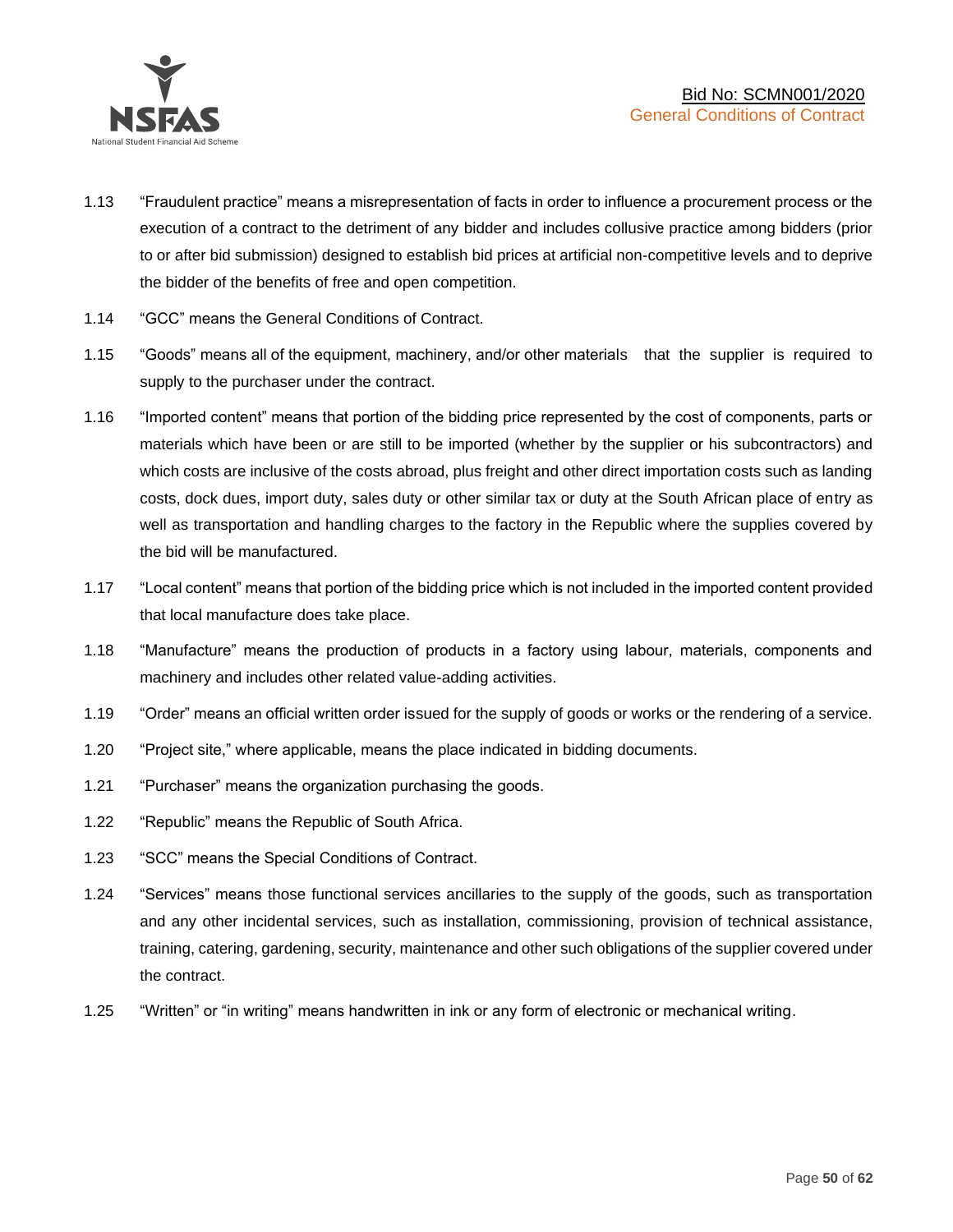

- 1.13 "Fraudulent practice" means a misrepresentation of facts in order to influence a procurement process or the execution of a contract to the detriment of any bidder and includes collusive practice among bidders (prior to or after bid submission) designed to establish bid prices at artificial non-competitive levels and to deprive the bidder of the benefits of free and open competition.
- 1.14 "GCC" means the General Conditions of Contract.
- 1.15 "Goods" means all of the equipment, machinery, and/or other materials that the supplier is required to supply to the purchaser under the contract.
- 1.16 "Imported content" means that portion of the bidding price represented by the cost of components, parts or materials which have been or are still to be imported (whether by the supplier or his subcontractors) and which costs are inclusive of the costs abroad, plus freight and other direct importation costs such as landing costs, dock dues, import duty, sales duty or other similar tax or duty at the South African place of entry as well as transportation and handling charges to the factory in the Republic where the supplies covered by the bid will be manufactured.
- 1.17 "Local content" means that portion of the bidding price which is not included in the imported content provided that local manufacture does take place.
- 1.18 "Manufacture" means the production of products in a factory using labour, materials, components and machinery and includes other related value-adding activities.
- 1.19 "Order" means an official written order issued for the supply of goods or works or the rendering of a service.
- 1.20 "Project site," where applicable, means the place indicated in bidding documents.
- 1.21 "Purchaser" means the organization purchasing the goods.
- 1.22 "Republic" means the Republic of South Africa.
- 1.23 "SCC" means the Special Conditions of Contract.
- 1.24 "Services" means those functional services ancillaries to the supply of the goods, such as transportation and any other incidental services, such as installation, commissioning, provision of technical assistance, training, catering, gardening, security, maintenance and other such obligations of the supplier covered under the contract.
- 1.25 "Written" or "in writing" means handwritten in ink or any form of electronic or mechanical writing.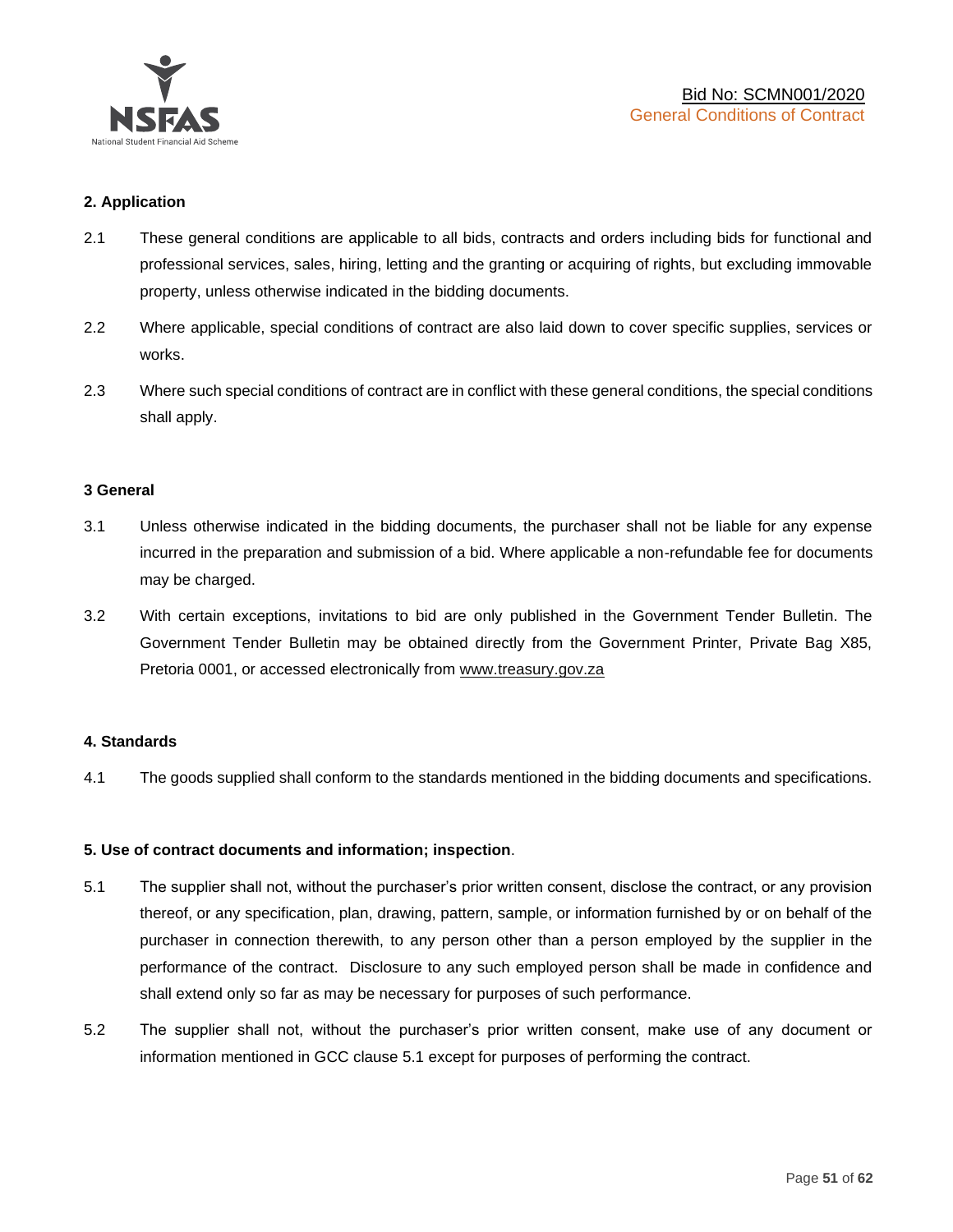

## **2. Application**

- 2.1 These general conditions are applicable to all bids, contracts and orders including bids for functional and professional services, sales, hiring, letting and the granting or acquiring of rights, but excluding immovable property, unless otherwise indicated in the bidding documents.
- 2.2 Where applicable, special conditions of contract are also laid down to cover specific supplies, services or works.
- 2.3 Where such special conditions of contract are in conflict with these general conditions, the special conditions shall apply.

#### **3 General**

- 3.1 Unless otherwise indicated in the bidding documents, the purchaser shall not be liable for any expense incurred in the preparation and submission of a bid. Where applicable a non-refundable fee for documents may be charged.
- 3.2 With certain exceptions, invitations to bid are only published in the Government Tender Bulletin. The Government Tender Bulletin may be obtained directly from the Government Printer, Private Bag X85, Pretoria 0001, or accessed electronically from [www.treasury.gov.za](http://www.treasury.gov.za/)

#### **4. Standards**

4.1 The goods supplied shall conform to the standards mentioned in the bidding documents and specifications.

#### **5. Use of contract documents and information; inspection**.

- 5.1 The supplier shall not, without the purchaser's prior written consent, disclose the contract, or any provision thereof, or any specification, plan, drawing, pattern, sample, or information furnished by or on behalf of the purchaser in connection therewith, to any person other than a person employed by the supplier in the performance of the contract. Disclosure to any such employed person shall be made in confidence and shall extend only so far as may be necessary for purposes of such performance.
- 5.2 The supplier shall not, without the purchaser's prior written consent, make use of any document or information mentioned in GCC clause 5.1 except for purposes of performing the contract.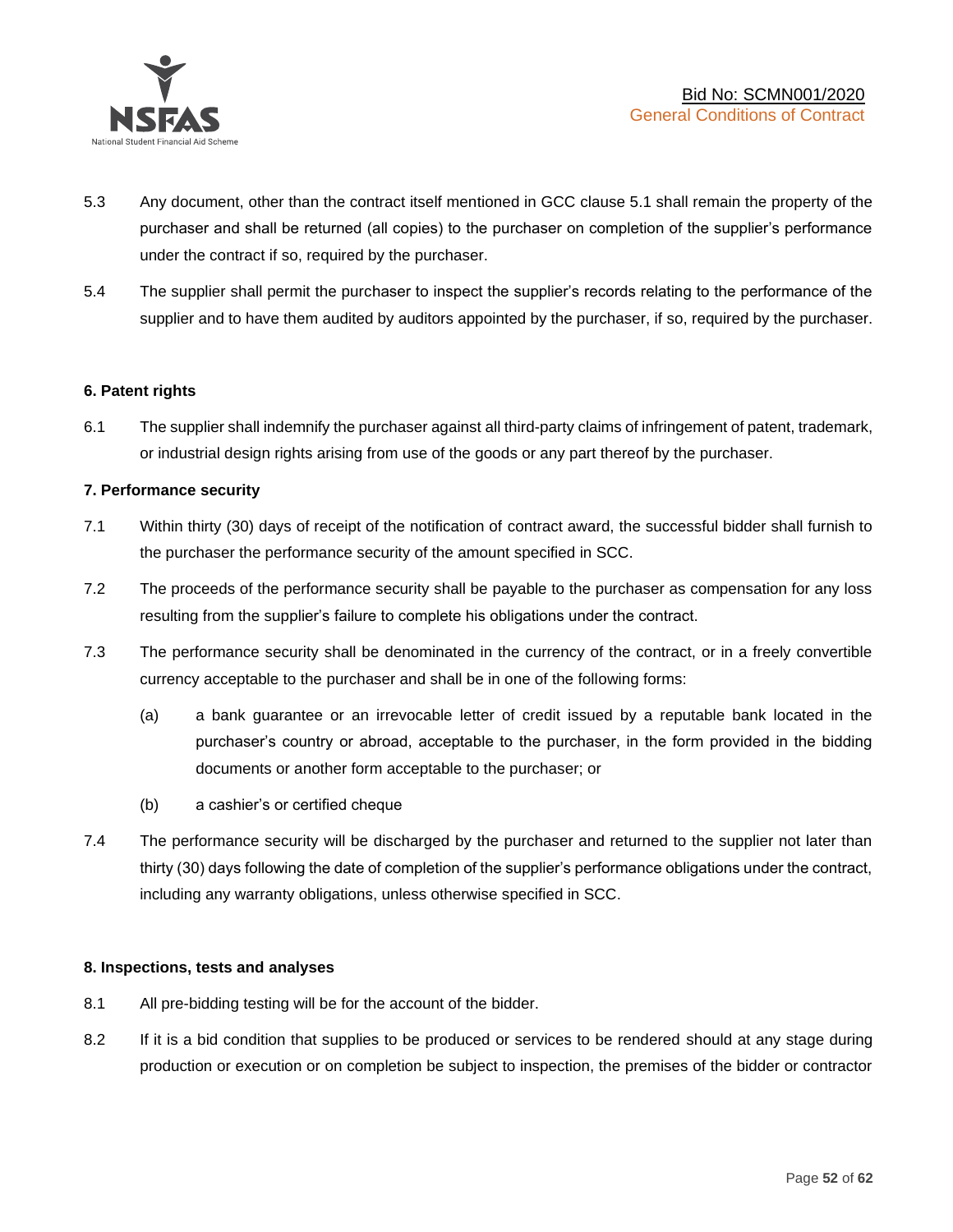

- 5.3 Any document, other than the contract itself mentioned in GCC clause 5.1 shall remain the property of the purchaser and shall be returned (all copies) to the purchaser on completion of the supplier's performance under the contract if so, required by the purchaser.
- 5.4 The supplier shall permit the purchaser to inspect the supplier's records relating to the performance of the supplier and to have them audited by auditors appointed by the purchaser, if so, required by the purchaser.

## **6. Patent rights**

6.1 The supplier shall indemnify the purchaser against all third-party claims of infringement of patent, trademark, or industrial design rights arising from use of the goods or any part thereof by the purchaser.

## **7. Performance security**

- 7.1 Within thirty (30) days of receipt of the notification of contract award, the successful bidder shall furnish to the purchaser the performance security of the amount specified in SCC.
- 7.2 The proceeds of the performance security shall be payable to the purchaser as compensation for any loss resulting from the supplier's failure to complete his obligations under the contract.
- 7.3 The performance security shall be denominated in the currency of the contract, or in a freely convertible currency acceptable to the purchaser and shall be in one of the following forms:
	- (a) a bank guarantee or an irrevocable letter of credit issued by a reputable bank located in the purchaser's country or abroad, acceptable to the purchaser, in the form provided in the bidding documents or another form acceptable to the purchaser; or
	- (b) a cashier's or certified cheque
- 7.4 The performance security will be discharged by the purchaser and returned to the supplier not later than thirty (30) days following the date of completion of the supplier's performance obligations under the contract, including any warranty obligations, unless otherwise specified in SCC.

#### **8. Inspections, tests and analyses**

- 8.1 All pre-bidding testing will be for the account of the bidder.
- 8.2 If it is a bid condition that supplies to be produced or services to be rendered should at any stage during production or execution or on completion be subject to inspection, the premises of the bidder or contractor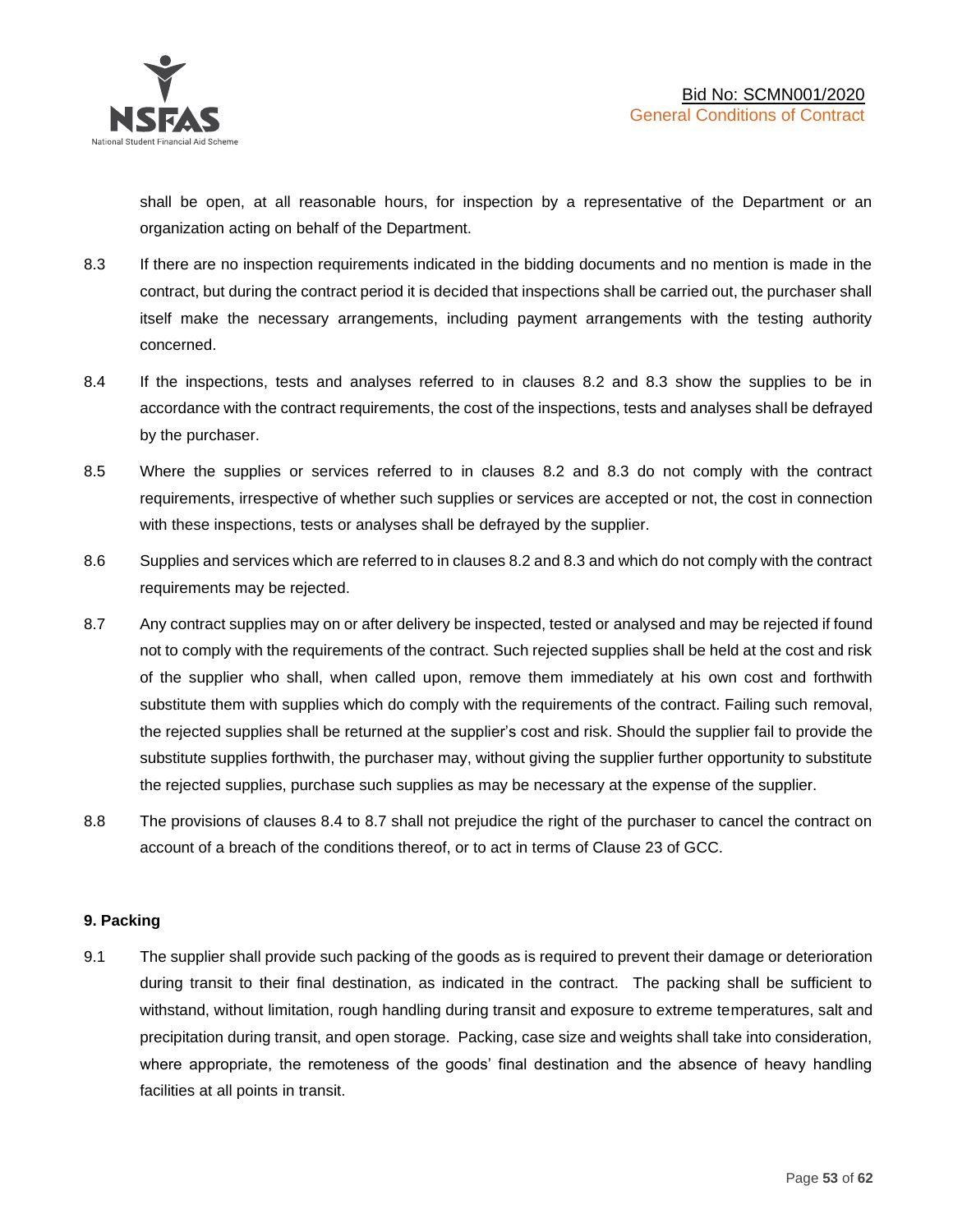shall be open, at all reasonable hours, for inspection by a representative of the Department or an organization acting on behalf of the Department.

- 8.3 If there are no inspection requirements indicated in the bidding documents and no mention is made in the contract, but during the contract period it is decided that inspections shall be carried out, the purchaser shall itself make the necessary arrangements, including payment arrangements with the testing authority concerned.
- 8.4 If the inspections, tests and analyses referred to in clauses 8.2 and 8.3 show the supplies to be in accordance with the contract requirements, the cost of the inspections, tests and analyses shall be defrayed by the purchaser.
- 8.5 Where the supplies or services referred to in clauses 8.2 and 8.3 do not comply with the contract requirements, irrespective of whether such supplies or services are accepted or not, the cost in connection with these inspections, tests or analyses shall be defrayed by the supplier.
- 8.6 Supplies and services which are referred to in clauses 8.2 and 8.3 and which do not comply with the contract requirements may be rejected.
- 8.7 Any contract supplies may on or after delivery be inspected, tested or analysed and may be rejected if found not to comply with the requirements of the contract. Such rejected supplies shall be held at the cost and risk of the supplier who shall, when called upon, remove them immediately at his own cost and forthwith substitute them with supplies which do comply with the requirements of the contract. Failing such removal, the rejected supplies shall be returned at the supplier's cost and risk. Should the supplier fail to provide the substitute supplies forthwith, the purchaser may, without giving the supplier further opportunity to substitute the rejected supplies, purchase such supplies as may be necessary at the expense of the supplier.
- 8.8 The provisions of clauses 8.4 to 8.7 shall not prejudice the right of the purchaser to cancel the contract on account of a breach of the conditions thereof, or to act in terms of Clause 23 of GCC.

# **9. Packing**

9.1 The supplier shall provide such packing of the goods as is required to prevent their damage or deterioration during transit to their final destination, as indicated in the contract. The packing shall be sufficient to withstand, without limitation, rough handling during transit and exposure to extreme temperatures, salt and precipitation during transit, and open storage. Packing, case size and weights shall take into consideration, where appropriate, the remoteness of the goods' final destination and the absence of heavy handling facilities at all points in transit.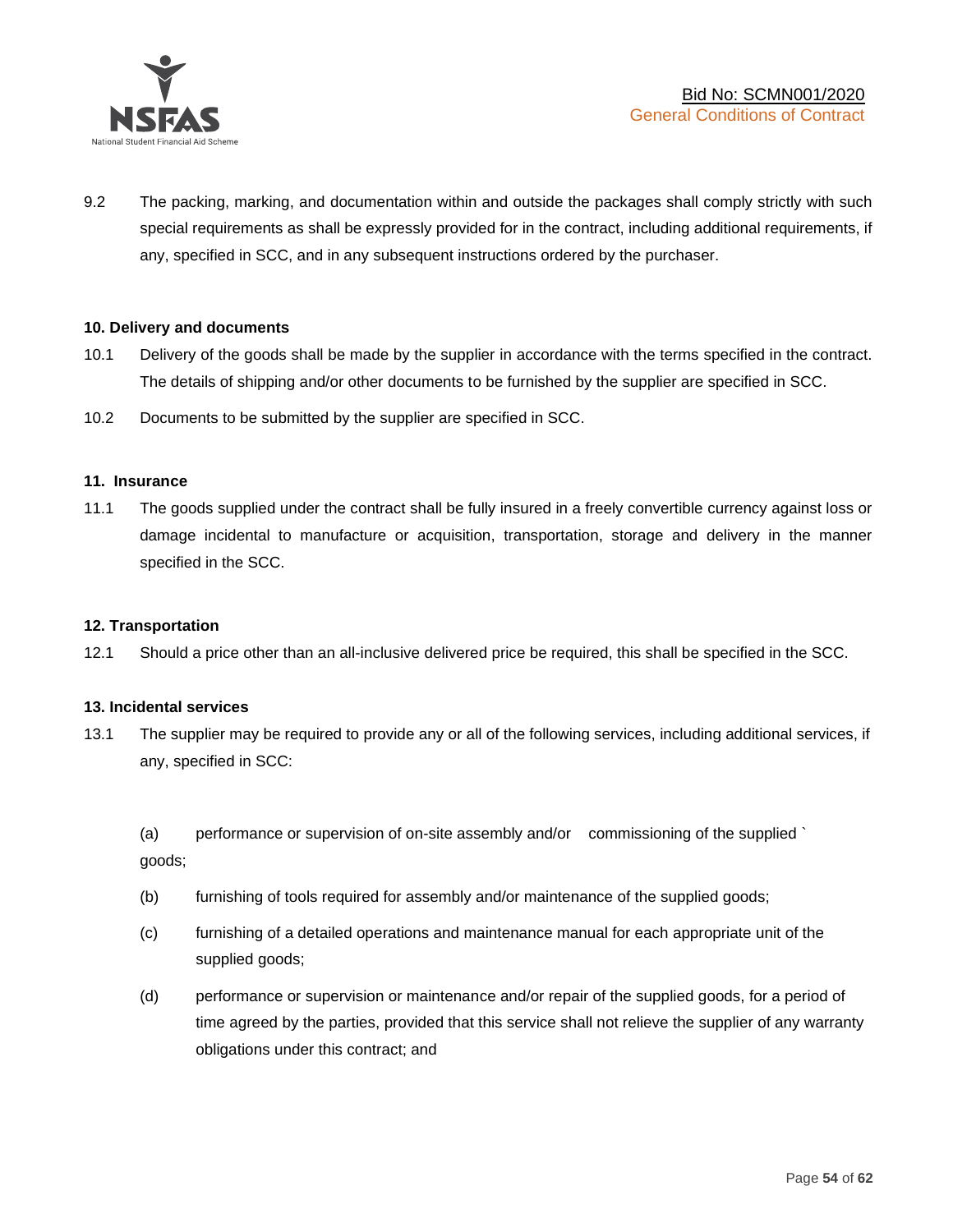

9.2 The packing, marking, and documentation within and outside the packages shall comply strictly with such special requirements as shall be expressly provided for in the contract, including additional requirements, if any, specified in SCC, and in any subsequent instructions ordered by the purchaser.

#### **10. Delivery and documents**

- 10.1 Delivery of the goods shall be made by the supplier in accordance with the terms specified in the contract. The details of shipping and/or other documents to be furnished by the supplier are specified in SCC.
- 10.2 Documents to be submitted by the supplier are specified in SCC.

#### **11. Insurance**

11.1 The goods supplied under the contract shall be fully insured in a freely convertible currency against loss or damage incidental to manufacture or acquisition, transportation, storage and delivery in the manner specified in the SCC.

#### **12. Transportation**

12.1 Should a price other than an all-inclusive delivered price be required, this shall be specified in the SCC.

#### **13. Incidental services**

13.1 The supplier may be required to provide any or all of the following services, including additional services, if any, specified in SCC:

(a) performance or supervision of on-site assembly and/or commissioning of the supplied ` goods;

- (b) furnishing of tools required for assembly and/or maintenance of the supplied goods;
- (c) furnishing of a detailed operations and maintenance manual for each appropriate unit of the supplied goods;
- (d) performance or supervision or maintenance and/or repair of the supplied goods, for a period of time agreed by the parties, provided that this service shall not relieve the supplier of any warranty obligations under this contract; and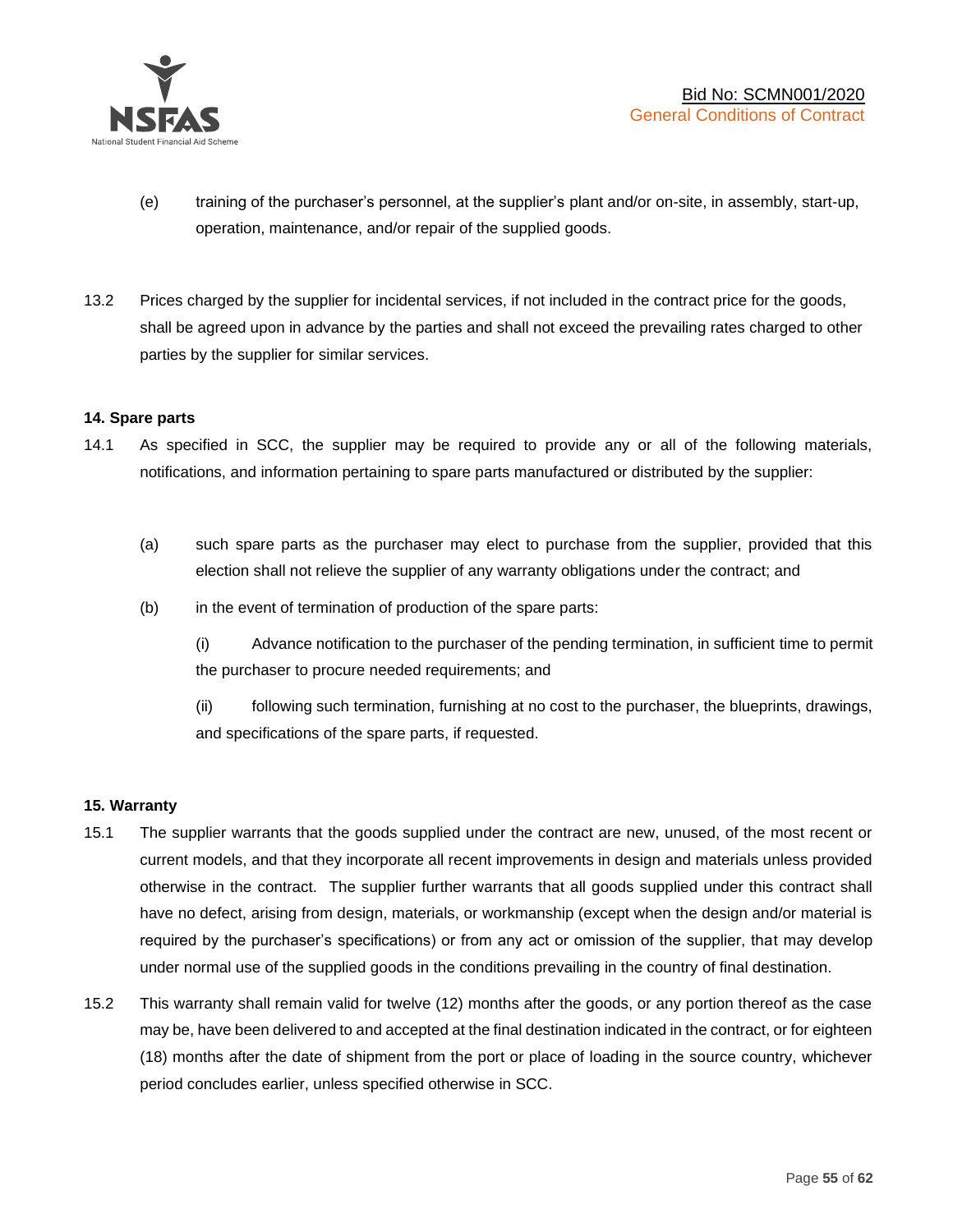

- (e) training of the purchaser's personnel, at the supplier's plant and/or on-site, in assembly, start-up, operation, maintenance, and/or repair of the supplied goods.
- 13.2 Prices charged by the supplier for incidental services, if not included in the contract price for the goods, shall be agreed upon in advance by the parties and shall not exceed the prevailing rates charged to other parties by the supplier for similar services.

## **14. Spare parts**

- 14.1 As specified in SCC, the supplier may be required to provide any or all of the following materials, notifications, and information pertaining to spare parts manufactured or distributed by the supplier:
	- (a) such spare parts as the purchaser may elect to purchase from the supplier, provided that this election shall not relieve the supplier of any warranty obligations under the contract; and
	- (b) in the event of termination of production of the spare parts:

(i) Advance notification to the purchaser of the pending termination, in sufficient time to permit the purchaser to procure needed requirements; and

(ii) following such termination, furnishing at no cost to the purchaser, the blueprints, drawings, and specifications of the spare parts, if requested.

#### **15. Warranty**

- 15.1 The supplier warrants that the goods supplied under the contract are new, unused, of the most recent or current models, and that they incorporate all recent improvements in design and materials unless provided otherwise in the contract. The supplier further warrants that all goods supplied under this contract shall have no defect, arising from design, materials, or workmanship (except when the design and/or material is required by the purchaser's specifications) or from any act or omission of the supplier, that may develop under normal use of the supplied goods in the conditions prevailing in the country of final destination.
- 15.2 This warranty shall remain valid for twelve (12) months after the goods, or any portion thereof as the case may be, have been delivered to and accepted at the final destination indicated in the contract, or for eighteen (18) months after the date of shipment from the port or place of loading in the source country, whichever period concludes earlier, unless specified otherwise in SCC.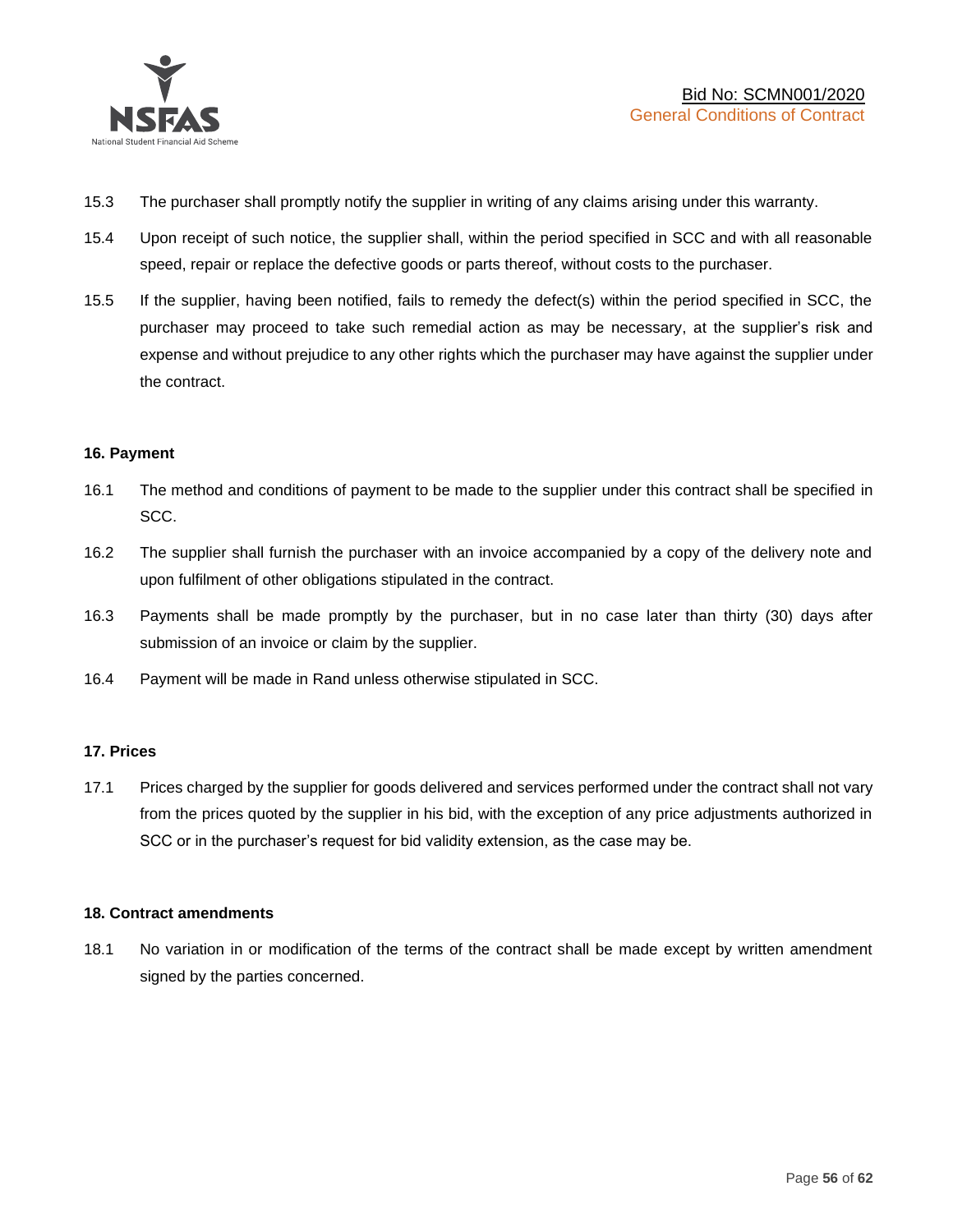

- 15.3 The purchaser shall promptly notify the supplier in writing of any claims arising under this warranty.
- 15.4 Upon receipt of such notice, the supplier shall, within the period specified in SCC and with all reasonable speed, repair or replace the defective goods or parts thereof, without costs to the purchaser.
- 15.5 If the supplier, having been notified, fails to remedy the defect(s) within the period specified in SCC, the purchaser may proceed to take such remedial action as may be necessary, at the supplier's risk and expense and without prejudice to any other rights which the purchaser may have against the supplier under the contract.

## **16. Payment**

- 16.1 The method and conditions of payment to be made to the supplier under this contract shall be specified in SCC.
- 16.2 The supplier shall furnish the purchaser with an invoice accompanied by a copy of the delivery note and upon fulfilment of other obligations stipulated in the contract.
- 16.3 Payments shall be made promptly by the purchaser, but in no case later than thirty (30) days after submission of an invoice or claim by the supplier.
- 16.4 Payment will be made in Rand unless otherwise stipulated in SCC.

#### **17. Prices**

17.1 Prices charged by the supplier for goods delivered and services performed under the contract shall not vary from the prices quoted by the supplier in his bid, with the exception of any price adjustments authorized in SCC or in the purchaser's request for bid validity extension, as the case may be.

#### **18. Contract amendments**

18.1 No variation in or modification of the terms of the contract shall be made except by written amendment signed by the parties concerned.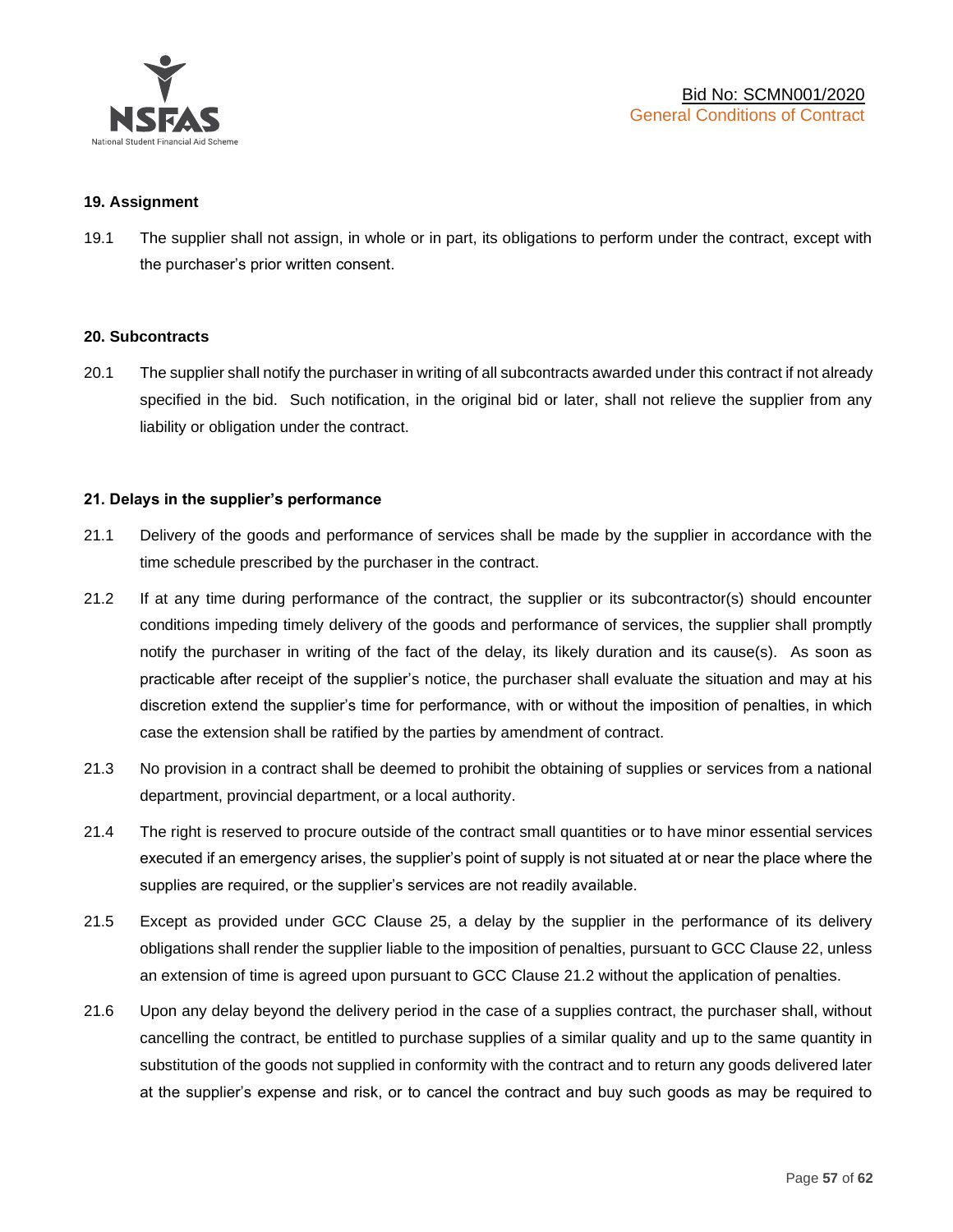

#### **19. Assignment**

19.1 The supplier shall not assign, in whole or in part, its obligations to perform under the contract, except with the purchaser's prior written consent.

#### **20. Subcontracts**

20.1 The supplier shall notify the purchaser in writing of all subcontracts awarded under this contract if not already specified in the bid. Such notification, in the original bid or later, shall not relieve the supplier from any liability or obligation under the contract.

## **21. Delays in the supplier's performance**

- 21.1 Delivery of the goods and performance of services shall be made by the supplier in accordance with the time schedule prescribed by the purchaser in the contract.
- 21.2 If at any time during performance of the contract, the supplier or its subcontractor(s) should encounter conditions impeding timely delivery of the goods and performance of services, the supplier shall promptly notify the purchaser in writing of the fact of the delay, its likely duration and its cause(s). As soon as practicable after receipt of the supplier's notice, the purchaser shall evaluate the situation and may at his discretion extend the supplier's time for performance, with or without the imposition of penalties, in which case the extension shall be ratified by the parties by amendment of contract.
- 21.3 No provision in a contract shall be deemed to prohibit the obtaining of supplies or services from a national department, provincial department, or a local authority.
- 21.4 The right is reserved to procure outside of the contract small quantities or to have minor essential services executed if an emergency arises, the supplier's point of supply is not situated at or near the place where the supplies are required, or the supplier's services are not readily available.
- 21.5 Except as provided under GCC Clause 25, a delay by the supplier in the performance of its delivery obligations shall render the supplier liable to the imposition of penalties, pursuant to GCC Clause 22, unless an extension of time is agreed upon pursuant to GCC Clause 21.2 without the application of penalties.
- 21.6 Upon any delay beyond the delivery period in the case of a supplies contract, the purchaser shall, without cancelling the contract, be entitled to purchase supplies of a similar quality and up to the same quantity in substitution of the goods not supplied in conformity with the contract and to return any goods delivered later at the supplier's expense and risk, or to cancel the contract and buy such goods as may be required to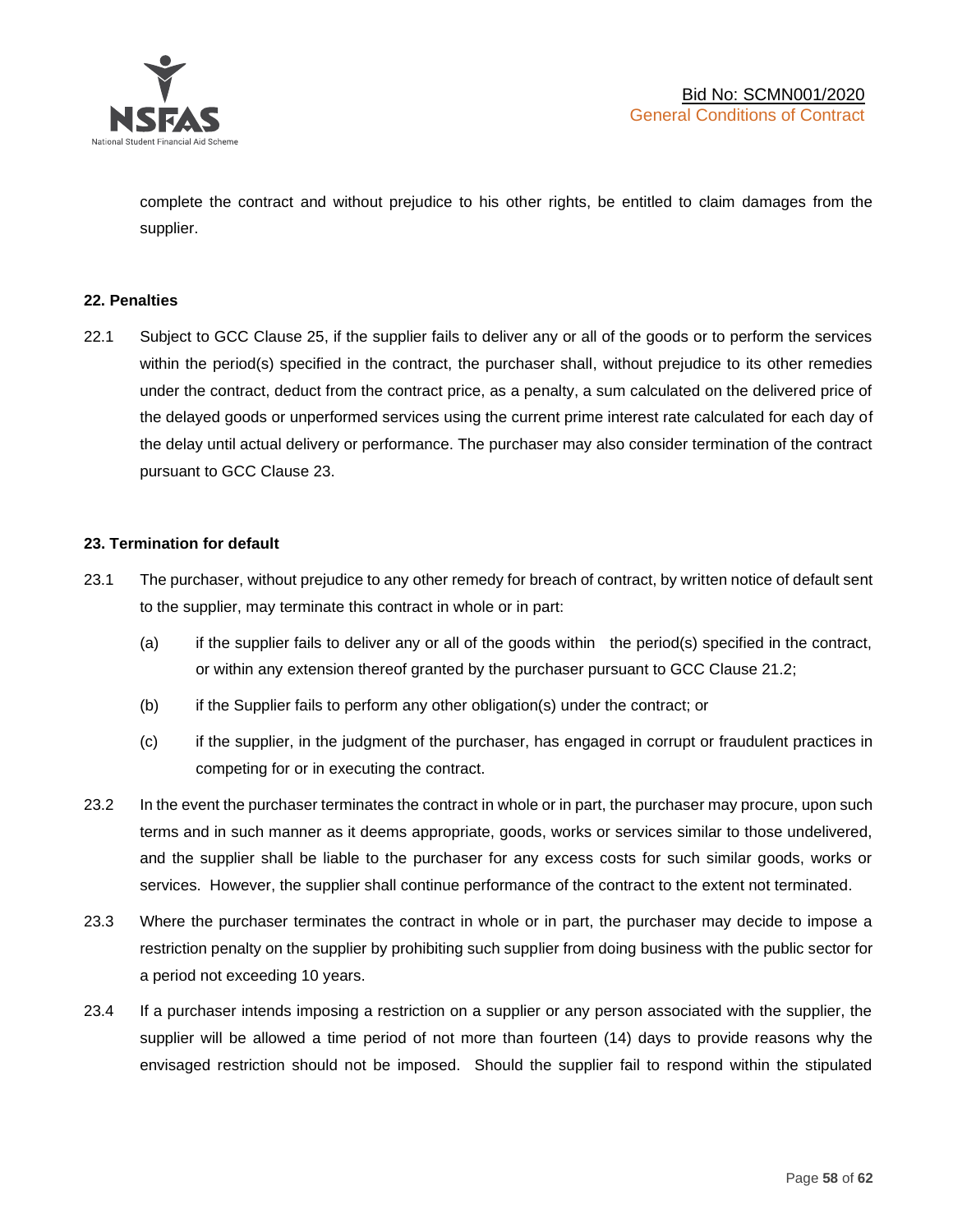

complete the contract and without prejudice to his other rights, be entitled to claim damages from the supplier.

#### **22. Penalties**

22.1 Subject to GCC Clause 25, if the supplier fails to deliver any or all of the goods or to perform the services within the period(s) specified in the contract, the purchaser shall, without prejudice to its other remedies under the contract, deduct from the contract price, as a penalty, a sum calculated on the delivered price of the delayed goods or unperformed services using the current prime interest rate calculated for each day of the delay until actual delivery or performance. The purchaser may also consider termination of the contract pursuant to GCC Clause 23.

#### **23. Termination for default**

- 23.1 The purchaser, without prejudice to any other remedy for breach of contract, by written notice of default sent to the supplier, may terminate this contract in whole or in part:
	- (a) if the supplier fails to deliver any or all of the goods within the period(s) specified in the contract, or within any extension thereof granted by the purchaser pursuant to GCC Clause 21.2;
	- (b) if the Supplier fails to perform any other obligation(s) under the contract; or
	- (c) if the supplier, in the judgment of the purchaser, has engaged in corrupt or fraudulent practices in competing for or in executing the contract.
- 23.2 In the event the purchaser terminates the contract in whole or in part, the purchaser may procure, upon such terms and in such manner as it deems appropriate, goods, works or services similar to those undelivered, and the supplier shall be liable to the purchaser for any excess costs for such similar goods, works or services. However, the supplier shall continue performance of the contract to the extent not terminated.
- 23.3 Where the purchaser terminates the contract in whole or in part, the purchaser may decide to impose a restriction penalty on the supplier by prohibiting such supplier from doing business with the public sector for a period not exceeding 10 years.
- 23.4 If a purchaser intends imposing a restriction on a supplier or any person associated with the supplier, the supplier will be allowed a time period of not more than fourteen (14) days to provide reasons why the envisaged restriction should not be imposed. Should the supplier fail to respond within the stipulated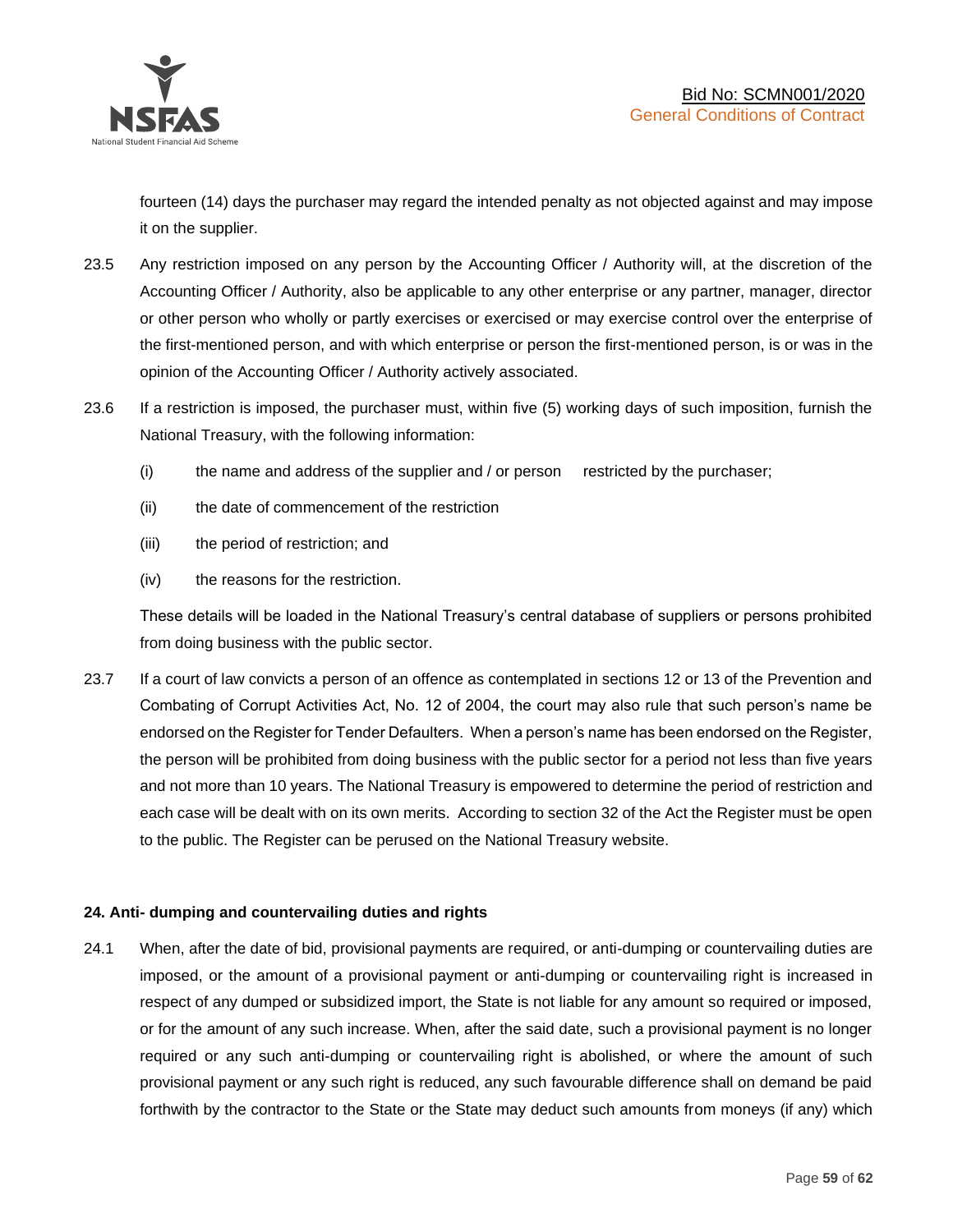

fourteen (14) days the purchaser may regard the intended penalty as not objected against and may impose it on the supplier.

- 23.5 Any restriction imposed on any person by the Accounting Officer / Authority will, at the discretion of the Accounting Officer / Authority, also be applicable to any other enterprise or any partner, manager, director or other person who wholly or partly exercises or exercised or may exercise control over the enterprise of the first-mentioned person, and with which enterprise or person the first-mentioned person, is or was in the opinion of the Accounting Officer / Authority actively associated.
- 23.6 If a restriction is imposed, the purchaser must, within five (5) working days of such imposition, furnish the National Treasury, with the following information:
	- (i) the name and address of the supplier and / or person restricted by the purchaser;
	- (ii) the date of commencement of the restriction
	- (iii) the period of restriction; and
	- (iv) the reasons for the restriction.

These details will be loaded in the National Treasury's central database of suppliers or persons prohibited from doing business with the public sector.

23.7 If a court of law convicts a person of an offence as contemplated in sections 12 or 13 of the Prevention and Combating of Corrupt Activities Act, No. 12 of 2004, the court may also rule that such person's name be endorsed on the Register for Tender Defaulters. When a person's name has been endorsed on the Register, the person will be prohibited from doing business with the public sector for a period not less than five years and not more than 10 years. The National Treasury is empowered to determine the period of restriction and each case will be dealt with on its own merits. According to section 32 of the Act the Register must be open to the public. The Register can be perused on the National Treasury website.

# **24. Anti- dumping and countervailing duties and rights**

24.1 When, after the date of bid, provisional payments are required, or anti-dumping or countervailing duties are imposed, or the amount of a provisional payment or anti-dumping or countervailing right is increased in respect of any dumped or subsidized import, the State is not liable for any amount so required or imposed, or for the amount of any such increase. When, after the said date, such a provisional payment is no longer required or any such anti-dumping or countervailing right is abolished, or where the amount of such provisional payment or any such right is reduced, any such favourable difference shall on demand be paid forthwith by the contractor to the State or the State may deduct such amounts from moneys (if any) which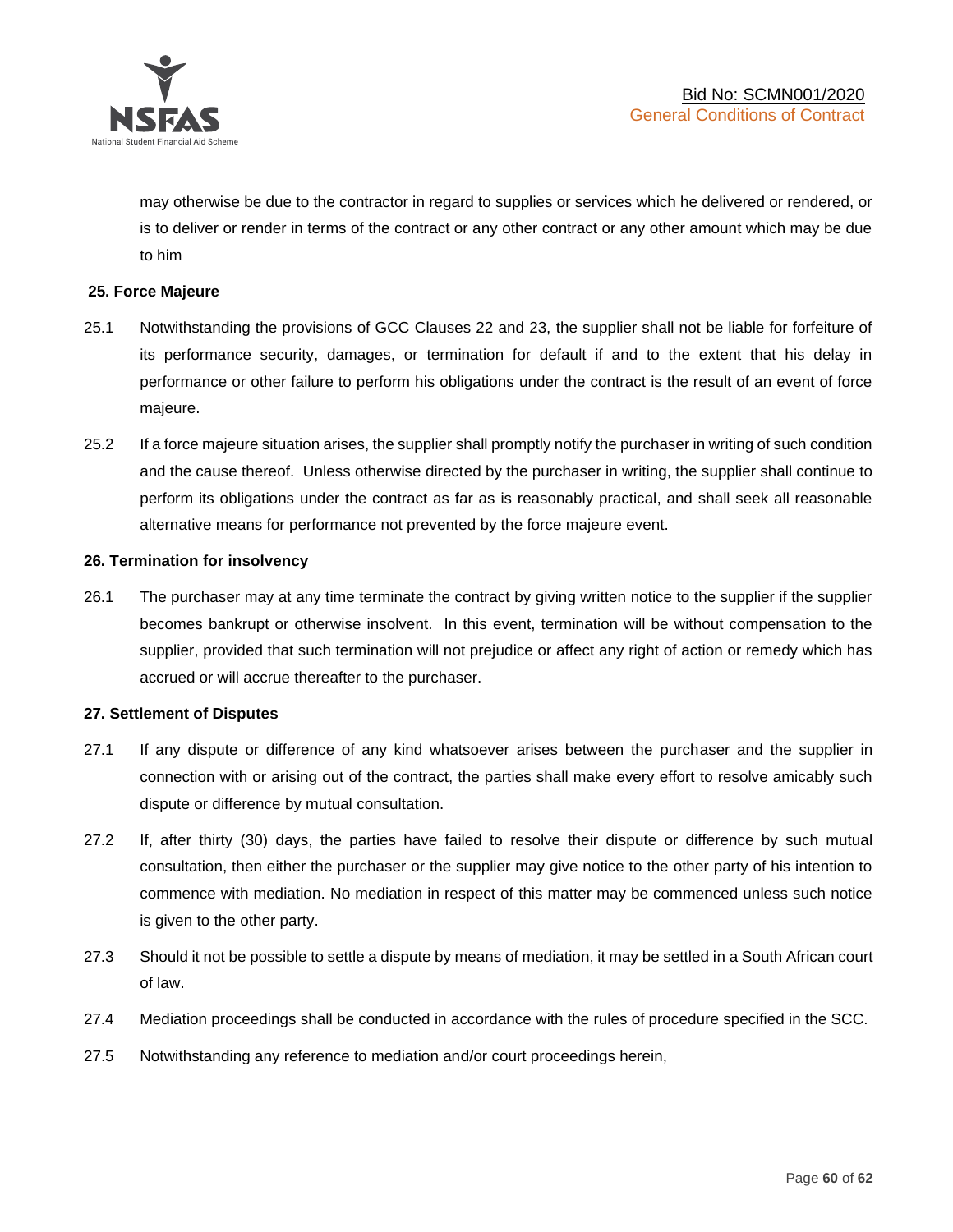

may otherwise be due to the contractor in regard to supplies or services which he delivered or rendered, or is to deliver or render in terms of the contract or any other contract or any other amount which may be due to him

## **25. Force Majeure**

- 25.1 Notwithstanding the provisions of GCC Clauses 22 and 23, the supplier shall not be liable for forfeiture of its performance security, damages, or termination for default if and to the extent that his delay in performance or other failure to perform his obligations under the contract is the result of an event of force majeure.
- 25.2 If a force majeure situation arises, the supplier shall promptly notify the purchaser in writing of such condition and the cause thereof. Unless otherwise directed by the purchaser in writing, the supplier shall continue to perform its obligations under the contract as far as is reasonably practical, and shall seek all reasonable alternative means for performance not prevented by the force majeure event.

#### **26. Termination for insolvency**

26.1 The purchaser may at any time terminate the contract by giving written notice to the supplier if the supplier becomes bankrupt or otherwise insolvent. In this event, termination will be without compensation to the supplier, provided that such termination will not prejudice or affect any right of action or remedy which has accrued or will accrue thereafter to the purchaser.

#### **27. Settlement of Disputes**

- 27.1 If any dispute or difference of any kind whatsoever arises between the purchaser and the supplier in connection with or arising out of the contract, the parties shall make every effort to resolve amicably such dispute or difference by mutual consultation.
- 27.2 If, after thirty (30) days, the parties have failed to resolve their dispute or difference by such mutual consultation, then either the purchaser or the supplier may give notice to the other party of his intention to commence with mediation. No mediation in respect of this matter may be commenced unless such notice is given to the other party.
- 27.3 Should it not be possible to settle a dispute by means of mediation, it may be settled in a South African court of law.
- 27.4 Mediation proceedings shall be conducted in accordance with the rules of procedure specified in the SCC.
- 27.5 Notwithstanding any reference to mediation and/or court proceedings herein,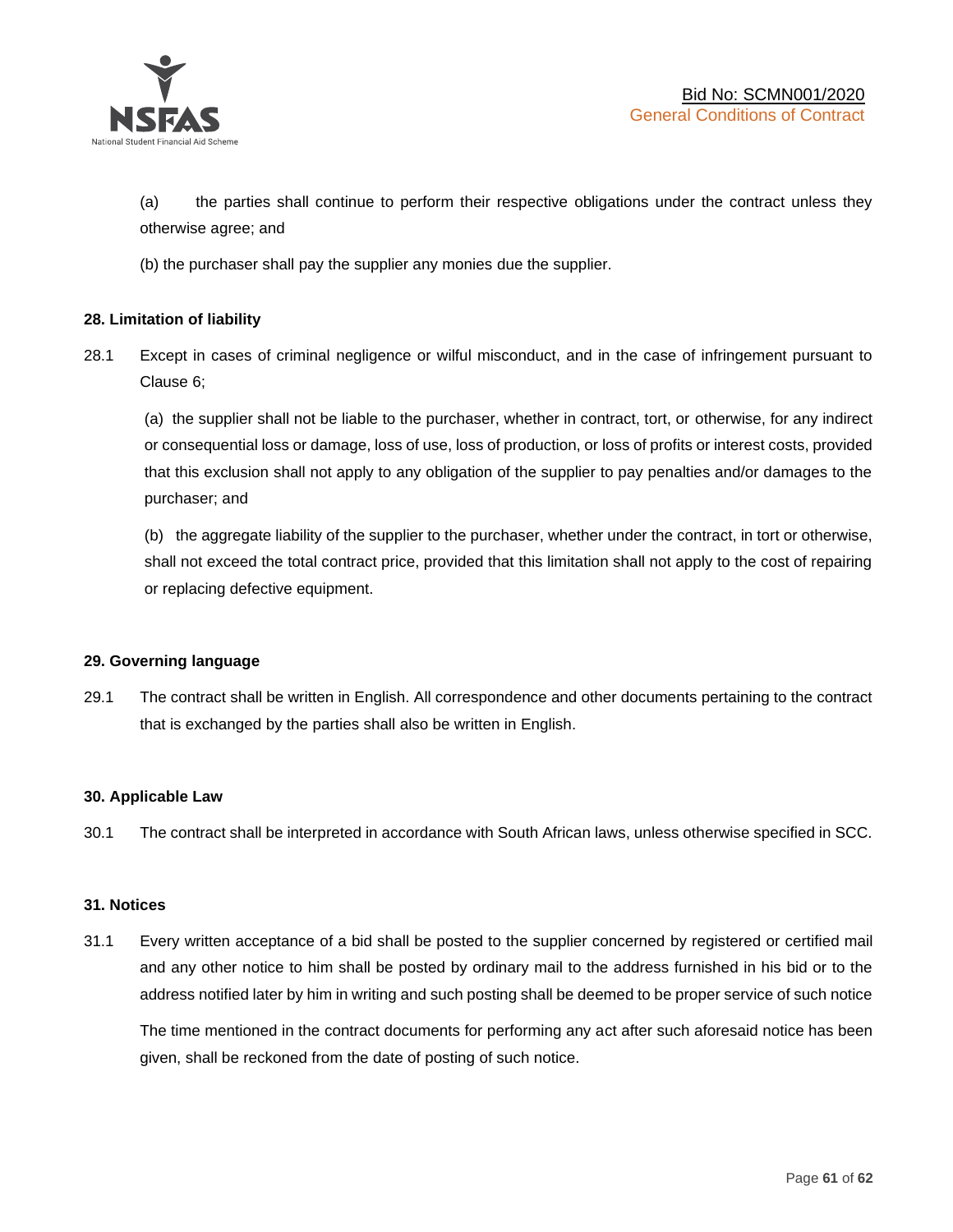

(a) the parties shall continue to perform their respective obligations under the contract unless they otherwise agree; and

(b) the purchaser shall pay the supplier any monies due the supplier.

# **28. Limitation of liability**

28.1 Except in cases of criminal negligence or wilful misconduct, and in the case of infringement pursuant to Clause 6;

(a) the supplier shall not be liable to the purchaser, whether in contract, tort, or otherwise, for any indirect or consequential loss or damage, loss of use, loss of production, or loss of profits or interest costs, provided that this exclusion shall not apply to any obligation of the supplier to pay penalties and/or damages to the purchaser; and

(b) the aggregate liability of the supplier to the purchaser, whether under the contract, in tort or otherwise, shall not exceed the total contract price, provided that this limitation shall not apply to the cost of repairing or replacing defective equipment.

#### **29. Governing language**

29.1 The contract shall be written in English. All correspondence and other documents pertaining to the contract that is exchanged by the parties shall also be written in English.

#### **30. Applicable Law**

30.1 The contract shall be interpreted in accordance with South African laws, unless otherwise specified in SCC.

#### **31. Notices**

31.1 Every written acceptance of a bid shall be posted to the supplier concerned by registered or certified mail and any other notice to him shall be posted by ordinary mail to the address furnished in his bid or to the address notified later by him in writing and such posting shall be deemed to be proper service of such notice

The time mentioned in the contract documents for performing any act after such aforesaid notice has been given, shall be reckoned from the date of posting of such notice.